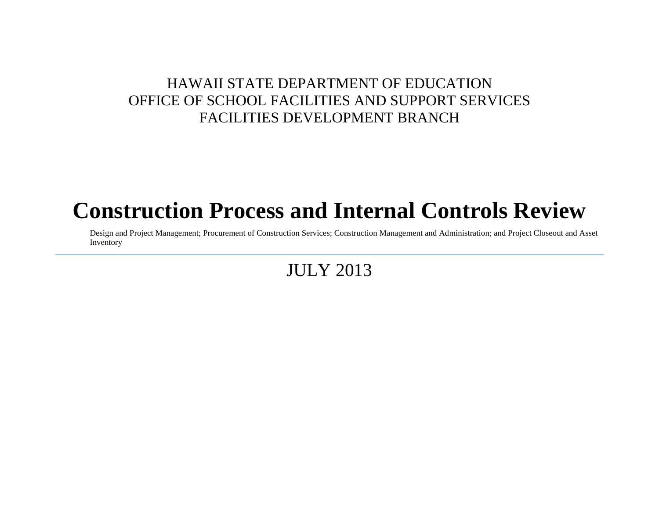# **Construction Process and Internal Controls Review**

Design and Project Management; Procurement of Construction Services; Construction Management and Administration; and Project Closeout and Asset Inventory

JULY 2013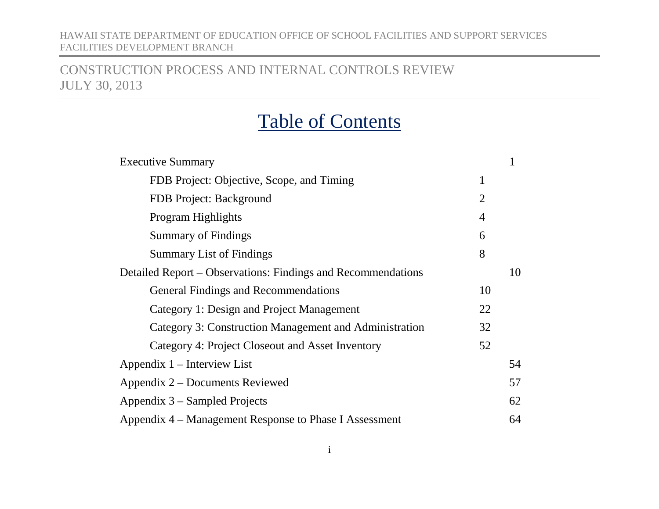## CONSTRUCTION PROCESS AND INTERNAL CONTROLS REVIEW JULY 30, 2013

# Table of Contents

| <b>Executive Summary</b>                                     |                |    |  |  |
|--------------------------------------------------------------|----------------|----|--|--|
| FDB Project: Objective, Scope, and Timing                    | 1              |    |  |  |
| FDB Project: Background                                      | $\overline{2}$ |    |  |  |
| Program Highlights                                           | $\overline{4}$ |    |  |  |
| <b>Summary of Findings</b>                                   | 6              |    |  |  |
| <b>Summary List of Findings</b>                              | 8              |    |  |  |
| Detailed Report – Observations: Findings and Recommendations |                | 10 |  |  |
| <b>General Findings and Recommendations</b>                  | 10             |    |  |  |
| Category 1: Design and Project Management                    | 22             |    |  |  |
| Category 3: Construction Management and Administration       | 32             |    |  |  |
| Category 4: Project Closeout and Asset Inventory             | 52             |    |  |  |
| Appendix 1 – Interview List                                  |                |    |  |  |
| Appendix 2 – Documents Reviewed                              |                |    |  |  |
| Appendix 3 – Sampled Projects                                |                |    |  |  |
| Appendix 4 – Management Response to Phase I Assessment       |                |    |  |  |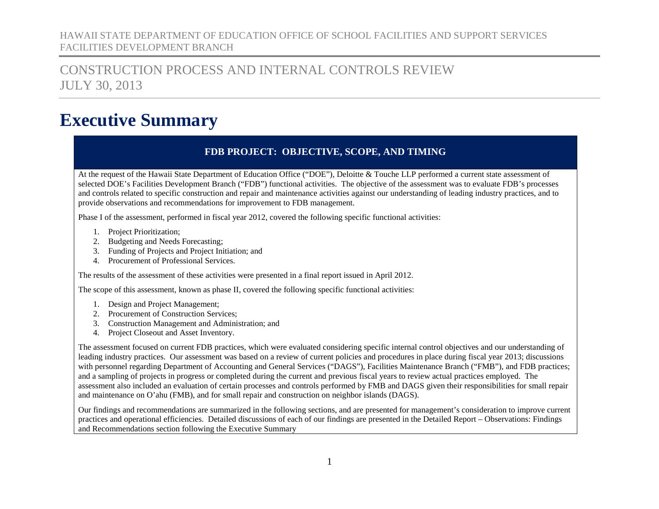## CONSTRUCTION PROCESS AND INTERNAL CONTROLS REVIEW JULY 30, 2013

# <span id="page-2-1"></span><span id="page-2-0"></span>**Executive Summary**

### **FDB PROJECT: OBJECTIVE, SCOPE, AND TIMING**

At the request of the Hawaii State Department of Education Office ("DOE"), Deloitte & Touche LLP performed a current state assessment of selected DOE's Facilities Development Branch ("FDB") functional activities. The objective of the assessment was to evaluate FDB's processes and controls related to specific construction and repair and maintenance activities against our understanding of leading industry practices, and to provide observations and recommendations for improvement to FDB management.

Phase I of the assessment, performed in fiscal year 2012, covered the following specific functional activities:

- 1. Project Prioritization;
- 2. Budgeting and Needs Forecasting;
- 3. Funding of Projects and Project Initiation; and
- 4. Procurement of Professional Services.

The results of the assessment of these activities were presented in a final report issued in April 2012.

The scope of this assessment, known as phase II, covered the following specific functional activities:

- 1. Design and Project Management;
- 2. Procurement of Construction Services;
- 3. Construction Management and Administration; and
- 4. Project Closeout and Asset Inventory.

The assessment focused on current FDB practices, which were evaluated considering specific internal control objectives and our understanding of leading industry practices. Our assessment was based on a review of current policies and procedures in place during fiscal year 2013; discussions with personnel regarding Department of Accounting and General Services ("DAGS"), Facilities Maintenance Branch ("FMB"), and FDB practices; and a sampling of projects in progress or completed during the current and previous fiscal years to review actual practices employed. The assessment also included an evaluation of certain processes and controls performed by FMB and DAGS given their responsibilities for small repair and maintenance on O'ahu (FMB), and for small repair and construction on neighbor islands (DAGS).

Our findings and recommendations are summarized in the following sections, and are presented for management's consideration to improve current practices and operational efficiencies. Detailed discussions of each of our findings are presented in the Detailed Report – Observations: Findings and Recommendations section following the Executive Summary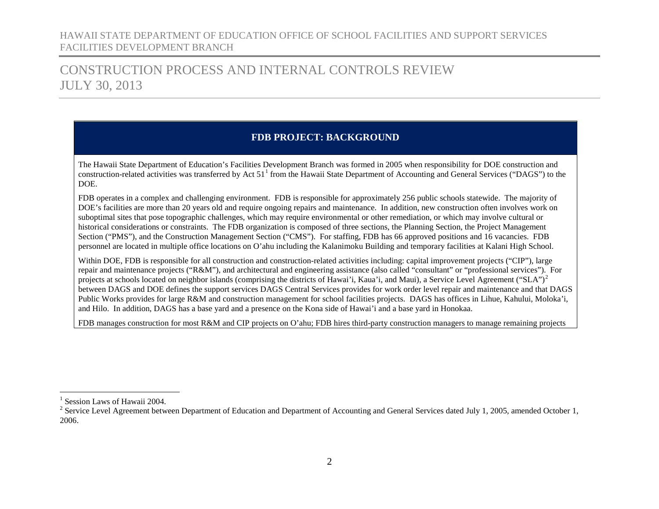## CONSTRUCTION PROCESS AND INTERNAL CONTROLS REVIEW JULY 30, 2013

### <span id="page-3-2"></span><span id="page-3-1"></span>**FDB PROJECT: BACKGROUND**

<span id="page-3-0"></span>The Hawaii State Department of Education's Facilities Development Branch was formed in 2005 when responsibility for DOE construction and construction-related activities was transferred by Act  $51<sup>1</sup>$  $51<sup>1</sup>$  $51<sup>1</sup>$  from the Hawaii State Department of Accounting and General Services ("DAGS") to the DOE.

FDB operates in a complex and challenging environment. FDB is responsible for approximately 256 public schools statewide. The majority of DOE's facilities are more than 20 years old and require ongoing repairs and maintenance. In addition, new construction often involves work on suboptimal sites that pose topographic challenges, which may require environmental or other remediation, or which may involve cultural or historical considerations or constraints. The FDB organization is composed of three sections, the Planning Section, the Project Management Section ("PMS"), and the Construction Management Section ("CMS"). For staffing, FDB has 66 approved positions and 16 vacancies. FDB personnel are located in multiple office locations on O'ahu including the Kalanimoku Building and temporary facilities at Kalani High School.

Within DOE, FDB is responsible for all construction and construction-related activities including: capital improvement projects ("CIP"), large repair and maintenance projects ("R&M"), and architectural and engineering assistance (also called "consultant" or "professional services"). For projects at schools located on neighbor islands (comprising the districts of Hawai'i, Kaua'i, and Maui), a Service Level Agreement ("SLA")<sup>[2](#page-3-2)</sup> between DAGS and DOE defines the support services DAGS Central Services provides for work order level repair and maintenance and that DAGS Public Works provides for large R&M and construction management for school facilities projects. DAGS has offices in Lihue, Kahului, Moloka'i, and Hilo. In addition, DAGS has a base yard and a presence on the Kona side of Hawai'i and a base yard in Honokaa.

FDB manages construction for most R&M and CIP projects on O'ahu; FDB hires third-party construction managers to manage remaining projects

 $<sup>1</sup>$  Session Laws of Hawaii 2004.</sup>

 $2$  Service Level Agreement between Department of Education and Department of Accounting and General Services dated July 1, 2005, amended October 1, 2006.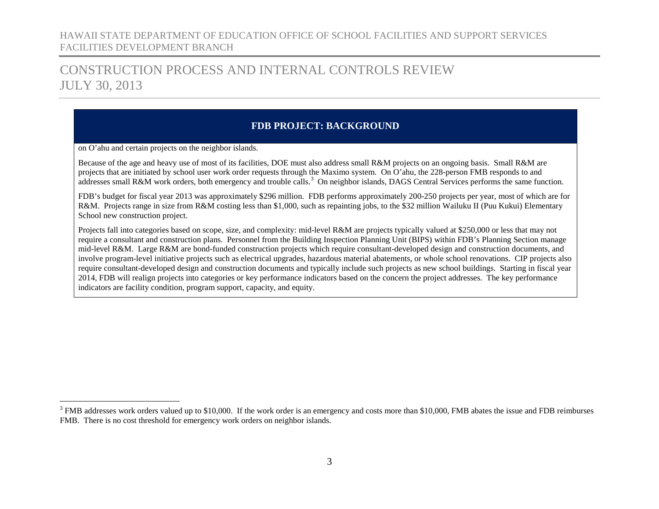## CONSTRUCTION PROCESS AND INTERNAL CONTROLS REVIEW JULY 30, 2013

### <span id="page-4-0"></span>**FDB PROJECT: BACKGROUND**

on O'ahu and certain projects on the neighbor islands.

Because of the age and heavy use of most of its facilities, DOE must also address small R&M projects on an ongoing basis. Small R&M are projects that are initiated by school user work order requests through the Maximo system. On O'ahu, the 228-person FMB responds to and addresses small R&M work orders, both emergency and trouble calls.<sup>[3](#page-4-0)</sup> On neighbor islands, DAGS Central Services performs the same function.

FDB's budget for fiscal year 2013 was approximately \$296 million. FDB performs approximately 200-250 projects per year, most of which are for R&M. Projects range in size from R&M costing less than \$1,000, such as repainting jobs, to the \$32 million Wailuku II (Puu Kukui) Elementary School new construction project.

Projects fall into categories based on scope, size, and complexity: mid-level R&M are projects typically valued at \$250,000 or less that may not require a consultant and construction plans. Personnel from the Building Inspection Planning Unit (BIPS) within FDB's Planning Section manage mid-level R&M. Large R&M are bond-funded construction projects which require consultant-developed design and construction documents, and involve program-level initiative projects such as electrical upgrades, hazardous material abatements, or whole school renovations. CIP projects also require consultant-developed design and construction documents and typically include such projects as new school buildings. Starting in fiscal year 2014, FDB will realign projects into categories or key performance indicators based on the concern the project addresses. The key performance indicators are facility condition, program support, capacity, and equity.

<sup>&</sup>lt;sup>3</sup> FMB addresses work orders valued up to \$10,000. If the work order is an emergency and costs more than \$10,000, FMB abates the issue and FDB reimburses FMB. There is no cost threshold for emergency work orders on neighbor islands.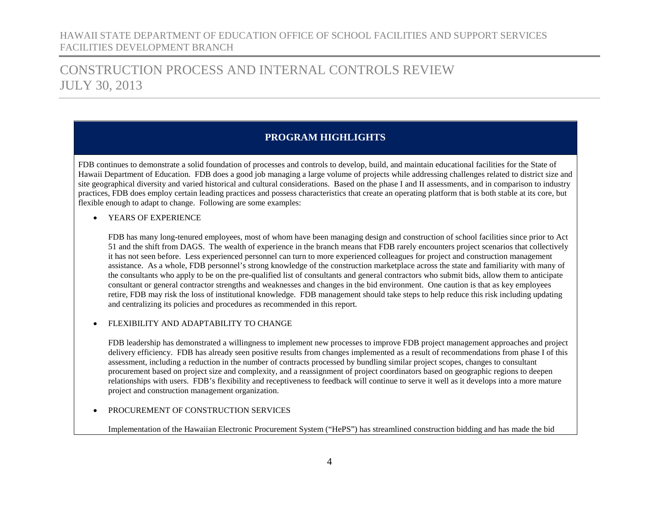## CONSTRUCTION PROCESS AND INTERNAL CONTROLS REVIEW JULY 30, 2013

### <span id="page-5-0"></span>**PROGRAM HIGHLIGHTS**

FDB continues to demonstrate a solid foundation of processes and controls to develop, build, and maintain educational facilities for the State of Hawaii Department of Education. FDB does a good job managing a large volume of projects while addressing challenges related to district size and site geographical diversity and varied historical and cultural considerations. Based on the phase I and II assessments, and in comparison to industry practices, FDB does employ certain leading practices and possess characteristics that create an operating platform that is both stable at its core, but flexible enough to adapt to change. Following are some examples:

• YEARS OF EXPERIENCE

FDB has many long-tenured employees, most of whom have been managing design and construction of school facilities since prior to Act 51 and the shift from DAGS. The wealth of experience in the branch means that FDB rarely encounters project scenarios that collectively it has not seen before. Less experienced personnel can turn to more experienced colleagues for project and construction management assistance. As a whole, FDB personnel's strong knowledge of the construction marketplace across the state and familiarity with many of the consultants who apply to be on the pre-qualified list of consultants and general contractors who submit bids, allow them to anticipate consultant or general contractor strengths and weaknesses and changes in the bid environment. One caution is that as key employees retire, FDB may risk the loss of institutional knowledge. FDB management should take steps to help reduce this risk including updating and centralizing its policies and procedures as recommended in this report.

#### • FLEXIBILITY AND ADAPTABILITY TO CHANGE

FDB leadership has demonstrated a willingness to implement new processes to improve FDB project management approaches and project delivery efficiency. FDB has already seen positive results from changes implemented as a result of recommendations from phase I of this assessment, including a reduction in the number of contracts processed by bundling similar project scopes, changes to consultant procurement based on project size and complexity, and a reassignment of project coordinators based on geographic regions to deepen relationships with users. FDB's flexibility and receptiveness to feedback will continue to serve it well as it develops into a more mature project and construction management organization.

#### • PROCUREMENT OF CONSTRUCTION SERVICES

Implementation of the Hawaiian Electronic Procurement System ("HePS") has streamlined construction bidding and has made the bid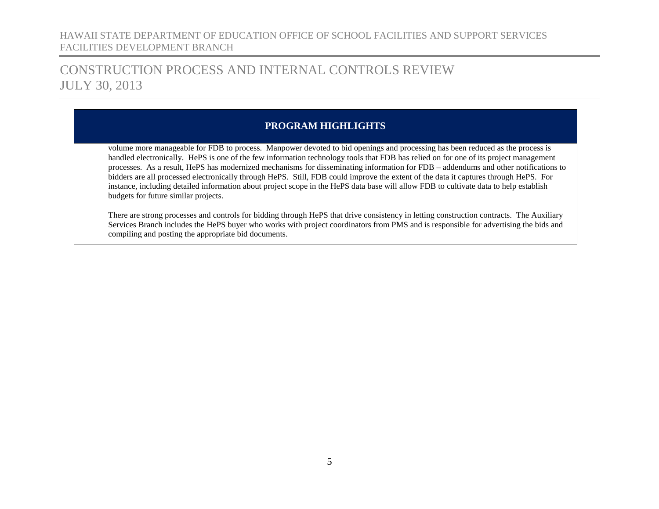## CONSTRUCTION PROCESS AND INTERNAL CONTROLS REVIEW JULY 30, 2013

### **PROGRAM HIGHLIGHTS**

volume more manageable for FDB to process. Manpower devoted to bid openings and processing has been reduced as the process is handled electronically. HePS is one of the few information technology tools that FDB has relied on for one of its project management processes. As a result, HePS has modernized mechanisms for disseminating information for FDB – addendums and other notifications to bidders are all processed electronically through HePS. Still, FDB could improve the extent of the data it captures through HePS. For instance, including detailed information about project scope in the HePS data base will allow FDB to cultivate data to help establish budgets for future similar projects.

There are strong processes and controls for bidding through HePS that drive consistency in letting construction contracts. The Auxiliary Services Branch includes the HePS buyer who works with project coordinators from PMS and is responsible for advertising the bids and compiling and posting the appropriate bid documents.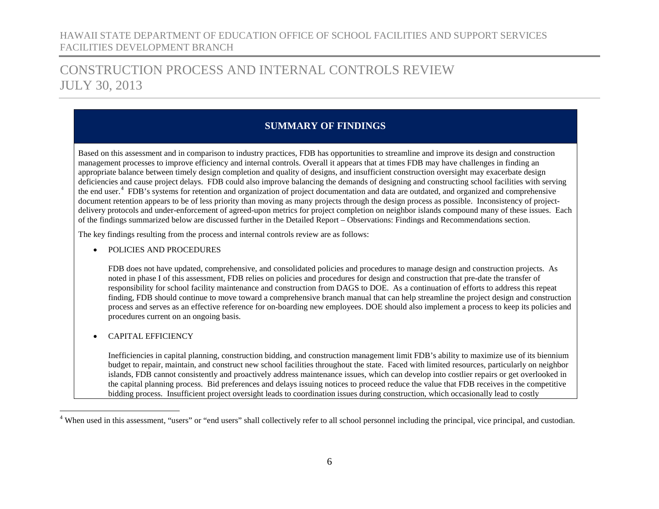## CONSTRUCTION PROCESS AND INTERNAL CONTROLS REVIEW JULY 30, 2013

### <span id="page-7-1"></span><span id="page-7-0"></span>**SUMMARY OF FINDINGS**

Based on this assessment and in comparison to industry practices, FDB has opportunities to streamline and improve its design and construction management processes to improve efficiency and internal controls. Overall it appears that at times FDB may have challenges in finding an appropriate balance between timely design completion and quality of designs, and insufficient construction oversight may exacerbate design deficiencies and cause project delays. FDB could also improve balancing the demands of designing and constructing school facilities with serving the end user.<sup>[4](#page-7-1)</sup> FDB's systems for retention and organization of project documentation and data are outdated, and organized and comprehensive document retention appears to be of less priority than moving as many projects through the design process as possible. Inconsistency of projectdelivery protocols and under-enforcement of agreed-upon metrics for project completion on neighbor islands compound many of these issues. Each of the findings summarized below are discussed further in the Detailed Report – Observations: Findings and Recommendations section.

The key findings resulting from the process and internal controls review are as follows:

• POLICIES AND PROCEDURES

FDB does not have updated, comprehensive, and consolidated policies and procedures to manage design and construction projects. As noted in phase I of this assessment, FDB relies on policies and procedures for design and construction that pre-date the transfer of responsibility for school facility maintenance and construction from DAGS to DOE. As a continuation of efforts to address this repeat finding, FDB should continue to move toward a comprehensive branch manual that can help streamline the project design and construction process and serves as an effective reference for on-boarding new employees. DOE should also implement a process to keep its policies and procedures current on an ongoing basis.

• CAPITAL EFFICIENCY

Inefficiencies in capital planning, construction bidding, and construction management limit FDB's ability to maximize use of its biennium budget to repair, maintain, and construct new school facilities throughout the state. Faced with limited resources, particularly on neighbor islands, FDB cannot consistently and proactively address maintenance issues, which can develop into costlier repairs or get overlooked in the capital planning process. Bid preferences and delays issuing notices to proceed reduce the value that FDB receives in the competitive bidding process. Insufficient project oversight leads to coordination issues during construction, which occasionally lead to costly

<sup>&</sup>lt;sup>4</sup> When used in this assessment, "users" or "end users" shall collectively refer to all school personnel including the principal, vice principal, and custodian.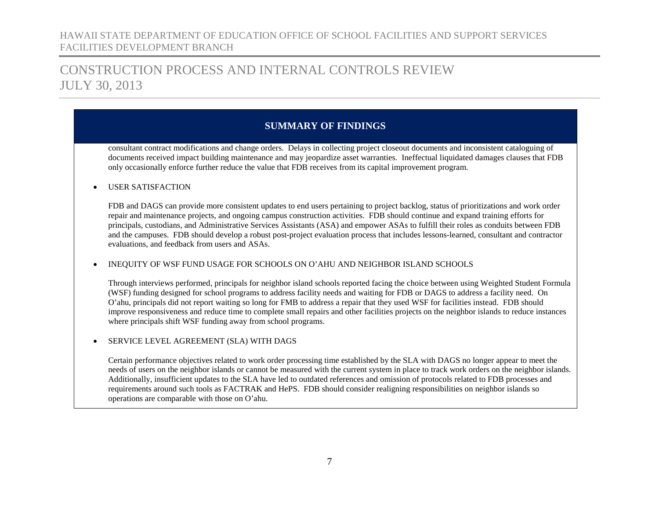## CONSTRUCTION PROCESS AND INTERNAL CONTROLS REVIEW JULY 30, 2013

### **SUMMARY OF FINDINGS**

consultant contract modifications and change orders. Delays in collecting project closeout documents and inconsistent cataloguing of documents received impact building maintenance and may jeopardize asset warranties. Ineffectual liquidated damages clauses that FDB only occasionally enforce further reduce the value that FDB receives from its capital improvement program.

• USER SATISFACTION

FDB and DAGS can provide more consistent updates to end users pertaining to project backlog, status of prioritizations and work order repair and maintenance projects, and ongoing campus construction activities. FDB should continue and expand training efforts for principals, custodians, and Administrative Services Assistants (ASA) and empower ASAs to fulfill their roles as conduits between FDB and the campuses. FDB should develop a robust post-project evaluation process that includes lessons-learned, consultant and contractor evaluations, and feedback from users and ASAs.

• INEQUITY OF WSF FUND USAGE FOR SCHOOLS ON O'AHU AND NEIGHBOR ISLAND SCHOOLS

Through interviews performed, principals for neighbor island schools reported facing the choice between using Weighted Student Formula (WSF) funding designed for school programs to address facility needs and waiting for FDB or DAGS to address a facility need. On O'ahu, principals did not report waiting so long for FMB to address a repair that they used WSF for facilities instead. FDB should improve responsiveness and reduce time to complete small repairs and other facilities projects on the neighbor islands to reduce instances where principals shift WSF funding away from school programs.

SERVICE LEVEL AGREEMENT (SLA) WITH DAGS

Certain performance objectives related to work order processing time established by the SLA with DAGS no longer appear to meet the needs of users on the neighbor islands or cannot be measured with the current system in place to track work orders on the neighbor islands. Additionally, insufficient updates to the SLA have led to outdated references and omission of protocols related to FDB processes and requirements around such tools as FACTRAK and HePS. FDB should consider realigning responsibilities on neighbor islands so operations are comparable with those on O'ahu.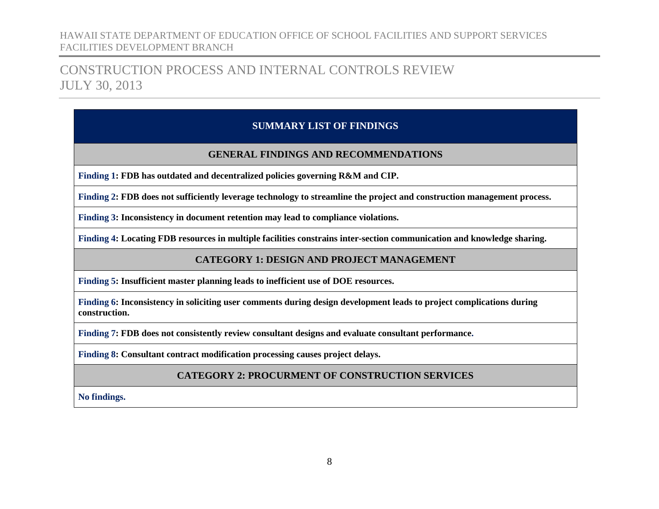## <span id="page-9-0"></span>CONSTRUCTION PROCESS AND INTERNAL CONTROLS REVIEW JULY 30, 2013

### **SUMMARY LIST OF FINDINGS**

#### **GENERAL FINDINGS [AND RECOMMENDATIONS](#page-11-0)**

**[Finding 1: FDB has outdated and decentralized policies governing R&M and CIP.](#page-11-1)**

**Finding 2: FDB does not sufficiently leverage technology [to streamline the project and construction management process.](#page-14-0)**

**Finding 3: [Inconsistency in document retention may lead to compliance violations.](#page-18-0)**

**[Finding 4: Locating FDB resources in multiple facilities constrains inter-section communication and knowledge sharing.](#page-21-0)**

### **CATEGORY 1: DESIGN AND PROJECT MANAGEMENT**

**[Finding 5: Insufficient master planning leads to inefficient use of DOE resources.](#page-23-1)**

**[Finding 6: Inconsistency in soliciting user comments during design development leads to project complications during](#page-25-0)  [construction.](#page-25-0)**

**[Finding 7: FDB does not consistently review consultant designs and evaluate consultant performance.](#page-27-0)**

**[Finding 8: Consultant contract modification processing causes project delays.](#page-30-0)**

**CATEGORY 2: PROCURMENT OF CONSTRUCTION SERVICES**

**No findings.**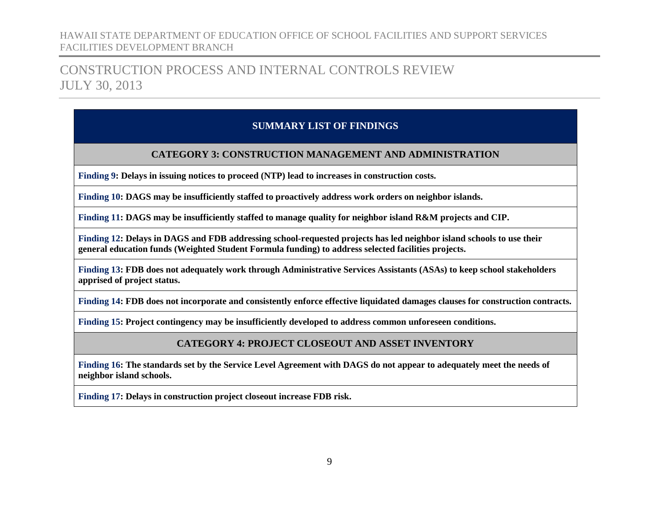## CONSTRUCTION PROCESS AND INTERNAL CONTROLS REVIEW JULY 30, 2013

### **SUMMARY LIST OF FINDINGS**

#### **[CATEGORY 3: CONSTRUCTION MANAGEMENT AND ADMINISTRATION](#page-33-0)**

**[Finding 9: Delays in issuing notices to proceed \(NTP\) lead to increases in construction costs.](#page-33-1)**

**[Finding 10: DAGS may be insufficiently staffed to proactively address work orders on neighbor islands.](#page-35-0)**

**[Finding 11: DAGS may be insufficiently staffed to manage quality for neighbor island R&M projects and CIP.](#page-40-0)**

**[Finding 12: Delays in DAGS and FDB addressing school-requested projects has led neighbor island schools to use their](#page-42-0)  [general education funds \(Weighted Student Formula funding\) to address selected facilities projects.](#page-42-0)**

**[Finding 13: FDB does not adequately work through Administrative Services Assistants \(ASAs\) to keep school stakeholders](#page-45-0)  [apprised of project status.](#page-45-0)**

**Finding 14: [FDB does not incorporate and consistently enforce effective liquidated damages clauses for construction contracts.](#page-48-0)**

**[Finding 15: Project contingency may be insufficiently developed to address common unforeseen conditions.](#page-50-0)**

#### **[CATEGORY 4: PROJECT CLOSEOUT AND ASSET INVENTORY](#page-53-0)**

**Finding 16: [The standards set by the Service Level Agreement with DAGS do not appear to adequately meet the needs of](#page-51-0)  [neighbor island schools.](#page-51-0)**

**[Finding 17: Delays in construction project closeout increase FDB risk.](#page-53-1)**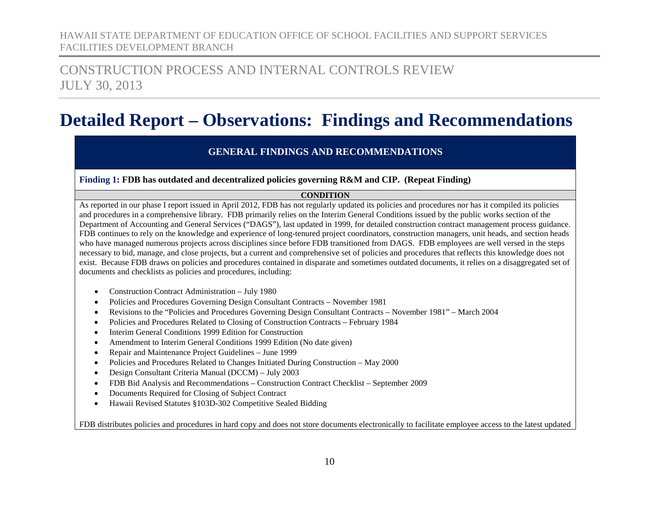## CONSTRUCTION PROCESS AND INTERNAL CONTROLS REVIEW JULY 30, 2013

# <span id="page-11-0"></span>**Detailed Report – Observations: Findings and Recommendations**

#### **GENERAL FINDINGS AND RECOMMENDATIONS**

#### <span id="page-11-1"></span>**Finding 1: FDB has outdated and decentralized policies governing R&M and CIP. (Repeat Finding)**

#### **CONDITION**

As reported in our phase I report issued in April 2012, FDB has not regularly updated its policies and procedures nor has it compiled its policies and procedures in a comprehensive library. FDB primarily relies on the Interim General Conditions issued by the public works section of the Department of Accounting and General Services ("DAGS"), last updated in 1999, for detailed construction contract management process guidance. FDB continues to rely on the knowledge and experience of long-tenured project coordinators, construction managers, unit heads, and section heads who have managed numerous projects across disciplines since before FDB transitioned from DAGS. FDB employees are well versed in the steps necessary to bid, manage, and close projects, but a current and comprehensive set of policies and procedures that reflects this knowledge does not exist. Because FDB draws on policies and procedures contained in disparate and sometimes outdated documents, it relies on a disaggregated set of documents and checklists as policies and procedures, including:

- Construction Contract Administration July 1980
- Policies and Procedures Governing Design Consultant Contracts November 1981
- Revisions to the "Policies and Procedures Governing Design Consultant Contracts November 1981" March 2004
- Policies and Procedures Related to Closing of Construction Contracts February 1984
- Interim General Conditions 1999 Edition for Construction
- Amendment to Interim General Conditions 1999 Edition (No date given)
- Repair and Maintenance Project Guidelines June 1999
- Policies and Procedures Related to Changes Initiated During Construction May 2000
- Design Consultant Criteria Manual (DCCM) July 2003
- FDB Bid Analysis and Recommendations Construction Contract Checklist September 2009
- Documents Required for Closing of Subject Contract
- Hawaii Revised Statutes §103D-302 Competitive Sealed Bidding

FDB distributes policies and procedures in hard copy and does not store documents electronically to facilitate employee access to the latest updated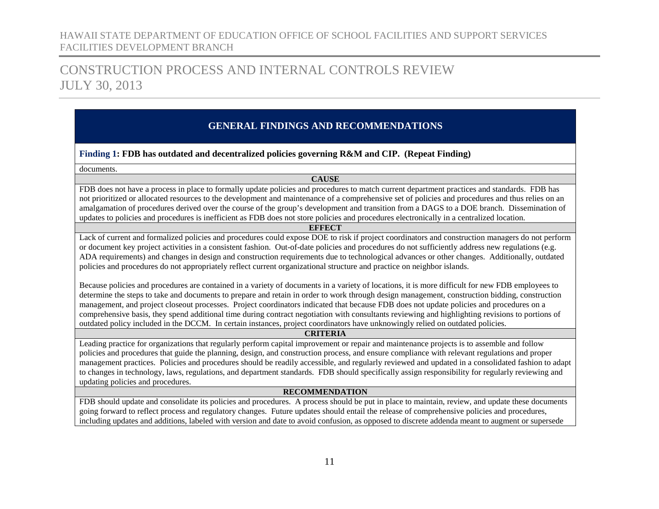## CONSTRUCTION PROCESS AND INTERNAL CONTROLS REVIEW JULY 30, 2013

### **GENERAL FINDINGS AND RECOMMENDATIONS**

#### **Finding 1: FDB has outdated and decentralized policies governing R&M and CIP. (Repeat Finding)**

documents.

#### **CAUSE**

FDB does not have a process in place to formally update policies and procedures to match current department practices and standards. FDB has not prioritized or allocated resources to the development and maintenance of a comprehensive set of policies and procedures and thus relies on an amalgamation of procedures derived over the course of the group's development and transition from a DAGS to a DOE branch. Dissemination of updates to policies and procedures is inefficient as FDB does not store policies and procedures electronically in a centralized location.

#### **EFFECT**

Lack of current and formalized policies and procedures could expose DOE to risk if project coordinators and construction managers do not perform or document key project activities in a consistent fashion. Out-of-date policies and procedures do not sufficiently address new regulations (e.g. ADA requirements) and changes in design and construction requirements due to technological advances or other changes. Additionally, outdated policies and procedures do not appropriately reflect current organizational structure and practice on neighbor islands.

Because policies and procedures are contained in a variety of documents in a variety of locations, it is more difficult for new FDB employees to determine the steps to take and documents to prepare and retain in order to work through design management, construction bidding, construction management, and project closeout processes. Project coordinators indicated that because FDB does not update policies and procedures on a comprehensive basis, they spend additional time during contract negotiation with consultants reviewing and highlighting revisions to portions of outdated policy included in the DCCM. In certain instances, project coordinators have unknowingly relied on outdated policies.

#### **CRITERIA**

Leading practice for organizations that regularly perform capital improvement or repair and maintenance projects is to assemble and follow policies and procedures that guide the planning, design, and construction process, and ensure compliance with relevant regulations and proper management practices. Policies and procedures should be readily accessible, and regularly reviewed and updated in a consolidated fashion to adapt to changes in technology, laws, regulations, and department standards. FDB should specifically assign responsibility for regularly reviewing and updating policies and procedures.

#### **RECOMMENDATION**

FDB should update and consolidate its policies and procedures. A process should be put in place to maintain, review, and update these documents going forward to reflect process and regulatory changes. Future updates should entail the release of comprehensive policies and procedures, including updates and additions, labeled with version and date to avoid confusion, as opposed to discrete addenda meant to augment or supersede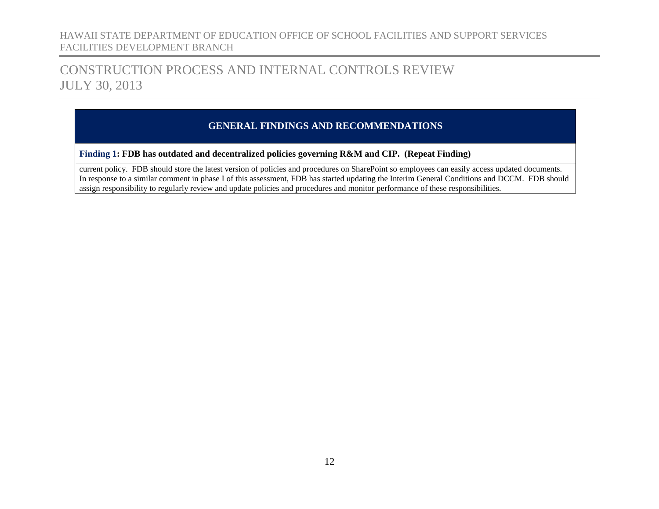## CONSTRUCTION PROCESS AND INTERNAL CONTROLS REVIEW JULY 30, 2013

### **GENERAL FINDINGS AND RECOMMENDATIONS**

#### **Finding 1: FDB has outdated and decentralized policies governing R&M and CIP. (Repeat Finding)**

current policy. FDB should store the latest version of policies and procedures on SharePoint so employees can easily access updated documents. In response to a similar comment in phase I of this assessment, FDB has started updating the Interim General Conditions and DCCM. FDB should assign responsibility to regularly review and update policies and procedures and monitor performance of these responsibilities.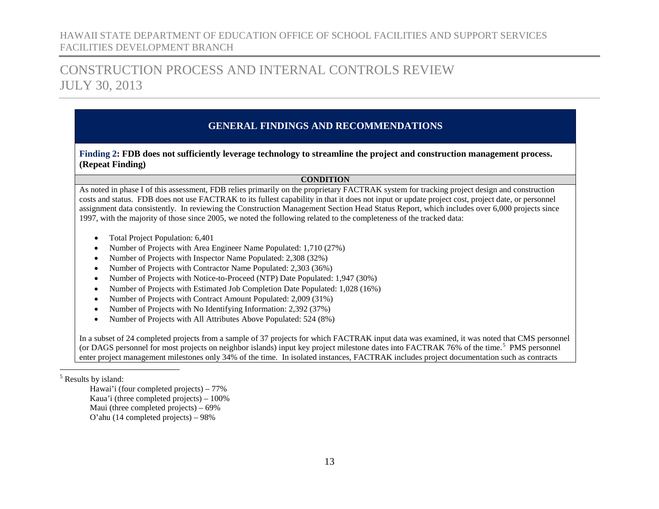## CONSTRUCTION PROCESS AND INTERNAL CONTROLS REVIEW JULY 30, 2013

### <span id="page-14-1"></span>**GENERAL FINDINGS AND RECOMMENDATIONS**

#### <span id="page-14-0"></span>**Finding 2: FDB does not sufficiently leverage technology to streamline the project and construction management process. (Repeat Finding)**

#### **CONDITION**

As noted in phase I of this assessment, FDB relies primarily on the proprietary FACTRAK system for tracking project design and construction costs and status. FDB does not use FACTRAK to its fullest capability in that it does not input or update project cost, project date, or personnel assignment data consistently. In reviewing the Construction Management Section Head Status Report, which includes over 6,000 projects since 1997, with the majority of those since 2005, we noted the following related to the completeness of the tracked data:

- Total Project Population: 6,401
- Number of Projects with Area Engineer Name Populated: 1,710 (27%)
- Number of Projects with Inspector Name Populated: 2,308 (32%)
- Number of Projects with Contractor Name Populated: 2,303 (36%)
- Number of Projects with Notice-to-Proceed (NTP) Date Populated: 1,947 (30%)
- Number of Projects with Estimated Job Completion Date Populated: 1,028 (16%)
- Number of Projects with Contract Amount Populated: 2,009 (31%)
- Number of Projects with No Identifying Information: 2,392 (37%)
- Number of Projects with All Attributes Above Populated: 524 (8%)

In a subset of 24 completed projects from a sample of 37 projects for which FACTRAK input data was examined, it was noted that CMS personnel (or DAGS personnel for most projects on neighbor islands) input key project milestone dates into FACTRAK 76% of the time.<sup>[5](#page-14-1)</sup> PMS personnel enter project management milestones only 34% of the time. In isolated instances, FACTRAK includes project documentation such as contracts

Hawai'i (four completed projects) – 77% Kaua'i (three completed projects) – 100% Maui (three completed projects) – 69% O'ahu (14 completed projects) – 98%

 <sup>5</sup> Results by island: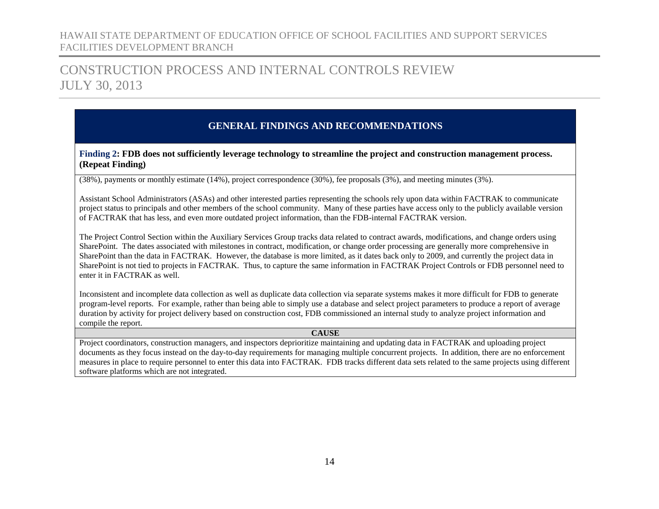## CONSTRUCTION PROCESS AND INTERNAL CONTROLS REVIEW JULY 30, 2013

### **GENERAL FINDINGS AND RECOMMENDATIONS**

#### **Finding 2: FDB does not sufficiently leverage technology to streamline the project and construction management process. (Repeat Finding)**

(38%), payments or monthly estimate (14%), project correspondence (30%), fee proposals (3%), and meeting minutes (3%).

Assistant School Administrators (ASAs) and other interested parties representing the schools rely upon data within FACTRAK to communicate project status to principals and other members of the school community. Many of these parties have access only to the publicly available version of FACTRAK that has less, and even more outdated project information, than the FDB-internal FACTRAK version.

The Project Control Section within the Auxiliary Services Group tracks data related to contract awards, modifications, and change orders using SharePoint. The dates associated with milestones in contract, modification, or change order processing are generally more comprehensive in SharePoint than the data in FACTRAK. However, the database is more limited, as it dates back only to 2009, and currently the project data in SharePoint is not tied to projects in FACTRAK. Thus, to capture the same information in FACTRAK Project Controls or FDB personnel need to enter it in FACTRAK as well.

Inconsistent and incomplete data collection as well as duplicate data collection via separate systems makes it more difficult for FDB to generate program-level reports. For example, rather than being able to simply use a database and select project parameters to produce a report of average duration by activity for project delivery based on construction cost, FDB commissioned an internal study to analyze project information and compile the report.

#### **CAUSE**

Project coordinators, construction managers, and inspectors deprioritize maintaining and updating data in FACTRAK and uploading project documents as they focus instead on the day-to-day requirements for managing multiple concurrent projects. In addition, there are no enforcement measures in place to require personnel to enter this data into FACTRAK. FDB tracks different data sets related to the same projects using different software platforms which are not integrated.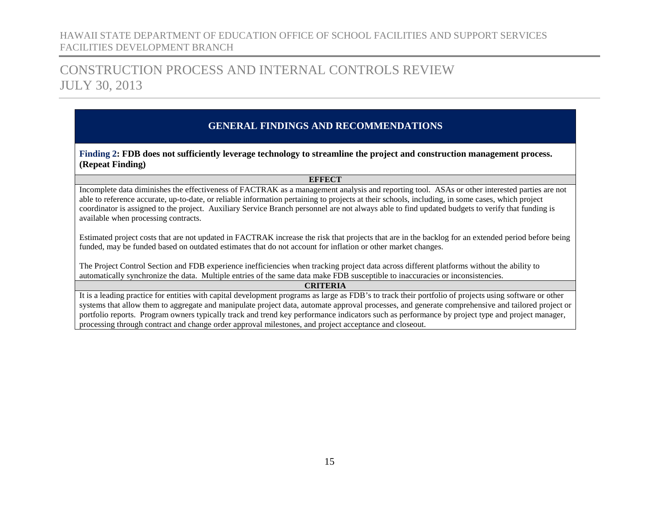## CONSTRUCTION PROCESS AND INTERNAL CONTROLS REVIEW JULY 30, 2013

### **GENERAL FINDINGS AND RECOMMENDATIONS**

**Finding 2: FDB does not sufficiently leverage technology to streamline the project and construction management process. (Repeat Finding)**

#### **EFFECT**

Incomplete data diminishes the effectiveness of FACTRAK as a management analysis and reporting tool. ASAs or other interested parties are not able to reference accurate, up-to-date, or reliable information pertaining to projects at their schools, including, in some cases, which project coordinator is assigned to the project. Auxiliary Service Branch personnel are not always able to find updated budgets to verify that funding is available when processing contracts.

Estimated project costs that are not updated in FACTRAK increase the risk that projects that are in the backlog for an extended period before being funded, may be funded based on outdated estimates that do not account for inflation or other market changes.

The Project Control Section and FDB experience inefficiencies when tracking project data across different platforms without the ability to automatically synchronize the data. Multiple entries of the same data make FDB susceptible to inaccuracies or inconsistencies.

#### **CRITERIA**

It is a leading practice for entities with capital development programs as large as FDB's to track their portfolio of projects using software or other systems that allow them to aggregate and manipulate project data, automate approval processes, and generate comprehensive and tailored project or portfolio reports. Program owners typically track and trend key performance indicators such as performance by project type and project manager, processing through contract and change order approval milestones, and project acceptance and closeout.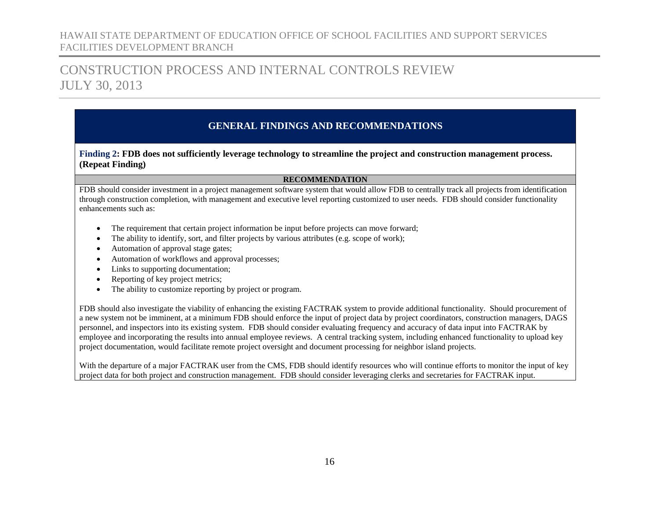## CONSTRUCTION PROCESS AND INTERNAL CONTROLS REVIEW JULY 30, 2013

### **GENERAL FINDINGS AND RECOMMENDATIONS**

#### **Finding 2: FDB does not sufficiently leverage technology to streamline the project and construction management process. (Repeat Finding)**

#### **RECOMMENDATION**

FDB should consider investment in a project management software system that would allow FDB to centrally track all projects from identification through construction completion, with management and executive level reporting customized to user needs. FDB should consider functionality enhancements such as:

- The requirement that certain project information be input before projects can move forward;
- The ability to identify, sort, and filter projects by various attributes (e.g. scope of work);
- Automation of approval stage gates;
- Automation of workflows and approval processes;
- Links to supporting documentation;
- Reporting of key project metrics;
- The ability to customize reporting by project or program.

FDB should also investigate the viability of enhancing the existing FACTRAK system to provide additional functionality. Should procurement of a new system not be imminent, at a minimum FDB should enforce the input of project data by project coordinators, construction managers, DAGS personnel, and inspectors into its existing system. FDB should consider evaluating frequency and accuracy of data input into FACTRAK by employee and incorporating the results into annual employee reviews. A central tracking system, including enhanced functionality to upload key project documentation, would facilitate remote project oversight and document processing for neighbor island projects.

With the departure of a major FACTRAK user from the CMS, FDB should identify resources who will continue efforts to monitor the input of key project data for both project and construction management. FDB should consider leveraging clerks and secretaries for FACTRAK input.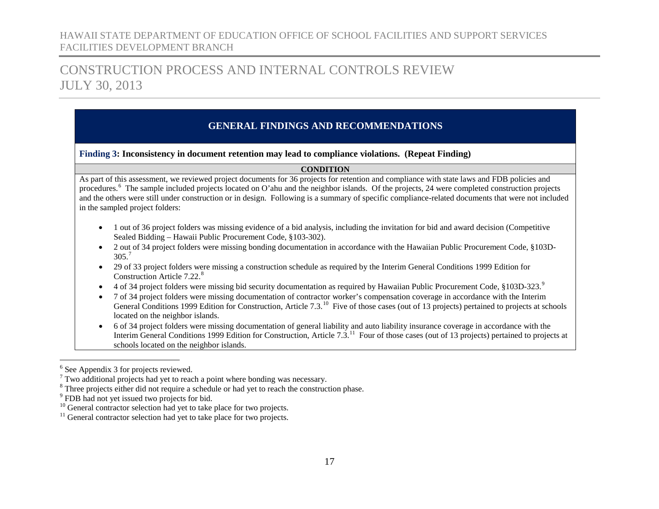## CONSTRUCTION PROCESS AND INTERNAL CONTROLS REVIEW JULY 30, 2013

### <span id="page-18-3"></span><span id="page-18-2"></span><span id="page-18-1"></span>**GENERAL FINDINGS AND RECOMMENDATIONS**

#### <span id="page-18-0"></span>**Finding 3: Inconsistency in document retention may lead to compliance violations. (Repeat Finding)**

#### <span id="page-18-6"></span><span id="page-18-5"></span><span id="page-18-4"></span>**CONDITION**

As part of this assessment, we reviewed project documents for 36 projects for retention and compliance with state laws and FDB policies and procedures.<sup>[6](#page-18-1)</sup> The sample included projects located on O'ahu and the neighbor islands. Of the projects, 24 were completed construction projects and the others were still under construction or in design. Following is a summary of specific compliance-related documents that were not included in the sampled project folders:

- 1 out of 36 project folders was missing evidence of a bid analysis, including the invitation for bid and award decision (Competitive Sealed Bidding – Hawaii Public Procurement Code, §103-302).
- 2 out of 34 project folders were missing bonding documentation in accordance with the Hawaiian Public Procurement Code, §103D- $305.<sup>7</sup>$  $305.<sup>7</sup>$  $305.<sup>7</sup>$
- 29 of 33 project folders were missing a construction schedule as required by the Interim General Conditions 1999 Edition for Construction Article 7.22.<sup>[8](#page-18-3)</sup>
- 4 of 34 project folders were missing bid security documentation as required by Hawaiian Public Procurement Code, §103D-323.<sup>[9](#page-18-4)</sup>
- 7 of 34 project folders were missing documentation of contractor worker's compensation coverage in accordance with the Interim General Conditions 1999 Edition for Construction, Article 7.3.<sup>10</sup> Five of those cases (out of 13 projects) pertained to projects at schools located on the neighbor islands.
- 6 of 34 project folders were missing documentation of general liability and auto liability insurance coverage in accordance with the Interim General Conditions 1999 Edition for Construction, Article 7.3.<sup>11</sup> Four of those cases (out of 13 projects) pertained to projects at schools located on the neighbor islands.

<sup>&</sup>lt;sup>6</sup> See Appendix 3 for projects reviewed.

 $7$  Two additional projects had yet to reach a point where bonding was necessary.

<sup>&</sup>lt;sup>8</sup> Three projects either did not require a schedule or had yet to reach the construction phase.

 $9$  FDB had not yet issued two projects for bid.<br><sup>10</sup> General contractor selection had yet to take place for two projects.

 $11$  General contractor selection had yet to take place for two projects.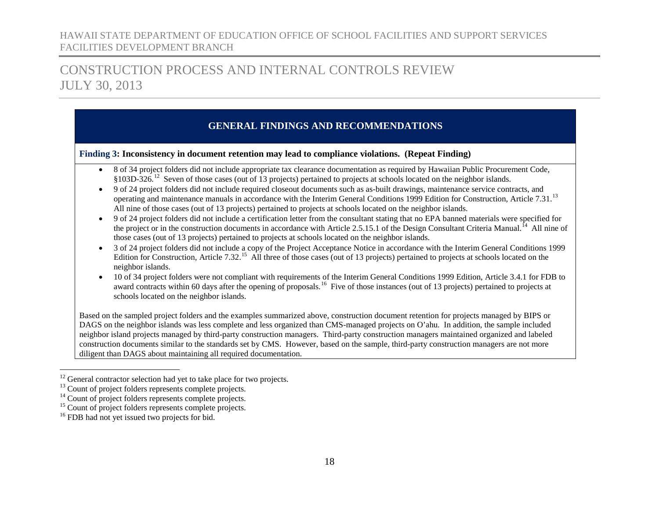## CONSTRUCTION PROCESS AND INTERNAL CONTROLS REVIEW JULY 30, 2013

### <span id="page-19-4"></span><span id="page-19-3"></span><span id="page-19-2"></span><span id="page-19-1"></span><span id="page-19-0"></span>**GENERAL FINDINGS AND RECOMMENDATIONS**

#### **Finding 3: Inconsistency in document retention may lead to compliance violations. (Repeat Finding)**

- 8 of 34 project folders did not include appropriate tax clearance documentation as required by Hawaiian Public Procurement Code, §103D-326.[12](#page-19-0) Seven of those cases (out of 13 projects) pertained to projects at schools located on the neighbor islands.
- 9 of 24 project folders did not include required closeout documents such as as-built drawings, maintenance service contracts, and operating and maintenance manuals in accordance with the Interim General Conditions 1999 Edition for Construction, Article 7.31.<sup>[13](#page-19-1)</sup> All nine of those cases (out of 13 projects) pertained to projects at schools located on the neighbor islands.
- 9 of 24 project folders did not include a certification letter from the consultant stating that no EPA banned materials were specified for the project or in the construction documents in accordance with Article 2.5.15.1 of the Design Consultant Criteria Manual.<sup>14</sup> All nine of those cases (out of 13 projects) pertained to projects at schools located on the neighbor islands.
- 3 of 24 project folders did not include a copy of the Project Acceptance Notice in accordance with the Interim General Conditions 1999 Edition for Construction, Article 7.32.<sup>15</sup> All three of those cases (out of 13 projects) pertained to projects at schools located on the neighbor islands.
- 10 of 34 project folders were not compliant with requirements of the Interim General Conditions 1999 Edition, Article 3.4.1 for FDB to award contracts within 60 days after the opening of proposals.<sup>16</sup> Five of those instances (out of 13 projects) pertained to projects at schools located on the neighbor islands.

Based on the sampled project folders and the examples summarized above, construction document retention for projects managed by BIPS or DAGS on the neighbor islands was less complete and less organized than CMS-managed projects on O'ahu. In addition, the sample included neighbor island projects managed by third-party construction managers. Third-party construction managers maintained organized and labeled construction documents similar to the standards set by CMS. However, based on the sample, third-party construction managers are not more diligent than DAGS about maintaining all required documentation.

<sup>&</sup>lt;sup>12</sup> General contractor selection had yet to take place for two projects.<br><sup>13</sup> Count of project folders represents complete projects.<br><sup>14</sup> Count of project folders represents complete projects.<br><sup>15</sup> Count of project folde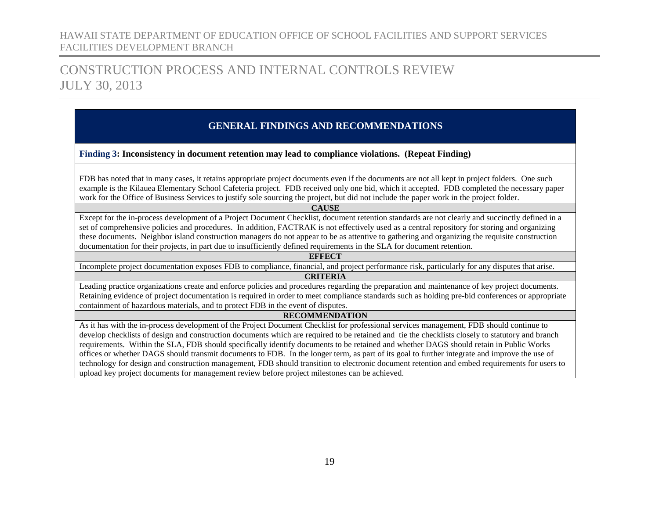## CONSTRUCTION PROCESS AND INTERNAL CONTROLS REVIEW JULY 30, 2013

### **GENERAL FINDINGS AND RECOMMENDATIONS**

#### **Finding 3: Inconsistency in document retention may lead to compliance violations. (Repeat Finding)**

FDB has noted that in many cases, it retains appropriate project documents even if the documents are not all kept in project folders. One such example is the Kilauea Elementary School Cafeteria project. FDB received only one bid, which it accepted. FDB completed the necessary paper work for the Office of Business Services to justify sole sourcing the project, but did not include the paper work in the project folder.

**CAUSE**

Except for the in-process development of a Project Document Checklist, document retention standards are not clearly and succinctly defined in a set of comprehensive policies and procedures. In addition, FACTRAK is not effectively used as a central repository for storing and organizing these documents. Neighbor island construction managers do not appear to be as attentive to gathering and organizing the requisite construction documentation for their projects, in part due to insufficiently defined requirements in the SLA for document retention.

#### **EFFECT**

Incomplete project documentation exposes FDB to compliance, financial, and project performance risk, particularly for any disputes that arise.

#### **CRITERIA**

Leading practice organizations create and enforce policies and procedures regarding the preparation and maintenance of key project documents. Retaining evidence of project documentation is required in order to meet compliance standards such as holding pre-bid conferences or appropriate containment of hazardous materials, and to protect FDB in the event of disputes.

#### **RECOMMENDATION**

As it has with the in-process development of the Project Document Checklist for professional services management, FDB should continue to develop checklists of design and construction documents which are required to be retained and tie the checklists closely to statutory and branch requirements. Within the SLA, FDB should specifically identify documents to be retained and whether DAGS should retain in Public Works offices or whether DAGS should transmit documents to FDB. In the longer term, as part of its goal to further integrate and improve the use of technology for design and construction management, FDB should transition to electronic document retention and embed requirements for users to upload key project documents for management review before project milestones can be achieved.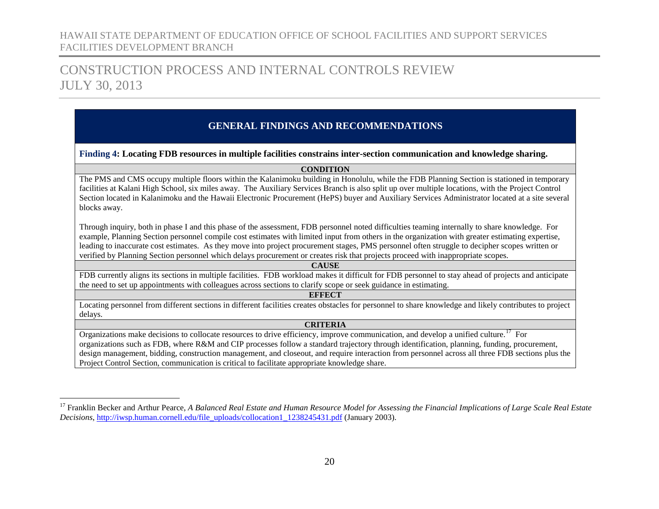## CONSTRUCTION PROCESS AND INTERNAL CONTROLS REVIEW JULY 30, 2013

### **GENERAL FINDINGS AND RECOMMENDATIONS**

#### <span id="page-21-0"></span>**Finding 4: Locating FDB resources in multiple facilities constrains inter-section communication and knowledge sharing.**

<span id="page-21-1"></span>**CONDITION**

The PMS and CMS occupy multiple floors within the Kalanimoku building in Honolulu, while the FDB Planning Section is stationed in temporary facilities at Kalani High School, six miles away. The Auxiliary Services Branch is also split up over multiple locations, with the Project Control Section located in Kalanimoku and the Hawaii Electronic Procurement (HePS) buyer and Auxiliary Services Administrator located at a site several blocks away.

Through inquiry, both in phase I and this phase of the assessment, FDB personnel noted difficulties teaming internally to share knowledge. For example, Planning Section personnel compile cost estimates with limited input from others in the organization with greater estimating expertise, leading to inaccurate cost estimates. As they move into project procurement stages, PMS personnel often struggle to decipher scopes written or verified by Planning Section personnel which delays procurement or creates risk that projects proceed with inappropriate scopes.

#### **CAUSE**

FDB currently aligns its sections in multiple facilities. FDB workload makes it difficult for FDB personnel to stay ahead of projects and anticipate the need to set up appointments with colleagues across sections to clarify scope or seek guidance in estimating.

#### **EFFECT**

Locating personnel from different sections in different facilities creates obstacles for personnel to share knowledge and likely contributes to project delays.

#### **CRITERIA**

Organizations make decisions to collocate resources to drive efficiency, improve communication, and develop a unified culture.<sup>17</sup> For organizations such as FDB, where R&M and CIP processes follow a standard trajectory through identification, planning, funding, procurement, design management, bidding, construction management, and closeout, and require interaction from personnel across all three FDB sections plus the Project Control Section, communication is critical to facilitate appropriate knowledge share.

<sup>&</sup>lt;sup>17</sup> Franklin Becker and Arthur Pearce, *A Balanced Real Estate and Human Resource Model for Assessing the Financial Implications of Large Scale Real Estate Decisions*, [http://iwsp.human.cornell.edu/file\\_uploads/collocation1\\_1238245431.pdf](http://iwsp.human.cornell.edu/file_uploads/collocation1_1238245431.pdf) (January 2003).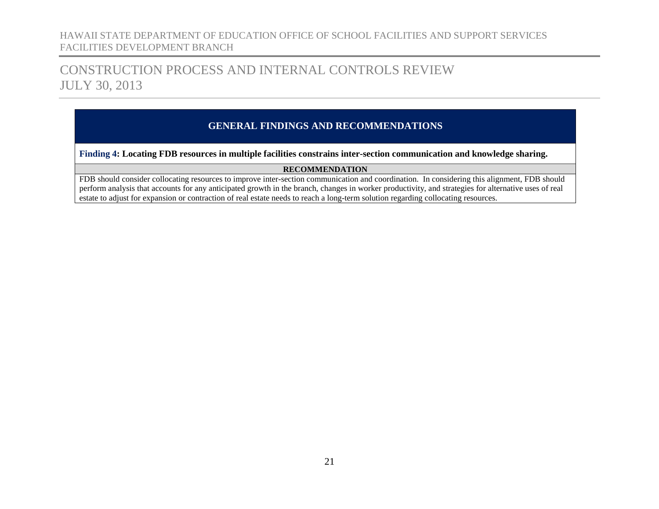## CONSTRUCTION PROCESS AND INTERNAL CONTROLS REVIEW JULY 30, 2013

### **GENERAL FINDINGS AND RECOMMENDATIONS**

**Finding 4: Locating FDB resources in multiple facilities constrains inter-section communication and knowledge sharing.**

#### **RECOMMENDATION**

FDB should consider collocating resources to improve inter-section communication and coordination. In considering this alignment, FDB should perform analysis that accounts for any anticipated growth in the branch, changes in worker productivity, and strategies for alternative uses of real estate to adjust for expansion or contraction of real estate needs to reach a long-term solution regarding collocating resources.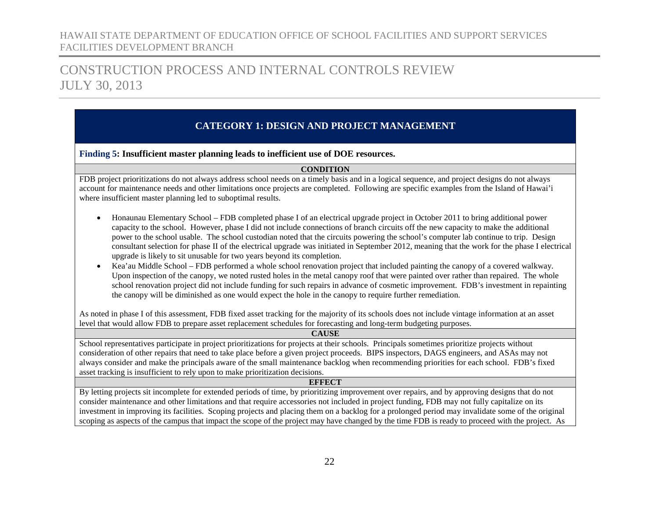## CONSTRUCTION PROCESS AND INTERNAL CONTROLS REVIEW JULY 30, 2013

### <span id="page-23-0"></span>**CATEGORY 1: DESIGN AND PROJECT MANAGEMENT**

#### <span id="page-23-1"></span>**Finding 5: Insufficient master planning leads to inefficient use of DOE resources.**

#### **CONDITION**

FDB project prioritizations do not always address school needs on a timely basis and in a logical sequence, and project designs do not always account for maintenance needs and other limitations once projects are completed. Following are specific examples from the Island of Hawai'i where insufficient master planning led to suboptimal results.

- Honaunau Elementary School FDB completed phase I of an electrical upgrade project in October 2011 to bring additional power capacity to the school. However, phase I did not include connections of branch circuits off the new capacity to make the additional power to the school usable. The school custodian noted that the circuits powering the school's computer lab continue to trip. Design consultant selection for phase II of the electrical upgrade was initiated in September 2012, meaning that the work for the phase I electrical upgrade is likely to sit unusable for two years beyond its completion.
- Kea'au Middle School FDB performed a whole school renovation project that included painting the canopy of a covered walkway. Upon inspection of the canopy, we noted rusted holes in the metal canopy roof that were painted over rather than repaired. The whole school renovation project did not include funding for such repairs in advance of cosmetic improvement. FDB's investment in repainting the canopy will be diminished as one would expect the hole in the canopy to require further remediation.

As noted in phase I of this assessment, FDB fixed asset tracking for the majority of its schools does not include vintage information at an asset level that would allow FDB to prepare asset replacement schedules for forecasting and long-term budgeting purposes.

#### **CAUSE**

School representatives participate in project prioritizations for projects at their schools. Principals sometimes prioritize projects without consideration of other repairs that need to take place before a given project proceeds. BIPS inspectors, DAGS engineers, and ASAs may not always consider and make the principals aware of the small maintenance backlog when recommending priorities for each school. FDB's fixed asset tracking is insufficient to rely upon to make prioritization decisions.

#### **EFFECT**

By letting projects sit incomplete for extended periods of time, by prioritizing improvement over repairs, and by approving designs that do not consider maintenance and other limitations and that require accessories not included in project funding, FDB may not fully capitalize on its investment in improving its facilities. Scoping projects and placing them on a backlog for a prolonged period may invalidate some of the original scoping as aspects of the campus that impact the scope of the project may have changed by the time FDB is ready to proceed with the project. As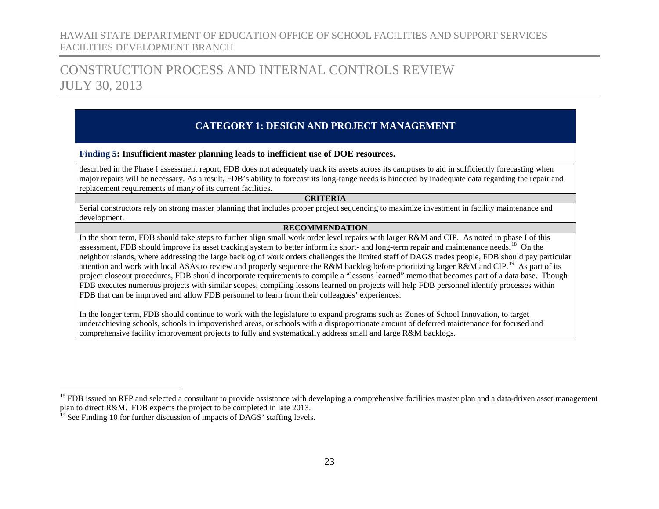## CONSTRUCTION PROCESS AND INTERNAL CONTROLS REVIEW JULY 30, 2013

### <span id="page-24-1"></span><span id="page-24-0"></span>**CATEGORY 1: DESIGN AND PROJECT MANAGEMENT**

**Finding 5: Insufficient master planning leads to inefficient use of DOE resources.**

described in the Phase I assessment report, FDB does not adequately track its assets across its campuses to aid in sufficiently forecasting when major repairs will be necessary. As a result, FDB's ability to forecast its long-range needs is hindered by inadequate data regarding the repair and replacement requirements of many of its current facilities.

#### **CRITERIA**

Serial constructors rely on strong master planning that includes proper project sequencing to maximize investment in facility maintenance and development.

#### **RECOMMENDATION**

In the short term, FDB should take steps to further align small work order level repairs with larger R&M and CIP. As noted in phase I of this assessment, FDB should improve its asset tracking system to better inform its short- and long-term repair and maintenance needs.<sup>[18](#page-24-0)</sup> On the neighbor islands, where addressing the large backlog of work orders challenges the limited staff of DAGS trades people, FDB should pay particular attention and work with local ASAs to review and properly sequence the R&M backlog before prioritizing larger R&M and CIP.[19](#page-24-1) As part of its project closeout procedures, FDB should incorporate requirements to compile a "lessons learned" memo that becomes part of a data base. Though FDB executes numerous projects with similar scopes, compiling lessons learned on projects will help FDB personnel identify processes within FDB that can be improved and allow FDB personnel to learn from their colleagues' experiences.

In the longer term, FDB should continue to work with the legislature to expand programs such as Zones of School Innovation, to target underachieving schools, schools in impoverished areas, or schools with a disproportionate amount of deferred maintenance for focused and comprehensive facility improvement projects to fully and systematically address small and large R&M backlogs.

 $18$  FDB issued an RFP and selected a consultant to provide assistance with developing a comprehensive facilities master plan and a data-driven asset management plan to direct R&M. FDB expects the project to be completed in late 2013.

 $19$  See Finding 10 for further discussion of impacts of DAGS' staffing levels.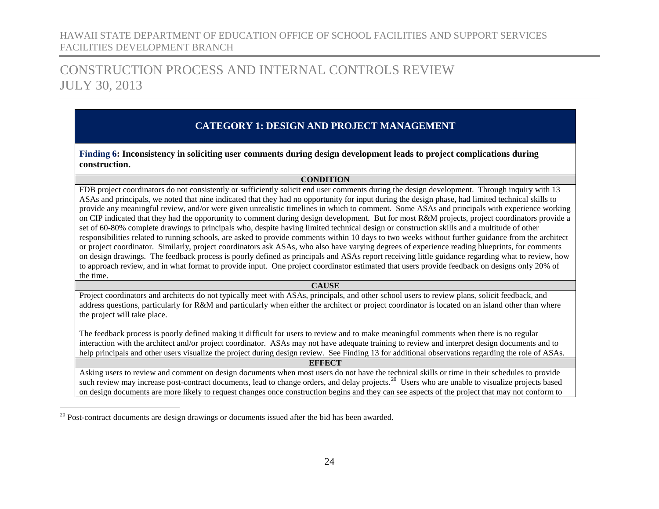## CONSTRUCTION PROCESS AND INTERNAL CONTROLS REVIEW JULY 30, 2013

### **CATEGORY 1: DESIGN AND PROJECT MANAGEMENT**

<span id="page-25-0"></span>**Finding 6: Inconsistency in soliciting user comments during design development leads to project complications during construction.**

#### <span id="page-25-1"></span>**CONDITION**

FDB project coordinators do not consistently or sufficiently solicit end user comments during the design development. Through inquiry with 13 ASAs and principals, we noted that nine indicated that they had no opportunity for input during the design phase, had limited technical skills to provide any meaningful review, and/or were given unrealistic timelines in which to comment. Some ASAs and principals with experience working on CIP indicated that they had the opportunity to comment during design development. But for most R&M projects, project coordinators provide a set of 60-80% complete drawings to principals who, despite having limited technical design or construction skills and a multitude of other responsibilities related to running schools, are asked to provide comments within 10 days to two weeks without further guidance from the architect or project coordinator. Similarly, project coordinators ask ASAs, who also have varying degrees of experience reading blueprints, for comments on design drawings. The feedback process is poorly defined as principals and ASAs report receiving little guidance regarding what to review, how to approach review, and in what format to provide input. One project coordinator estimated that users provide feedback on designs only 20% of the time.

#### **CAUSE**

Project coordinators and architects do not typically meet with ASAs, principals, and other school users to review plans, solicit feedback, and address questions, particularly for R&M and particularly when either the architect or project coordinator is located on an island other than where the project will take place.

The feedback process is poorly defined making it difficult for users to review and to make meaningful comments when there is no regular interaction with the architect and/or project coordinator. ASAs may not have adequate training to review and interpret design documents and to help principals and other users visualize the project during design review. See Finding 13 for additional observations regarding the role of ASAs.

**EFFECT**

Asking users to review and comment on design documents when most users do not have the technical skills or time in their schedules to provide such review may increase post-contract documents, lead to change orders, and delay projects.<sup>[20](#page-25-1)</sup> Users who are unable to visualize projects based on design documents are more likely to request changes once construction begins and they can see aspects of the project that may not conform to

<sup>&</sup>lt;sup>20</sup> Post-contract documents are design drawings or documents issued after the bid has been awarded.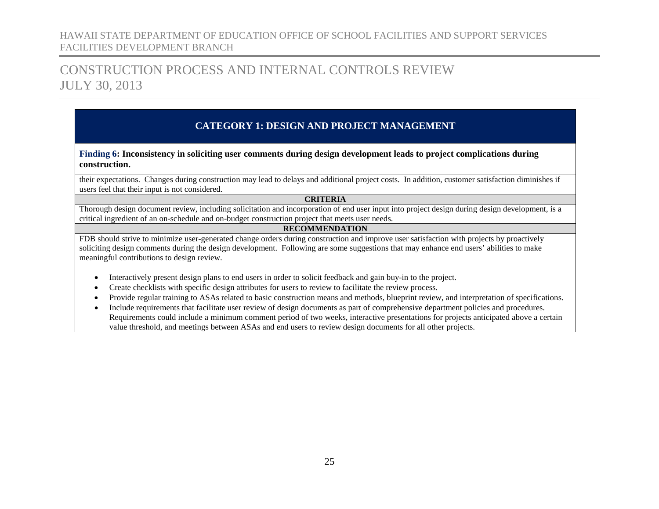## CONSTRUCTION PROCESS AND INTERNAL CONTROLS REVIEW JULY 30, 2013

### **CATEGORY 1: DESIGN AND PROJECT MANAGEMENT**

**Finding 6: Inconsistency in soliciting user comments during design development leads to project complications during construction.**

their expectations. Changes during construction may lead to delays and additional project costs. In addition, customer satisfaction diminishes if users feel that their input is not considered.

#### **CRITERIA**

Thorough design document review, including solicitation and incorporation of end user input into project design during design development, is a critical ingredient of an on-schedule and on-budget construction project that meets user needs.

#### **RECOMMENDATION**

FDB should strive to minimize user-generated change orders during construction and improve user satisfaction with projects by proactively soliciting design comments during the design development. Following are some suggestions that may enhance end users' abilities to make meaningful contributions to design review.

- Interactively present design plans to end users in order to solicit feedback and gain buy-in to the project.
- Create checklists with specific design attributes for users to review to facilitate the review process.
- Provide regular training to ASAs related to basic construction means and methods, blueprint review, and interpretation of specifications.
- Include requirements that facilitate user review of design documents as part of comprehensive department policies and procedures. Requirements could include a minimum comment period of two weeks, interactive presentations for projects anticipated above a certain value threshold, and meetings between ASAs and end users to review design documents for all other projects.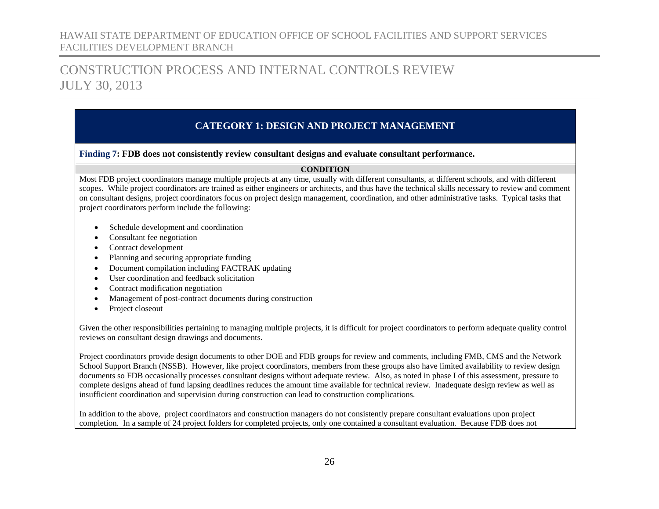## CONSTRUCTION PROCESS AND INTERNAL CONTROLS REVIEW JULY 30, 2013

### **CATEGORY 1: DESIGN AND PROJECT MANAGEMENT**

#### <span id="page-27-0"></span>**Finding 7: FDB does not consistently review consultant designs and evaluate consultant performance.**

#### **CONDITION**

Most FDB project coordinators manage multiple projects at any time, usually with different consultants, at different schools, and with different scopes. While project coordinators are trained as either engineers or architects, and thus have the technical skills necessary to review and comment on consultant designs, project coordinators focus on project design management, coordination, and other administrative tasks. Typical tasks that project coordinators perform include the following:

- Schedule development and coordination
- Consultant fee negotiation
- Contract development
- Planning and securing appropriate funding
- Document compilation including FACTRAK updating
- User coordination and feedback solicitation
- Contract modification negotiation
- Management of post-contract documents during construction
- Project closeout

Given the other responsibilities pertaining to managing multiple projects, it is difficult for project coordinators to perform adequate quality control reviews on consultant design drawings and documents.

Project coordinators provide design documents to other DOE and FDB groups for review and comments, including FMB, CMS and the Network School Support Branch (NSSB). However, like project coordinators, members from these groups also have limited availability to review design documents so FDB occasionally processes consultant designs without adequate review. Also, as noted in phase I of this assessment, pressure to complete designs ahead of fund lapsing deadlines reduces the amount time available for technical review. Inadequate design review as well as insufficient coordination and supervision during construction can lead to construction complications.

In addition to the above, project coordinators and construction managers do not consistently prepare consultant evaluations upon project completion. In a sample of 24 project folders for completed projects, only one contained a consultant evaluation. Because FDB does not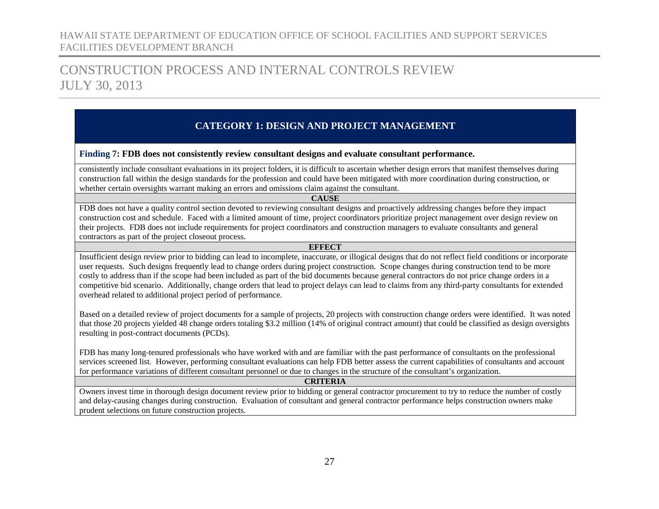## CONSTRUCTION PROCESS AND INTERNAL CONTROLS REVIEW JULY 30, 2013

### **CATEGORY 1: DESIGN AND PROJECT MANAGEMENT**

#### **Finding 7: FDB does not consistently review consultant designs and evaluate consultant performance.**

consistently include consultant evaluations in its project folders, it is difficult to ascertain whether design errors that manifest themselves during construction fall within the design standards for the profession and could have been mitigated with more coordination during construction, or whether certain oversights warrant making an errors and omissions claim against the consultant.

#### **CAUSE**

FDB does not have a quality control section devoted to reviewing consultant designs and proactively addressing changes before they impact construction cost and schedule. Faced with a limited amount of time, project coordinators prioritize project management over design review on their projects. FDB does not include requirements for project coordinators and construction managers to evaluate consultants and general contractors as part of the project closeout process.

#### **EFFECT**

Insufficient design review prior to bidding can lead to incomplete, inaccurate, or illogical designs that do not reflect field conditions or incorporate user requests. Such designs frequently lead to change orders during project construction. Scope changes during construction tend to be more costly to address than if the scope had been included as part of the bid documents because general contractors do not price change orders in a competitive bid scenario. Additionally, change orders that lead to project delays can lead to claims from any third-party consultants for extended overhead related to additional project period of performance.

Based on a detailed review of project documents for a sample of projects, 20 projects with construction change orders were identified. It was noted that those 20 projects yielded 48 change orders totaling \$3.2 million (14% of original contract amount) that could be classified as design oversights resulting in post-contract documents (PCDs).

FDB has many long-tenured professionals who have worked with and are familiar with the past performance of consultants on the professional services screened list. However, performing consultant evaluations can help FDB better assess the current capabilities of consultants and account for performance variations of different consultant personnel or due to changes in the structure of the consultant's organization.

#### **CRITERIA**

Owners invest time in thorough design document review prior to bidding or general contractor procurement to try to reduce the number of costly and delay-causing changes during construction. Evaluation of consultant and general contractor performance helps construction owners make prudent selections on future construction projects.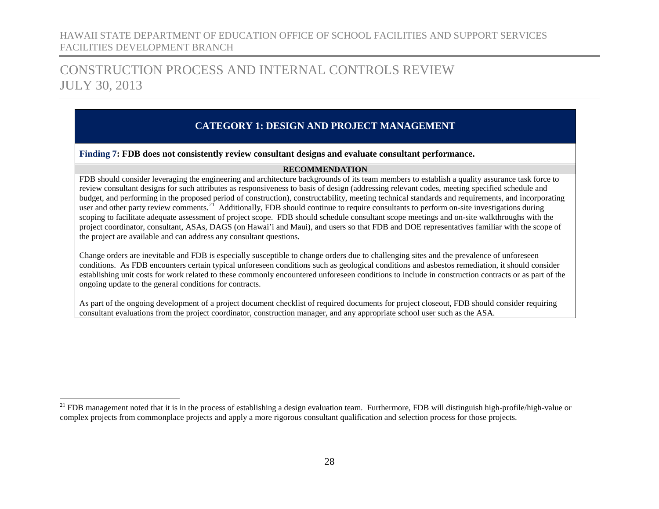## CONSTRUCTION PROCESS AND INTERNAL CONTROLS REVIEW JULY 30, 2013

### **CATEGORY 1: DESIGN AND PROJECT MANAGEMENT**

#### **Finding 7: FDB does not consistently review consultant designs and evaluate consultant performance.**

#### <span id="page-29-0"></span>**RECOMMENDATION**

FDB should consider leveraging the engineering and architecture backgrounds of its team members to establish a quality assurance task force to review consultant designs for such attributes as responsiveness to basis of design (addressing relevant codes, meeting specified schedule and budget, and performing in the proposed period of construction), constructability, meeting technical standards and requirements, and incorporating user and other party review comments.<sup>21</sup> Additionally, FDB should continue to require consultants to perform on-site investigations during scoping to facilitate adequate assessment of project scope. FDB should schedule consultant scope meetings and on-site walkthroughs with the project coordinator, consultant, ASAs, DAGS (on Hawai'i and Maui), and users so that FDB and DOE representatives familiar with the scope of the project are available and can address any consultant questions.

Change orders are inevitable and FDB is especially susceptible to change orders due to challenging sites and the prevalence of unforeseen conditions. As FDB encounters certain typical unforeseen conditions such as geological conditions and asbestos remediation, it should consider establishing unit costs for work related to these commonly encountered unforeseen conditions to include in construction contracts or as part of the ongoing update to the general conditions for contracts.

As part of the ongoing development of a project document checklist of required documents for project closeout, FDB should consider requiring consultant evaluations from the project coordinator, construction manager, and any appropriate school user such as the ASA.

<sup>&</sup>lt;sup>21</sup> FDB management noted that it is in the process of establishing a design evaluation team. Furthermore, FDB will distinguish high-profile/high-value or complex projects from commonplace projects and apply a more rigorous consultant qualification and selection process for those projects.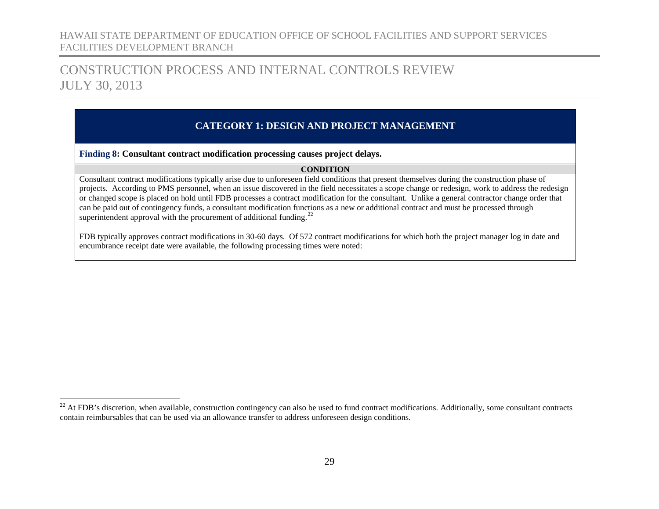## CONSTRUCTION PROCESS AND INTERNAL CONTROLS REVIEW JULY 30, 2013

### **CATEGORY 1: DESIGN AND PROJECT MANAGEMENT**

<span id="page-30-0"></span>**Finding 8: Consultant contract modification processing causes project delays.**

#### <span id="page-30-1"></span>**CONDITION**

Consultant contract modifications typically arise due to unforeseen field conditions that present themselves during the construction phase of projects. According to PMS personnel, when an issue discovered in the field necessitates a scope change or redesign, work to address the redesign or changed scope is placed on hold until FDB processes a contract modification for the consultant. Unlike a general contractor change order that can be paid out of contingency funds, a consultant modification functions as a new or additional contract and must be processed through superintendent approval with the procurement of additional funding.<sup>[22](#page-30-1)</sup>

FDB typically approves contract modifications in 30-60 days. Of 572 contract modifications for which both the project manager log in date and encumbrance receipt date were available, the following processing times were noted:

 $^{22}$  At FDB's discretion, when available, construction contingency can also be used to fund contract modifications. Additionally, some consultant contracts contain reimbursables that can be used via an allowance transfer to address unforeseen design conditions.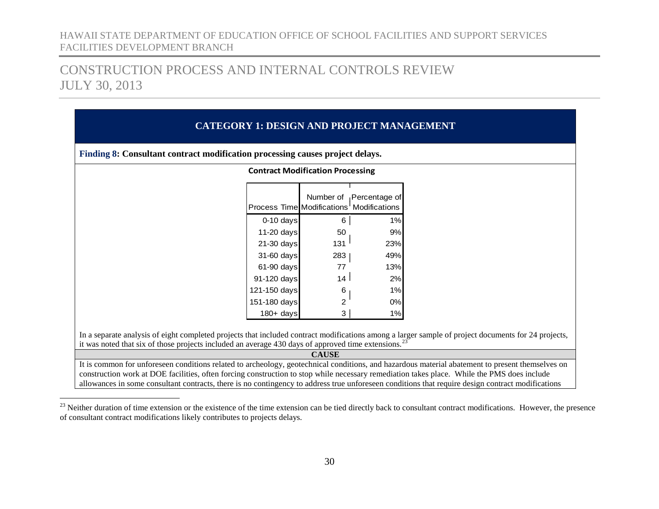## <span id="page-31-0"></span>CONSTRUCTION PROCESS AND INTERNAL CONTROLS REVIEW JULY 30, 2013

## **CATEGORY 1: DESIGN AND PROJECT MANAGEMENT Finding 8: Consultant contract modification processing causes project delays.** In a separate analysis of eight completed projects that included contract modifications among a larger sample of project documents for 24 projects, it was noted that six of those projects included an average 430 days of approved time extensions.<sup>[23](#page-31-0)</sup> **CAUSE** It is common for unforeseen conditions related to archeology, geotechnical conditions, and hazardous material abatement to present themselves on construction work at DOE facilities, often forcing construction to stop while necessary remediation takes place. While the PMS does include allowances in some consultant contracts, there is no contingency to address true unforeseen conditions that require design contract modifications **Contract Modification Processing** Process Time Modifications Modifications Number of Percentage of 0-10 days 6 1% 11-20 days 50 50 21-30 days  $131$  23% 31-60 days 283 | 49% 61-90 days 77 13% 91-120 days  $14 \mid 2\%$ 121-150 days 6 1 1% 151-180 days 2 0% 180+ days 3 1%

<sup>&</sup>lt;sup>23</sup> Neither duration of time extension or the existence of the time extension can be tied directly back to consultant contract modifications. However, the presence of consultant contract modifications likely contributes to projects delays.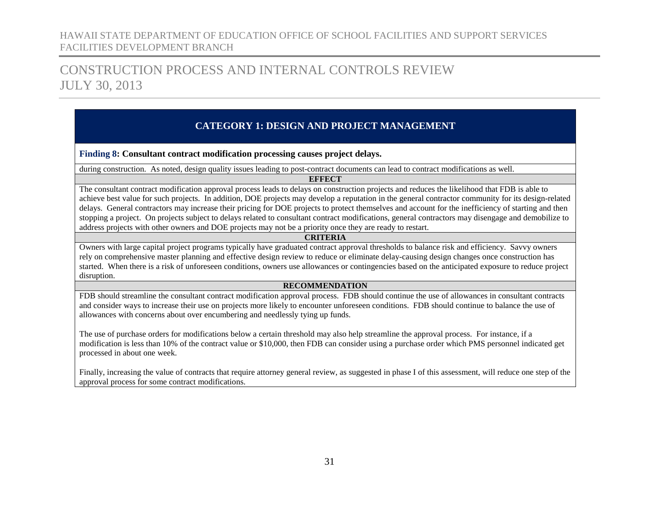## CONSTRUCTION PROCESS AND INTERNAL CONTROLS REVIEW JULY 30, 2013

### **CATEGORY 1: DESIGN AND PROJECT MANAGEMENT**

**Finding 8: Consultant contract modification processing causes project delays.**

during construction. As noted, design quality issues leading to post-contract documents can lead to contract modifications as well.

#### **EFFECT**

The consultant contract modification approval process leads to delays on construction projects and reduces the likelihood that FDB is able to achieve best value for such projects. In addition, DOE projects may develop a reputation in the general contractor community for its design-related delays. General contractors may increase their pricing for DOE projects to protect themselves and account for the inefficiency of starting and then stopping a project. On projects subject to delays related to consultant contract modifications, general contractors may disengage and demobilize to address projects with other owners and DOE projects may not be a priority once they are ready to restart.

#### **CRITERIA**

Owners with large capital project programs typically have graduated contract approval thresholds to balance risk and efficiency. Savvy owners rely on comprehensive master planning and effective design review to reduce or eliminate delay-causing design changes once construction has started. When there is a risk of unforeseen conditions, owners use allowances or contingencies based on the anticipated exposure to reduce project disruption.

#### **RECOMMENDATION**

FDB should streamline the consultant contract modification approval process. FDB should continue the use of allowances in consultant contracts and consider ways to increase their use on projects more likely to encounter unforeseen conditions. FDB should continue to balance the use of allowances with concerns about over encumbering and needlessly tying up funds.

The use of purchase orders for modifications below a certain threshold may also help streamline the approval process. For instance, if a modification is less than 10% of the contract value or \$10,000, then FDB can consider using a purchase order which PMS personnel indicated get processed in about one week.

Finally, increasing the value of contracts that require attorney general review, as suggested in phase I of this assessment, will reduce one step of the approval process for some contract modifications.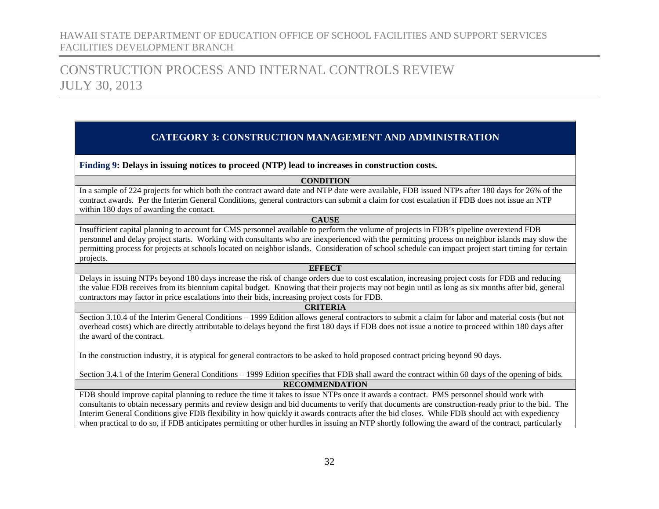## CONSTRUCTION PROCESS AND INTERNAL CONTROLS REVIEW JULY 30, 2013

#### **CATEGORY 3: CONSTRUCTION MANAGEMENT AND ADMINISTRATION**

<span id="page-33-1"></span><span id="page-33-0"></span>**Finding 9: Delays in issuing notices to proceed (NTP) lead to increases in construction costs.**

#### **CONDITION**

In a sample of 224 projects for which both the contract award date and NTP date were available, FDB issued NTPs after 180 days for 26% of the contract awards. Per the Interim General Conditions, general contractors can submit a claim for cost escalation if FDB does not issue an NTP within 180 days of awarding the contact.

#### **CAUSE**

Insufficient capital planning to account for CMS personnel available to perform the volume of projects in FDB's pipeline overextend FDB personnel and delay project starts. Working with consultants who are inexperienced with the permitting process on neighbor islands may slow the permitting process for projects at schools located on neighbor islands. Consideration of school schedule can impact project start timing for certain projects.

#### **EFFECT**

Delays in issuing NTPs beyond 180 days increase the risk of change orders due to cost escalation, increasing project costs for FDB and reducing the value FDB receives from its biennium capital budget. Knowing that their projects may not begin until as long as six months after bid, general contractors may factor in price escalations into their bids, increasing project costs for FDB.

#### **CRITERIA**

Section 3.10.4 of the Interim General Conditions – 1999 Edition allows general contractors to submit a claim for labor and material costs (but not overhead costs) which are directly attributable to delays beyond the first 180 days if FDB does not issue a notice to proceed within 180 days after the award of the contract.

In the construction industry, it is atypical for general contractors to be asked to hold proposed contract pricing beyond 90 days.

Section 3.4.1 of the Interim General Conditions – 1999 Edition specifies that FDB shall award the contract within 60 days of the opening of bids.

#### **RECOMMENDATION**

FDB should improve capital planning to reduce the time it takes to issue NTPs once it awards a contract. PMS personnel should work with consultants to obtain necessary permits and review design and bid documents to verify that documents are construction-ready prior to the bid. The Interim General Conditions give FDB flexibility in how quickly it awards contracts after the bid closes. While FDB should act with expediency when practical to do so, if FDB anticipates permitting or other hurdles in issuing an NTP shortly following the award of the contract, particularly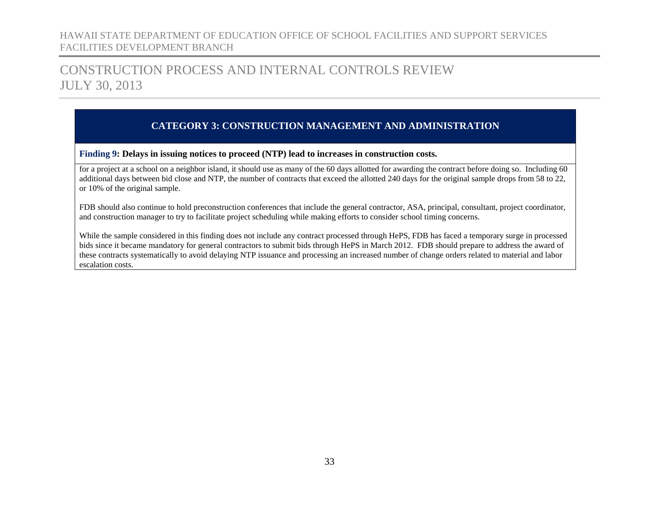## CONSTRUCTION PROCESS AND INTERNAL CONTROLS REVIEW JULY 30, 2013

### **CATEGORY 3: CONSTRUCTION MANAGEMENT AND ADMINISTRATION**

**Finding 9: Delays in issuing notices to proceed (NTP) lead to increases in construction costs.**

for a project at a school on a neighbor island, it should use as many of the 60 days allotted for awarding the contract before doing so. Including 60 additional days between bid close and NTP, the number of contracts that exceed the allotted 240 days for the original sample drops from 58 to 22, or 10% of the original sample.

FDB should also continue to hold preconstruction conferences that include the general contractor, ASA, principal, consultant, project coordinator, and construction manager to try to facilitate project scheduling while making efforts to consider school timing concerns.

While the sample considered in this finding does not include any contract processed through HePS, FDB has faced a temporary surge in processed bids since it became mandatory for general contractors to submit bids through HePS in March 2012. FDB should prepare to address the award of these contracts systematically to avoid delaying NTP issuance and processing an increased number of change orders related to material and labor escalation costs.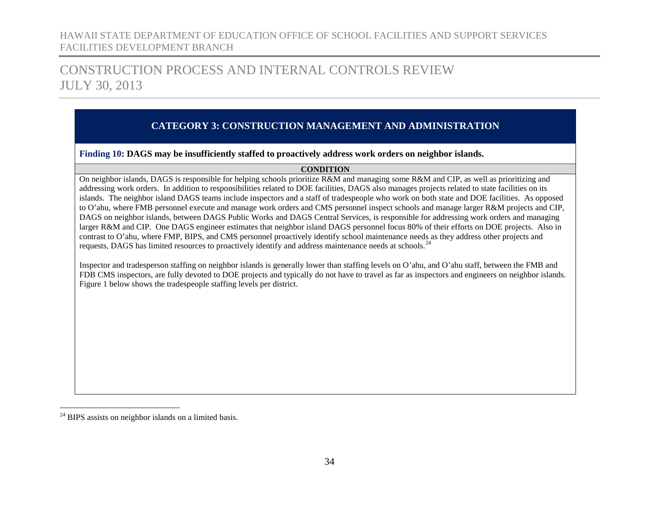## CONSTRUCTION PROCESS AND INTERNAL CONTROLS REVIEW JULY 30, 2013

### **CATEGORY 3: CONSTRUCTION MANAGEMENT AND ADMINISTRATION**

<span id="page-35-0"></span>**Finding 10: DAGS may be insufficiently staffed to proactively address work orders on neighbor islands.**

#### <span id="page-35-1"></span>**CONDITION**

On neighbor islands, DAGS is responsible for helping schools prioritize R&M and managing some R&M and CIP, as well as prioritizing and addressing work orders. In addition to responsibilities related to DOE facilities, DAGS also manages projects related to state facilities on its islands. The neighbor island DAGS teams include inspectors and a staff of tradespeople who work on both state and DOE facilities. As opposed to O'ahu, where FMB personnel execute and manage work orders and CMS personnel inspect schools and manage larger R&M projects and CIP, DAGS on neighbor islands, between DAGS Public Works and DAGS Central Services, is responsible for addressing work orders and managing larger R&M and CIP. One DAGS engineer estimates that neighbor island DAGS personnel focus 80% of their efforts on DOE projects. Also in contrast to O'ahu, where FMP, BIPS, and CMS personnel proactively identify school maintenance needs as they address other projects and requests, DAGS has limited resources to proactively identify and address maintenance needs at schools.<sup>[24](#page-35-1)</sup>

Inspector and tradesperson staffing on neighbor islands is generally lower than staffing levels on O'ahu, and O'ahu staff, between the FMB and FDB CMS inspectors, are fully devoted to DOE projects and typically do not have to travel as far as inspectors and engineers on neighbor islands. Figure 1 below shows the tradespeople staffing levels per district.

 $24$  BIPS assists on neighbor islands on a limited basis.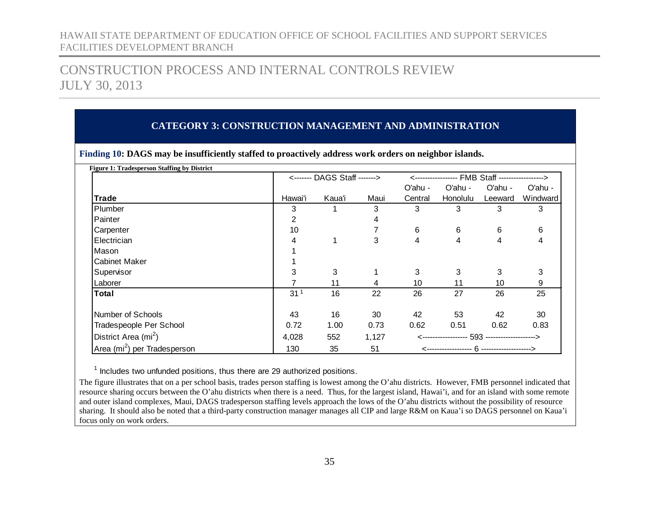## CONSTRUCTION PROCESS AND INTERNAL CONTROLS REVIEW JULY 30, 2013

### **CATEGORY 3: CONSTRUCTION MANAGEMENT AND ADMINISTRATION**

|                                          |                 | <------- DAGS Staff -------> |       | <---------------- FMB Staff -----------------> |                 |         |          |  |
|------------------------------------------|-----------------|------------------------------|-------|------------------------------------------------|-----------------|---------|----------|--|
|                                          |                 |                              |       | O'ahu -                                        | O'ahu -         | O'ahu - | O'ahu -  |  |
| <b>Trade</b>                             | Hawai'i         | Kaua'i                       | Maui  | Central                                        | <b>Honolulu</b> | Leeward | Windward |  |
| Plumber                                  | 3               |                              | 3     | 3                                              | 3               | 3       | 3        |  |
| Painter                                  | 2               |                              | 4     |                                                |                 |         |          |  |
| Carpenter                                | 10              |                              |       | 6                                              | 6               | 6       | 6        |  |
| Electrician                              | 4               | 1                            | 3     | 4                                              | 4               | 4       | 4        |  |
| Mason                                    |                 |                              |       |                                                |                 |         |          |  |
| <b>Cabinet Maker</b>                     |                 |                              |       |                                                |                 |         |          |  |
| Supervisor                               | 3               | 3                            |       | 3                                              | 3               | 3       | 3        |  |
| Laborer                                  |                 | 11                           | 4     | 10                                             | 11              | 10      | 9        |  |
| Total                                    | 31 <sup>1</sup> | 16                           | 22    | 26                                             | 27              | 26      | 25       |  |
| Number of Schools                        | 43              | 16                           | 30    | 42                                             | 53              | 42      | 30       |  |
| Tradespeople Per School                  | 0.72            | 1.00                         | 0.73  | 0.62                                           | 0.51            | 0.62    | 0.83     |  |
| District Area (mi <sup>2</sup> )         | 4,028           | 552                          | 1,127 |                                                |                 |         |          |  |
| Area (mi <sup>2</sup> ) per Tradesperson | 130             | 35                           | 51    |                                                |                 |         |          |  |

**Finding 10: DAGS may be insufficiently staffed to proactively address work orders on neighbor islands.**

<sup>1</sup> Includes two unfunded positions, thus there are 29 authorized positions.

The figure illustrates that on a per school basis, trades person staffing is lowest among the O'ahu districts. However, FMB personnel indicated that resource sharing occurs between the O'ahu districts when there is a need. Thus, for the largest island, Hawai'i, and for an island with some remote and outer island complexes, Maui, DAGS tradesperson staffing levels approach the lows of the O'ahu districts without the possibility of resource sharing. It should also be noted that a third-party construction manager manages all CIP and large R&M on Kaua'i so DAGS personnel on Kaua'i focus only on work orders.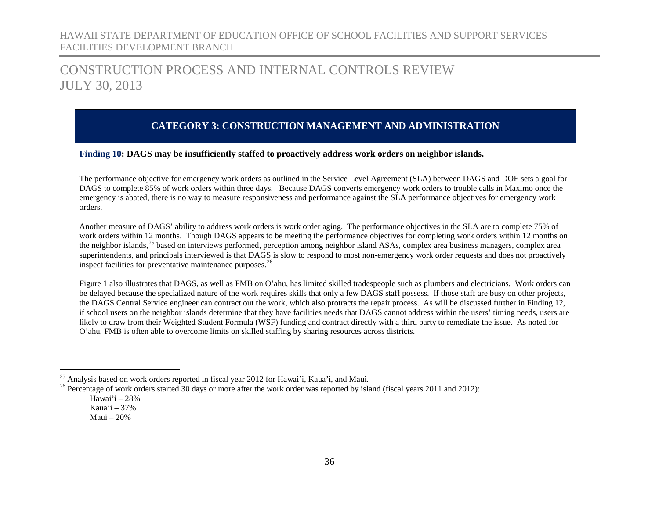## CONSTRUCTION PROCESS AND INTERNAL CONTROLS REVIEW JULY 30, 2013

### <span id="page-37-1"></span><span id="page-37-0"></span>**CATEGORY 3: CONSTRUCTION MANAGEMENT AND ADMINISTRATION**

**Finding 10: DAGS may be insufficiently staffed to proactively address work orders on neighbor islands.**

The performance objective for emergency work orders as outlined in the Service Level Agreement (SLA) between DAGS and DOE sets a goal for DAGS to complete 85% of work orders within three days. Because DAGS converts emergency work orders to trouble calls in Maximo once the emergency is abated, there is no way to measure responsiveness and performance against the SLA performance objectives for emergency work orders.

Another measure of DAGS' ability to address work orders is work order aging. The performance objectives in the SLA are to complete 75% of work orders within 12 months. Though DAGS appears to be meeting the performance objectives for completing work orders within 12 months on the neighbor islands,<sup>[25](#page-37-0)</sup> based on interviews performed, perception among neighbor island ASAs, complex area business managers, complex area superintendents, and principals interviewed is that DAGS is slow to respond to most non-emergency work order requests and does not proactively inspect facilities for preventative maintenance purposes.<sup>[26](#page-37-1)</sup>

Figure 1 also illustrates that DAGS, as well as FMB on O'ahu, has limited skilled tradespeople such as plumbers and electricians. Work orders can be delayed because the specialized nature of the work requires skills that only a few DAGS staff possess. If those staff are busy on other projects, the DAGS Central Service engineer can contract out the work, which also protracts the repair process. As will be discussed further in Finding 12, if school users on the neighbor islands determine that they have facilities needs that DAGS cannot address within the users' timing needs, users are likely to draw from their Weighted Student Formula (WSF) funding and contract directly with a third party to remediate the issue. As noted for O'ahu, FMB is often able to overcome limits on skilled staffing by sharing resources across districts.

<sup>&</sup>lt;sup>25</sup> Analysis based on work orders reported in fiscal year 2012 for Hawai'i, Kaua'i, and Maui.<br><sup>26</sup> Percentage of work orders started 30 days or more after the work order was reported by island (fiscal years 2011 and 2012

Hawai'i – 28%

Kaua'i – 37%

Maui – 20%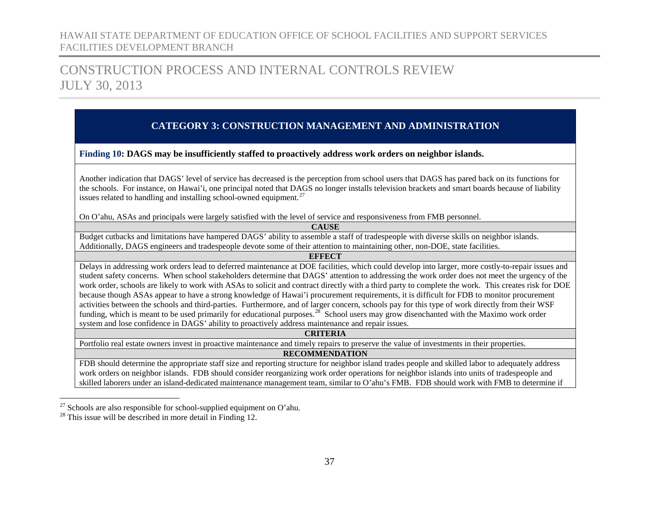## CONSTRUCTION PROCESS AND INTERNAL CONTROLS REVIEW JULY 30, 2013

### <span id="page-38-1"></span><span id="page-38-0"></span>**CATEGORY 3: CONSTRUCTION MANAGEMENT AND ADMINISTRATION**

**Finding 10: DAGS may be insufficiently staffed to proactively address work orders on neighbor islands.**

Another indication that DAGS' level of service has decreased is the perception from school users that DAGS has pared back on its functions for the schools. For instance, on Hawai'i, one principal noted that DAGS no longer installs television brackets and smart boards because of liability issues related to handling and installing school-owned equipment.<sup>[27](#page-38-0)</sup>

On O'ahu, ASAs and principals were largely satisfied with the level of service and responsiveness from FMB personnel.

**CAUSE** Budget cutbacks and limitations have hampered DAGS' ability to assemble a staff of tradespeople with diverse skills on neighbor islands. Additionally, DAGS engineers and tradespeople devote some of their attention to maintaining other, non-DOE, state facilities.

**EFFECT**

Delays in addressing work orders lead to deferred maintenance at DOE facilities, which could develop into larger, more costly-to-repair issues and student safety concerns. When school stakeholders determine that DAGS' attention to addressing the work order does not meet the urgency of the work order, schools are likely to work with ASAs to solicit and contract directly with a third party to complete the work. This creates risk for DOE because though ASAs appear to have a strong knowledge of Hawai'i procurement requirements, it is difficult for FDB to monitor procurement activities between the schools and third-parties. Furthermore, and of larger concern, schools pay for this type of work directly from their WSF funding, which is meant to be used primarily for educational purposes.<sup>[28](#page-38-1)</sup> School users may grow disenchanted with the Maximo work order system and lose confidence in DAGS' ability to proactively address maintenance and repair issues.

**CRITERIA**

Portfolio real estate owners invest in proactive maintenance and timely repairs to preserve the value of investments in their properties.

#### **RECOMMENDATION**

FDB should determine the appropriate staff size and reporting structure for neighbor island trades people and skilled labor to adequately address work orders on neighbor islands. FDB should consider reorganizing work order operations for neighbor islands into units of tradespeople and skilled laborers under an island-dedicated maintenance management team, similar to O'ahu's FMB. FDB should work with FMB to determine if

<sup>&</sup>lt;sup>27</sup> Schools are also responsible for school-supplied equipment on O'ahu.<br><sup>28</sup> This issue will be described in more detail in Finding 12.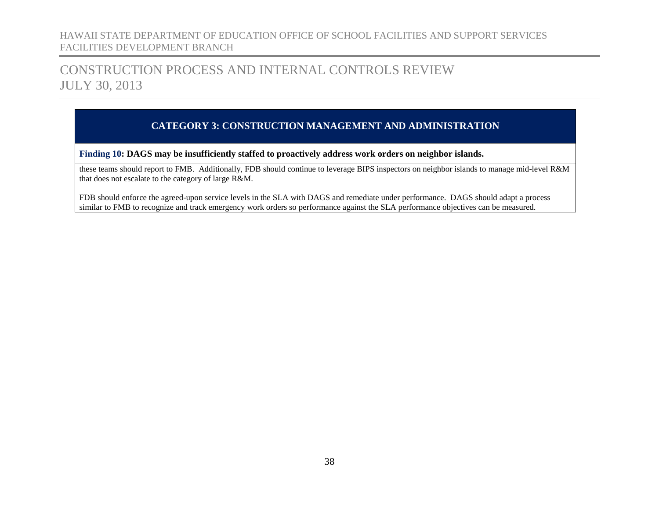## CONSTRUCTION PROCESS AND INTERNAL CONTROLS REVIEW JULY 30, 2013

### **CATEGORY 3: CONSTRUCTION MANAGEMENT AND ADMINISTRATION**

**Finding 10: DAGS may be insufficiently staffed to proactively address work orders on neighbor islands.**

these teams should report to FMB. Additionally, FDB should continue to leverage BIPS inspectors on neighbor islands to manage mid-level R&M that does not escalate to the category of large R&M.

FDB should enforce the agreed-upon service levels in the SLA with DAGS and remediate under performance. DAGS should adapt a process similar to FMB to recognize and track emergency work orders so performance against the SLA performance objectives can be measured.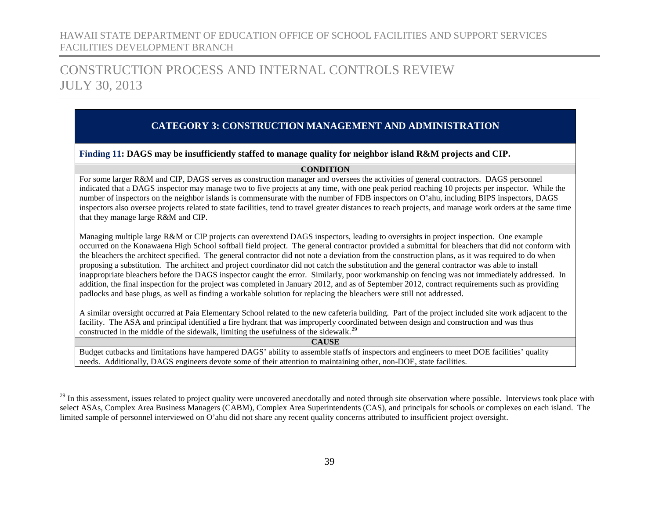## CONSTRUCTION PROCESS AND INTERNAL CONTROLS REVIEW JULY 30, 2013

### **CATEGORY 3: CONSTRUCTION MANAGEMENT AND ADMINISTRATION**

#### <span id="page-40-0"></span>**Finding 11: DAGS may be insufficiently staffed to manage quality for neighbor island R&M projects and CIP.**

#### <span id="page-40-1"></span>**CONDITION**

For some larger R&M and CIP, DAGS serves as construction manager and oversees the activities of general contractors. DAGS personnel indicated that a DAGS inspector may manage two to five projects at any time, with one peak period reaching 10 projects per inspector. While the number of inspectors on the neighbor islands is commensurate with the number of FDB inspectors on O'ahu, including BIPS inspectors, DAGS inspectors also oversee projects related to state facilities, tend to travel greater distances to reach projects, and manage work orders at the same time that they manage large R&M and CIP.

Managing multiple large R&M or CIP projects can overextend DAGS inspectors, leading to oversights in project inspection. One example occurred on the Konawaena High School softball field project. The general contractor provided a submittal for bleachers that did not conform with the bleachers the architect specified. The general contractor did not note a deviation from the construction plans, as it was required to do when proposing a substitution. The architect and project coordinator did not catch the substitution and the general contractor was able to install inappropriate bleachers before the DAGS inspector caught the error. Similarly, poor workmanship on fencing was not immediately addressed. In addition, the final inspection for the project was completed in January 2012, and as of September 2012, contract requirements such as providing padlocks and base plugs, as well as finding a workable solution for replacing the bleachers were still not addressed.

A similar oversight occurred at Paia Elementary School related to the new cafeteria building. Part of the project included site work adjacent to the facility. The ASA and principal identified a fire hydrant that was improperly coordinated between design and construction and was thus constructed in the middle of the sidewalk, limiting the usefulness of the sidewalk.<sup>[29](#page-40-1)</sup>

| Budget cutbacks and limitations have hampered DAGS' ability to assemble staffs of inspectors and engineers to meet DOE facilities' quality |  |  |  |  |
|--------------------------------------------------------------------------------------------------------------------------------------------|--|--|--|--|
| needs. Additionally, DAGS engineers devote some of their attention to maintaining other, non-DOE, state facilities,                        |  |  |  |  |

<sup>&</sup>lt;sup>29</sup> In this assessment, issues related to project quality were uncovered anecdotally and noted through site observation where possible. Interviews took place with select ASAs, Complex Area Business Managers (CABM), Complex Area Superintendents (CAS), and principals for schools or complexes on each island. The limited sample of personnel interviewed on O'ahu did not share any recent quality concerns attributed to insufficient project oversight.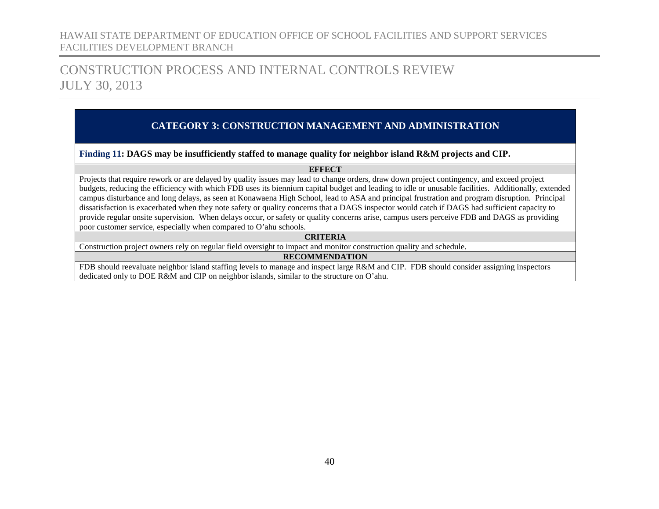## CONSTRUCTION PROCESS AND INTERNAL CONTROLS REVIEW JULY 30, 2013

### **CATEGORY 3: CONSTRUCTION MANAGEMENT AND ADMINISTRATION**

#### **Finding 11: DAGS may be insufficiently staffed to manage quality for neighbor island R&M projects and CIP.**

#### **EFFECT**

Projects that require rework or are delayed by quality issues may lead to change orders, draw down project contingency, and exceed project budgets, reducing the efficiency with which FDB uses its biennium capital budget and leading to idle or unusable facilities. Additionally, extended campus disturbance and long delays, as seen at Konawaena High School, lead to ASA and principal frustration and program disruption. Principal dissatisfaction is exacerbated when they note safety or quality concerns that a DAGS inspector would catch if DAGS had sufficient capacity to provide regular onsite supervision. When delays occur, or safety or quality concerns arise, campus users perceive FDB and DAGS as providing poor customer service, especially when compared to O'ahu schools.

#### **CRITERIA**

Construction project owners rely on regular field oversight to impact and monitor construction quality and schedule.

#### **RECOMMENDATION**

FDB should reevaluate neighbor island staffing levels to manage and inspect large R&M and CIP. FDB should consider assigning inspectors dedicated only to DOE R&M and CIP on neighbor islands, similar to the structure on O'ahu.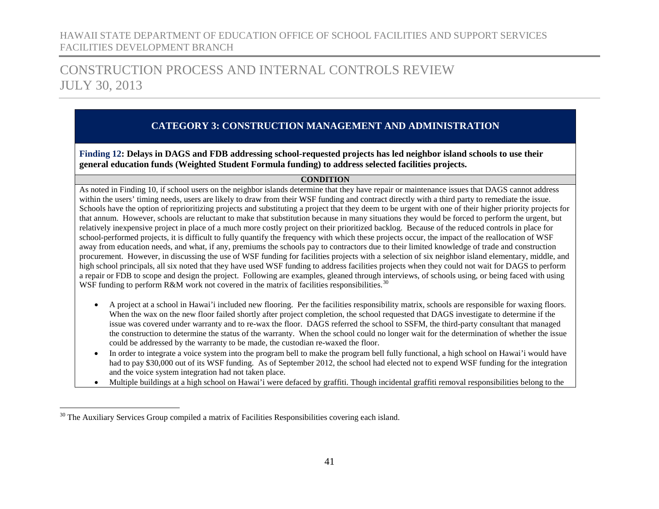## CONSTRUCTION PROCESS AND INTERNAL CONTROLS REVIEW JULY 30, 2013

### **CATEGORY 3: CONSTRUCTION MANAGEMENT AND ADMINISTRATION**

<span id="page-42-0"></span>**Finding 12: Delays in DAGS and FDB addressing school-requested projects has led neighbor island schools to use their general education funds (Weighted Student Formula funding) to address selected facilities projects.**

#### <span id="page-42-1"></span>**CONDITION**

As noted in Finding 10, if school users on the neighbor islands determine that they have repair or maintenance issues that DAGS cannot address within the users' timing needs, users are likely to draw from their WSF funding and contract directly with a third party to remediate the issue. Schools have the option of reprioritizing projects and substituting a project that they deem to be urgent with one of their higher priority projects for that annum. However, schools are reluctant to make that substitution because in many situations they would be forced to perform the urgent, but relatively inexpensive project in place of a much more costly project on their prioritized backlog. Because of the reduced controls in place for school-performed projects, it is difficult to fully quantify the frequency with which these projects occur, the impact of the reallocation of WSF away from education needs, and what, if any, premiums the schools pay to contractors due to their limited knowledge of trade and construction procurement. However, in discussing the use of WSF funding for facilities projects with a selection of six neighbor island elementary, middle, and high school principals, all six noted that they have used WSF funding to address facilities projects when they could not wait for DAGS to perform a repair or FDB to scope and design the project. Following are examples, gleaned through interviews, of schools using, or being faced with using WSF funding to perform R&M work not covered in the matrix of facilities responsibilities.<sup>[30](#page-42-1)</sup>

- A project at a school in Hawai'i included new flooring. Per the facilities responsibility matrix, schools are responsible for waxing floors. When the wax on the new floor failed shortly after project completion, the school requested that DAGS investigate to determine if the issue was covered under warranty and to re-wax the floor. DAGS referred the school to SSFM, the third-party consultant that managed the construction to determine the status of the warranty. When the school could no longer wait for the determination of whether the issue could be addressed by the warranty to be made, the custodian re-waxed the floor.
- In order to integrate a voice system into the program bell to make the program bell fully functional, a high school on Hawai'i would have had to pay \$30,000 out of its WSF funding. As of September 2012, the school had elected not to expend WSF funding for the integration and the voice system integration had not taken place.
- Multiple buildings at a high school on Hawai'i were defaced by graffiti. Though incidental graffiti removal responsibilities belong to the

<sup>&</sup>lt;sup>30</sup> The Auxiliary Services Group compiled a matrix of Facilities Responsibilities covering each island.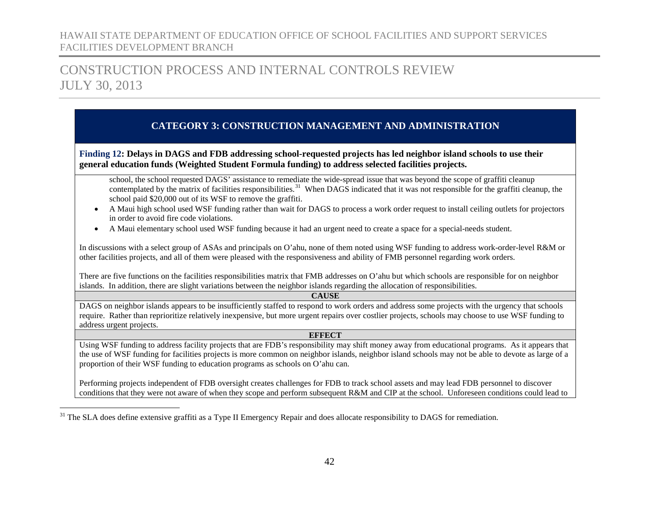## CONSTRUCTION PROCESS AND INTERNAL CONTROLS REVIEW JULY 30, 2013

### <span id="page-43-0"></span>**CATEGORY 3: CONSTRUCTION MANAGEMENT AND ADMINISTRATION**

**Finding 12: Delays in DAGS and FDB addressing school-requested projects has led neighbor island schools to use their general education funds (Weighted Student Formula funding) to address selected facilities projects.**

school, the school requested DAGS' assistance to remediate the wide-spread issue that was beyond the scope of graffiti cleanup contemplated by the matrix of facilities responsibilities.<sup>[31](#page-43-0)</sup> When DAGS indicated that it was not responsible for the graffiti cleanup, the school paid \$20,000 out of its WSF to remove the graffiti.

- A Maui high school used WSF funding rather than wait for DAGS to process a work order request to install ceiling outlets for projectors in order to avoid fire code violations.
- A Maui elementary school used WSF funding because it had an urgent need to create a space for a special-needs student.

In discussions with a select group of ASAs and principals on O'ahu, none of them noted using WSF funding to address work-order-level R&M or other facilities projects, and all of them were pleased with the responsiveness and ability of FMB personnel regarding work orders.

There are five functions on the facilities responsibilities matrix that FMB addresses on O'ahu but which schools are responsible for on neighbor islands. In addition, there are slight variations between the neighbor islands regarding the allocation of responsibilities.

#### **CAUSE**

DAGS on neighbor islands appears to be insufficiently staffed to respond to work orders and address some projects with the urgency that schools require. Rather than reprioritize relatively inexpensive, but more urgent repairs over costlier projects, schools may choose to use WSF funding to address urgent projects.

#### **EFFECT**

Using WSF funding to address facility projects that are FDB's responsibility may shift money away from educational programs. As it appears that the use of WSF funding for facilities projects is more common on neighbor islands, neighbor island schools may not be able to devote as large of a proportion of their WSF funding to education programs as schools on O'ahu can.

Performing projects independent of FDB oversight creates challenges for FDB to track school assets and may lead FDB personnel to discover conditions that they were not aware of when they scope and perform subsequent R&M and CIP at the school. Unforeseen conditions could lead to

<sup>&</sup>lt;sup>31</sup> The SLA does define extensive graffiti as a Type II Emergency Repair and does allocate responsibility to DAGS for remediation.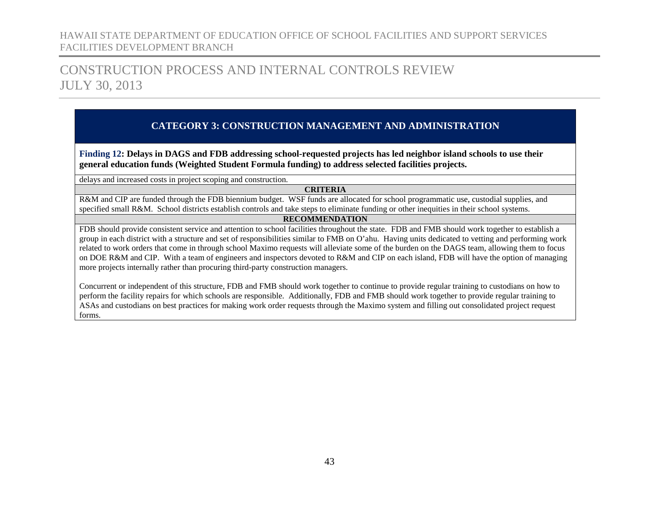## CONSTRUCTION PROCESS AND INTERNAL CONTROLS REVIEW JULY 30, 2013

### **CATEGORY 3: CONSTRUCTION MANAGEMENT AND ADMINISTRATION**

**Finding 12: Delays in DAGS and FDB addressing school-requested projects has led neighbor island schools to use their general education funds (Weighted Student Formula funding) to address selected facilities projects.**

delays and increased costs in project scoping and construction.

#### **CRITERIA**

R&M and CIP are funded through the FDB biennium budget. WSF funds are allocated for school programmatic use, custodial supplies, and specified small R&M. School districts establish controls and take steps to eliminate funding or other inequities in their school systems.

#### **RECOMMENDATION**

FDB should provide consistent service and attention to school facilities throughout the state. FDB and FMB should work together to establish a group in each district with a structure and set of responsibilities similar to FMB on O'ahu. Having units dedicated to vetting and performing work related to work orders that come in through school Maximo requests will alleviate some of the burden on the DAGS team, allowing them to focus on DOE R&M and CIP. With a team of engineers and inspectors devoted to R&M and CIP on each island, FDB will have the option of managing more projects internally rather than procuring third-party construction managers.

Concurrent or independent of this structure, FDB and FMB should work together to continue to provide regular training to custodians on how to perform the facility repairs for which schools are responsible. Additionally, FDB and FMB should work together to provide regular training to ASAs and custodians on best practices for making work order requests through the Maximo system and filling out consolidated project request forms.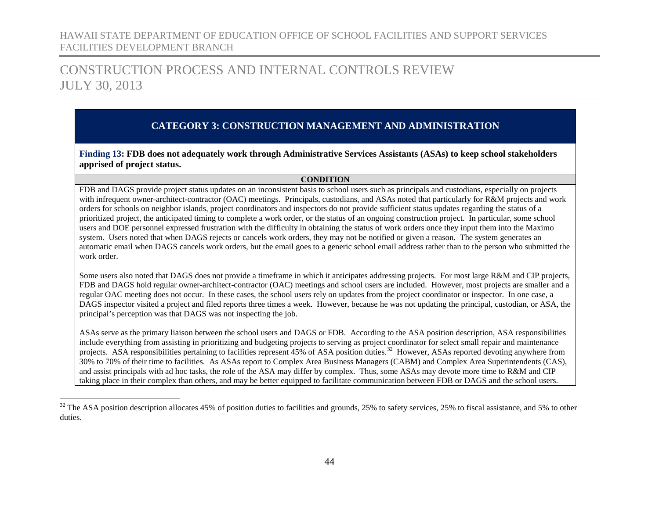## CONSTRUCTION PROCESS AND INTERNAL CONTROLS REVIEW JULY 30, 2013

### **CATEGORY 3: CONSTRUCTION MANAGEMENT AND ADMINISTRATION**

<span id="page-45-0"></span>**Finding 13: FDB does not adequately work through Administrative Services Assistants (ASAs) to keep school stakeholders apprised of project status.**

#### <span id="page-45-1"></span>**CONDITION**

FDB and DAGS provide project status updates on an inconsistent basis to school users such as principals and custodians, especially on projects with infrequent owner-architect-contractor (OAC) meetings. Principals, custodians, and ASAs noted that particularly for R&M projects and work orders for schools on neighbor islands, project coordinators and inspectors do not provide sufficient status updates regarding the status of a prioritized project, the anticipated timing to complete a work order, or the status of an ongoing construction project. In particular, some school users and DOE personnel expressed frustration with the difficulty in obtaining the status of work orders once they input them into the Maximo system. Users noted that when DAGS rejects or cancels work orders, they may not be notified or given a reason. The system generates an automatic email when DAGS cancels work orders, but the email goes to a generic school email address rather than to the person who submitted the work order.

Some users also noted that DAGS does not provide a timeframe in which it anticipates addressing projects. For most large R&M and CIP projects, FDB and DAGS hold regular owner-architect-contractor (OAC) meetings and school users are included. However, most projects are smaller and a regular OAC meeting does not occur. In these cases, the school users rely on updates from the project coordinator or inspector. In one case, a DAGS inspector visited a project and filed reports three times a week. However, because he was not updating the principal, custodian, or ASA, the principal's perception was that DAGS was not inspecting the job.

ASAs serve as the primary liaison between the school users and DAGS or FDB. According to the ASA position description, ASA responsibilities include everything from assisting in prioritizing and budgeting projects to serving as project coordinator for select small repair and maintenance projects. ASA responsibilities pertaining to facilities represent 45% of ASA position duties.<sup>32</sup> However, ASAs reported devoting anywhere from 30% to 70% of their time to facilities. As ASAs report to Complex Area Business Managers (CABM) and Complex Area Superintendents (CAS), and assist principals with ad hoc tasks, the role of the ASA may differ by complex. Thus, some ASAs may devote more time to R&M and CIP taking place in their complex than others, and may be better equipped to facilitate communication between FDB or DAGS and the school users.

 $32$  The ASA position description allocates 45% of position duties to facilities and grounds, 25% to safety services, 25% to fiscal assistance, and 5% to other duties.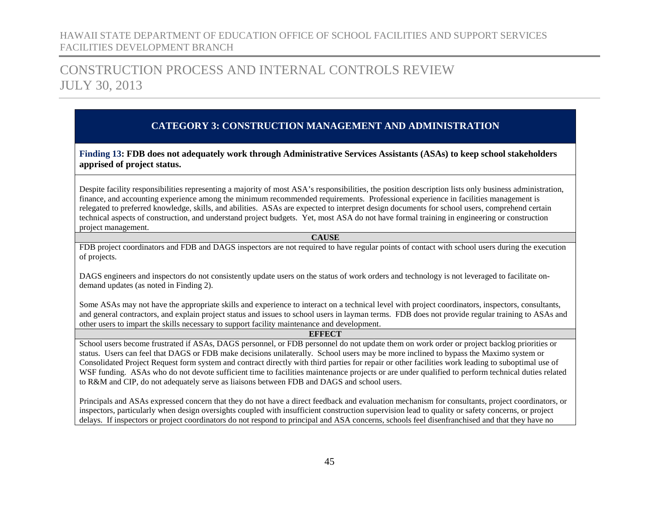## CONSTRUCTION PROCESS AND INTERNAL CONTROLS REVIEW JULY 30, 2013

### **CATEGORY 3: CONSTRUCTION MANAGEMENT AND ADMINISTRATION**

**Finding 13: FDB does not adequately work through Administrative Services Assistants (ASAs) to keep school stakeholders apprised of project status.**

Despite facility responsibilities representing a majority of most ASA's responsibilities, the position description lists only business administration, finance, and accounting experience among the minimum recommended requirements. Professional experience in facilities management is relegated to preferred knowledge, skills, and abilities. ASAs are expected to interpret design documents for school users, comprehend certain technical aspects of construction, and understand project budgets. Yet, most ASA do not have formal training in engineering or construction project management.

#### **CAUSE**

FDB project coordinators and FDB and DAGS inspectors are not required to have regular points of contact with school users during the execution of projects.

DAGS engineers and inspectors do not consistently update users on the status of work orders and technology is not leveraged to facilitate ondemand updates (as noted in Finding 2).

Some ASAs may not have the appropriate skills and experience to interact on a technical level with project coordinators, inspectors, consultants, and general contractors, and explain project status and issues to school users in layman terms. FDB does not provide regular training to ASAs and other users to impart the skills necessary to support facility maintenance and development.

#### **EFFECT**

School users become frustrated if ASAs, DAGS personnel, or FDB personnel do not update them on work order or project backlog priorities or status. Users can feel that DAGS or FDB make decisions unilaterally. School users may be more inclined to bypass the Maximo system or Consolidated Project Request form system and contract directly with third parties for repair or other facilities work leading to suboptimal use of WSF funding. ASAs who do not devote sufficient time to facilities maintenance projects or are under qualified to perform technical duties related to R&M and CIP, do not adequately serve as liaisons between FDB and DAGS and school users.

Principals and ASAs expressed concern that they do not have a direct feedback and evaluation mechanism for consultants, project coordinators, or inspectors, particularly when design oversights coupled with insufficient construction supervision lead to quality or safety concerns, or project delays. If inspectors or project coordinators do not respond to principal and ASA concerns, schools feel disenfranchised and that they have no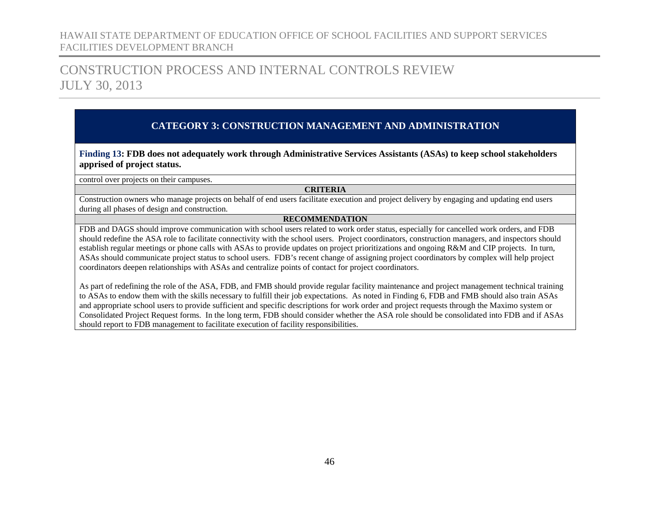## CONSTRUCTION PROCESS AND INTERNAL CONTROLS REVIEW JULY 30, 2013

### **CATEGORY 3: CONSTRUCTION MANAGEMENT AND ADMINISTRATION**

**Finding 13: FDB does not adequately work through Administrative Services Assistants (ASAs) to keep school stakeholders apprised of project status.**

control over projects on their campuses.

#### **CRITERIA**

Construction owners who manage projects on behalf of end users facilitate execution and project delivery by engaging and updating end users during all phases of design and construction.

#### **RECOMMENDATION**

FDB and DAGS should improve communication with school users related to work order status, especially for cancelled work orders, and FDB should redefine the ASA role to facilitate connectivity with the school users. Project coordinators, construction managers, and inspectors should establish regular meetings or phone calls with ASAs to provide updates on project prioritizations and ongoing R&M and CIP projects. In turn, ASAs should communicate project status to school users. FDB's recent change of assigning project coordinators by complex will help project coordinators deepen relationships with ASAs and centralize points of contact for project coordinators.

As part of redefining the role of the ASA, FDB, and FMB should provide regular facility maintenance and project management technical training to ASAs to endow them with the skills necessary to fulfill their job expectations. As noted in Finding 6, FDB and FMB should also train ASAs and appropriate school users to provide sufficient and specific descriptions for work order and project requests through the Maximo system or Consolidated Project Request forms. In the long term, FDB should consider whether the ASA role should be consolidated into FDB and if ASAs should report to FDB management to facilitate execution of facility responsibilities.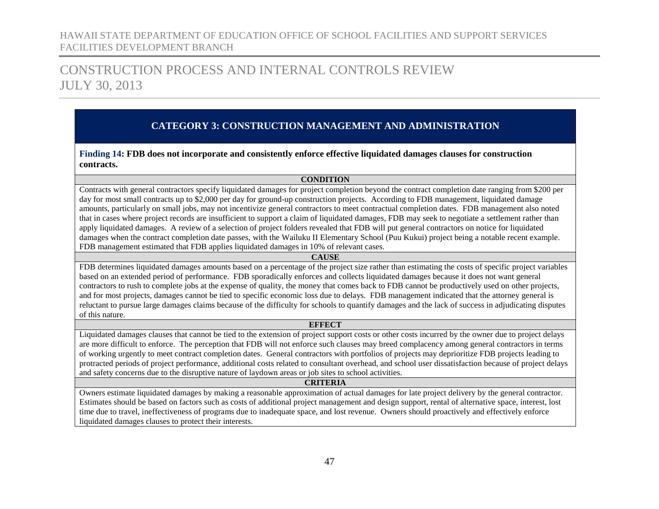## CONSTRUCTION PROCESS AND INTERNAL CONTROLS REVIEW JULY 30, 2013

### **CATEGORY 3: CONSTRUCTION MANAGEMENT AND ADMINISTRATION**

<span id="page-48-0"></span>**Finding 14: FDB does not incorporate and consistently enforce effective liquidated damages clauses for construction contracts.**

#### **CONDITION**

Contracts with general contractors specify liquidated damages for project completion beyond the contract completion date ranging from \$200 per day for most small contracts up to \$2,000 per day for ground-up construction projects. According to FDB management, liquidated damage amounts, particularly on small jobs, may not incentivize general contractors to meet contractual completion dates. FDB management also noted that in cases where project records are insufficient to support a claim of liquidated damages, FDB may seek to negotiate a settlement rather than apply liquidated damages. A review of a selection of project folders revealed that FDB will put general contractors on notice for liquidated damages when the contract completion date passes, with the Wailuku II Elementary School (Puu Kukui) project being a notable recent example. FDB management estimated that FDB applies liquidated damages in 10% of relevant cases.

#### **CAUSE**

FDB determines liquidated damages amounts based on a percentage of the project size rather than estimating the costs of specific project variables based on an extended period of performance. FDB sporadically enforces and collects liquidated damages because it does not want general contractors to rush to complete jobs at the expense of quality, the money that comes back to FDB cannot be productively used on other projects, and for most projects, damages cannot be tied to specific economic loss due to delays. FDB management indicated that the attorney general is reluctant to pursue large damages claims because of the difficulty for schools to quantify damages and the lack of success in adjudicating disputes of this nature.

#### **EFFECT**

Liquidated damages clauses that cannot be tied to the extension of project support costs or other costs incurred by the owner due to project delays are more difficult to enforce. The perception that FDB will not enforce such clauses may breed complacency among general contractors in terms of working urgently to meet contract completion dates. General contractors with portfolios of projects may deprioritize FDB projects leading to protracted periods of project performance, additional costs related to consultant overhead, and school user dissatisfaction because of project delays and safety concerns due to the disruptive nature of laydown areas or job sites to school activities.

#### **CRITERIA**

Owners estimate liquidated damages by making a reasonable approximation of actual damages for late project delivery by the general contractor. Estimates should be based on factors such as costs of additional project management and design support, rental of alternative space, interest, lost time due to travel, ineffectiveness of programs due to inadequate space, and lost revenue. Owners should proactively and effectively enforce liquidated damages clauses to protect their interests.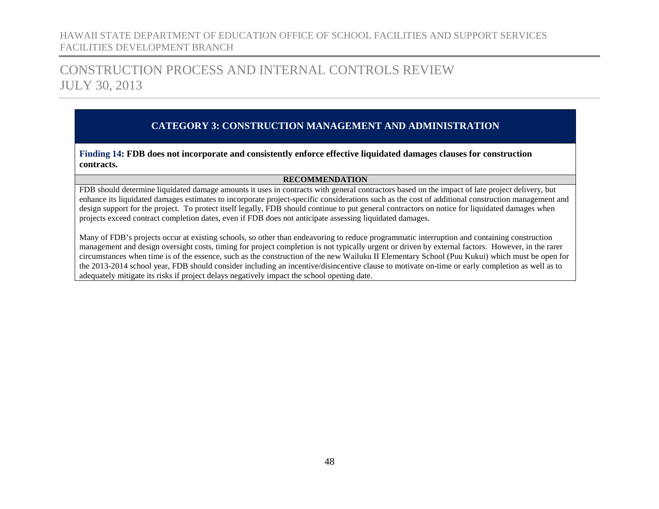## CONSTRUCTION PROCESS AND INTERNAL CONTROLS REVIEW JULY 30, 2013

### **CATEGORY 3: CONSTRUCTION MANAGEMENT AND ADMINISTRATION**

**Finding 14: FDB does not incorporate and consistently enforce effective liquidated damages clauses for construction contracts.**

#### **RECOMMENDATION**

FDB should determine liquidated damage amounts it uses in contracts with general contractors based on the impact of late project delivery, but enhance its liquidated damages estimates to incorporate project-specific considerations such as the cost of additional construction management and design support for the project. To protect itself legally, FDB should continue to put general contractors on notice for liquidated damages when projects exceed contract completion dates, even if FDB does not anticipate assessing liquidated damages.

Many of FDB's projects occur at existing schools, so other than endeavoring to reduce programmatic interruption and containing construction management and design oversight costs, timing for project completion is not typically urgent or driven by external factors. However, in the rarer circumstances when time is of the essence, such as the construction of the new Wailuku II Elementary School (Puu Kukui) which must be open for the 2013-2014 school year, FDB should consider including an incentive/disincentive clause to motivate on-time or early completion as well as to adequately mitigate its risks if project delays negatively impact the school opening date.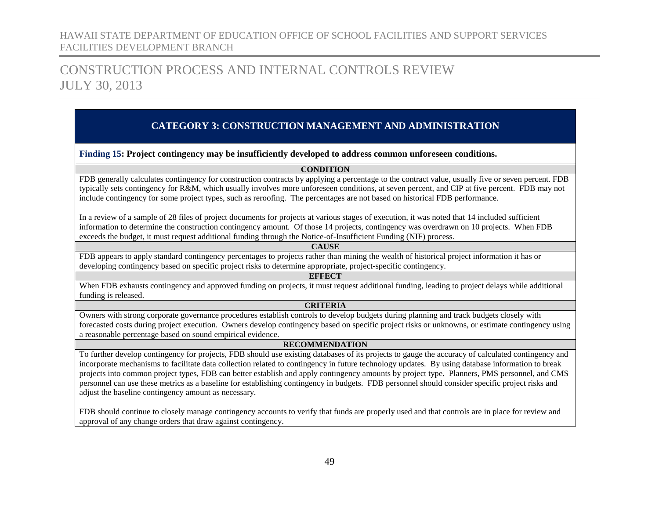## CONSTRUCTION PROCESS AND INTERNAL CONTROLS REVIEW JULY 30, 2013

### **CATEGORY 3: CONSTRUCTION MANAGEMENT AND ADMINISTRATION**

#### <span id="page-50-0"></span>**Finding 15: Project contingency may be insufficiently developed to address common unforeseen conditions.**

**CONDITION**

FDB generally calculates contingency for construction contracts by applying a percentage to the contract value, usually five or seven percent. FDB typically sets contingency for R&M, which usually involves more unforeseen conditions, at seven percent, and CIP at five percent. FDB may not include contingency for some project types, such as reroofing. The percentages are not based on historical FDB performance.

In a review of a sample of 28 files of project documents for projects at various stages of execution, it was noted that 14 included sufficient information to determine the construction contingency amount. Of those 14 projects, contingency was overdrawn on 10 projects. When FDB exceeds the budget, it must request additional funding through the Notice-of-Insufficient Funding (NIF) process.

#### **CAUSE**

FDB appears to apply standard contingency percentages to projects rather than mining the wealth of historical project information it has or developing contingency based on specific project risks to determine appropriate, project-specific contingency.

#### **EFFECT**

When FDB exhausts contingency and approved funding on projects, it must request additional funding, leading to project delays while additional funding is released.

#### **CRITERIA**

Owners with strong corporate governance procedures establish controls to develop budgets during planning and track budgets closely with forecasted costs during project execution. Owners develop contingency based on specific project risks or unknowns, or estimate contingency using a reasonable percentage based on sound empirical evidence.

#### **RECOMMENDATION**

To further develop contingency for projects, FDB should use existing databases of its projects to gauge the accuracy of calculated contingency and incorporate mechanisms to facilitate data collection related to contingency in future technology updates. By using database information to break projects into common project types, FDB can better establish and apply contingency amounts by project type. Planners, PMS personnel, and CMS personnel can use these metrics as a baseline for establishing contingency in budgets. FDB personnel should consider specific project risks and adjust the baseline contingency amount as necessary.

FDB should continue to closely manage contingency accounts to verify that funds are properly used and that controls are in place for review and approval of any change orders that draw against contingency.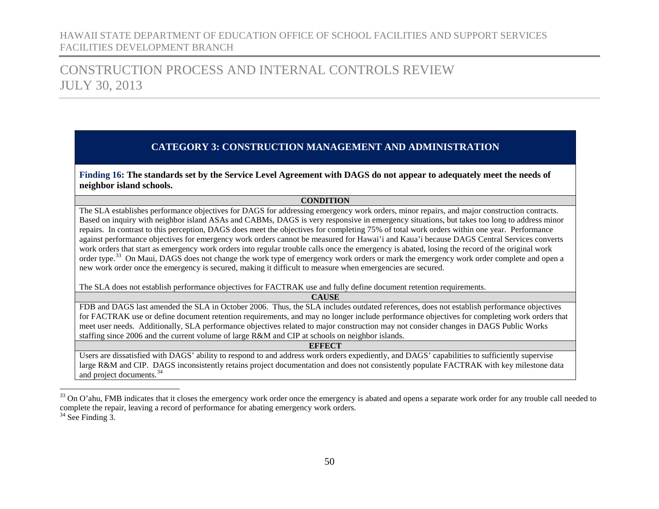## CONSTRUCTION PROCESS AND INTERNAL CONTROLS REVIEW JULY 30, 2013

### **CATEGORY 3: CONSTRUCTION MANAGEMENT AND ADMINISTRATION**

<span id="page-51-0"></span>**Finding 16: The standards set by the Service Level Agreement with DAGS do not appear to adequately meet the needs of neighbor island schools.**

#### <span id="page-51-2"></span><span id="page-51-1"></span>**CONDITION**

The SLA establishes performance objectives for DAGS for addressing emergency work orders, minor repairs, and major construction contracts. Based on inquiry with neighbor island ASAs and CABMs, DAGS is very responsive in emergency situations, but takes too long to address minor repairs. In contrast to this perception, DAGS does meet the objectives for completing 75% of total work orders within one year. Performance against performance objectives for emergency work orders cannot be measured for Hawai'i and Kaua'i because DAGS Central Services converts work orders that start as emergency work orders into regular trouble calls once the emergency is abated, losing the record of the original work order type.<sup>33</sup> On Maui, DAGS does not change the work type of emergency work orders or mark the emergency work order complete and open a new work order once the emergency is secured, making it difficult to measure when emergencies are secured.

The SLA does not establish performance objectives for FACTRAK use and fully define document retention requirements.

**CAUSE**

FDB and DAGS last amended the SLA in October 2006. Thus, the SLA includes outdated references, does not establish performance objectives for FACTRAK use or define document retention requirements, and may no longer include performance objectives for completing work orders that meet user needs. Additionally, SLA performance objectives related to major construction may not consider changes in DAGS Public Works staffing since 2006 and the current volume of large R&M and CIP at schools on neighbor islands.

#### **EFFECT**

Users are dissatisfied with DAGS' ability to respond to and address work orders expediently, and DAGS' capabilities to sufficiently supervise large R&M and CIP. DAGS inconsistently retains project documentation and does not consistently populate FACTRAK with key milestone data and project documents.<sup>[34](#page-51-2)</sup>

<sup>&</sup>lt;sup>33</sup> On O'ahu, FMB indicates that it closes the emergency work order once the emergency is abated and opens a separate work order for any trouble call needed to complete the repair, leaving a record of performance for abating emergency work orders. <sup>34</sup> See Finding 3.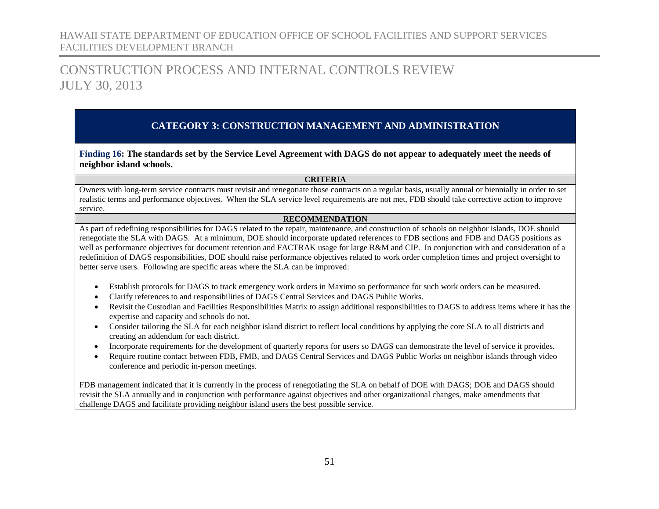## CONSTRUCTION PROCESS AND INTERNAL CONTROLS REVIEW JULY 30, 2013

### **CATEGORY 3: CONSTRUCTION MANAGEMENT AND ADMINISTRATION**

**Finding 16: The standards set by the Service Level Agreement with DAGS do not appear to adequately meet the needs of neighbor island schools.**

#### **CRITERIA**

Owners with long-term service contracts must revisit and renegotiate those contracts on a regular basis, usually annual or biennially in order to set realistic terms and performance objectives. When the SLA service level requirements are not met, FDB should take corrective action to improve service.

#### **RECOMMENDATION**

As part of redefining responsibilities for DAGS related to the repair, maintenance, and construction of schools on neighbor islands, DOE should renegotiate the SLA with DAGS. At a minimum, DOE should incorporate updated references to FDB sections and FDB and DAGS positions as well as performance objectives for document retention and FACTRAK usage for large R&M and CIP. In conjunction with and consideration of a redefinition of DAGS responsibilities, DOE should raise performance objectives related to work order completion times and project oversight to better serve users. Following are specific areas where the SLA can be improved:

- Establish protocols for DAGS to track emergency work orders in Maximo so performance for such work orders can be measured.
- Clarify references to and responsibilities of DAGS Central Services and DAGS Public Works.
- Revisit the Custodian and Facilities Responsibilities Matrix to assign additional responsibilities to DAGS to address items where it has the expertise and capacity and schools do not.
- Consider tailoring the SLA for each neighbor island district to reflect local conditions by applying the core SLA to all districts and creating an addendum for each district.
- Incorporate requirements for the development of quarterly reports for users so DAGS can demonstrate the level of service it provides.
- Require routine contact between FDB, FMB, and DAGS Central Services and DAGS Public Works on neighbor islands through video conference and periodic in-person meetings.

FDB management indicated that it is currently in the process of renegotiating the SLA on behalf of DOE with DAGS; DOE and DAGS should revisit the SLA annually and in conjunction with performance against objectives and other organizational changes, make amendments that challenge DAGS and facilitate providing neighbor island users the best possible service.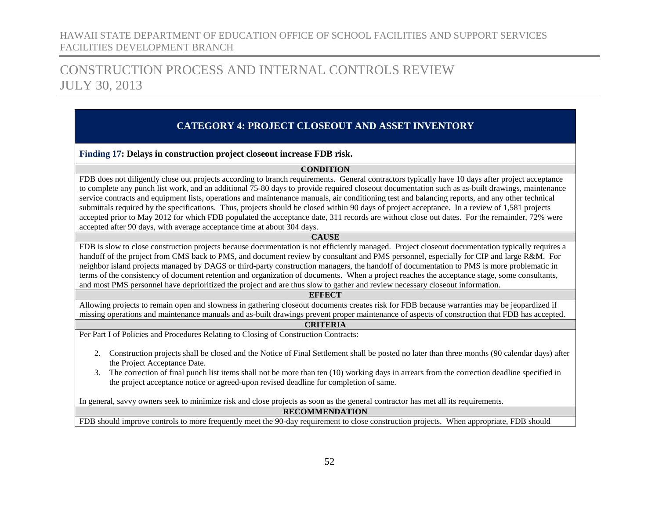## CONSTRUCTION PROCESS AND INTERNAL CONTROLS REVIEW JULY 30, 2013

### **CATEGORY 4: PROJECT CLOSEOUT AND ASSET INVENTORY**

#### <span id="page-53-1"></span><span id="page-53-0"></span>**Finding 17: Delays in construction project closeout increase FDB risk.**

#### **CONDITION**

FDB does not diligently close out projects according to branch requirements. General contractors typically have 10 days after project acceptance to complete any punch list work, and an additional 75-80 days to provide required closeout documentation such as as-built drawings, maintenance service contracts and equipment lists, operations and maintenance manuals, air conditioning test and balancing reports, and any other technical submittals required by the specifications. Thus, projects should be closed within 90 days of project acceptance. In a review of 1,581 projects accepted prior to May 2012 for which FDB populated the acceptance date, 311 records are without close out dates. For the remainder, 72% were accepted after 90 days, with average acceptance time at about 304 days.

#### **CAUSE**

FDB is slow to close construction projects because documentation is not efficiently managed. Project closeout documentation typically requires a handoff of the project from CMS back to PMS, and document review by consultant and PMS personnel, especially for CIP and large R&M. For neighbor island projects managed by DAGS or third-party construction managers, the handoff of documentation to PMS is more problematic in terms of the consistency of document retention and organization of documents. When a project reaches the acceptance stage, some consultants, and most PMS personnel have deprioritized the project and are thus slow to gather and review necessary closeout information.

#### **EFFECT**

Allowing projects to remain open and slowness in gathering closeout documents creates risk for FDB because warranties may be jeopardized if missing operations and maintenance manuals and as-built drawings prevent proper maintenance of aspects of construction that FDB has accepted.

#### **CRITERIA**

Per Part I of Policies and Procedures Relating to Closing of Construction Contracts:

- 2. Construction projects shall be closed and the Notice of Final Settlement shall be posted no later than three months (90 calendar days) after the Project Acceptance Date.
- 3. The correction of final punch list items shall not be more than ten (10) working days in arrears from the correction deadline specified in the project acceptance notice or agreed-upon revised deadline for completion of same.

In general, savvy owners seek to minimize risk and close projects as soon as the general contractor has met all its requirements.

#### **RECOMMENDATION**

FDB should improve controls to more frequently meet the 90-day requirement to close construction projects. When appropriate, FDB should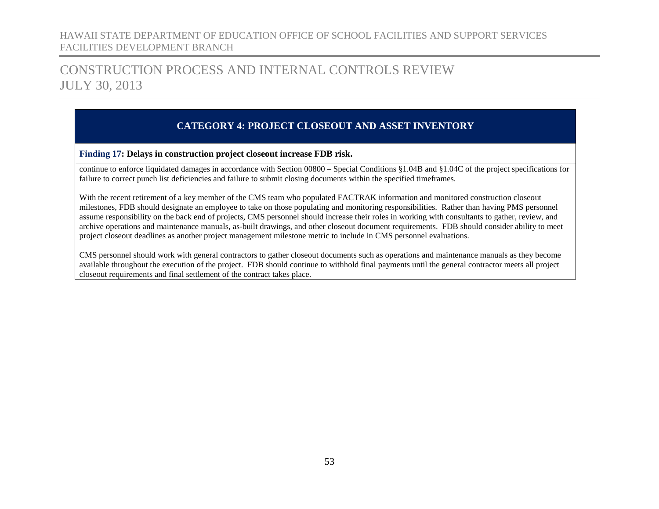## CONSTRUCTION PROCESS AND INTERNAL CONTROLS REVIEW JULY 30, 2013

### **CATEGORY 4: PROJECT CLOSEOUT AND ASSET INVENTORY**

#### **Finding 17: Delays in construction project closeout increase FDB risk.**

continue to enforce liquidated damages in accordance with Section 00800 – Special Conditions §1.04B and §1.04C of the project specifications for failure to correct punch list deficiencies and failure to submit closing documents within the specified timeframes.

With the recent retirement of a key member of the CMS team who populated FACTRAK information and monitored construction closeout milestones, FDB should designate an employee to take on those populating and monitoring responsibilities. Rather than having PMS personnel assume responsibility on the back end of projects, CMS personnel should increase their roles in working with consultants to gather, review, and archive operations and maintenance manuals, as-built drawings, and other closeout document requirements. FDB should consider ability to meet project closeout deadlines as another project management milestone metric to include in CMS personnel evaluations.

<span id="page-54-0"></span>CMS personnel should work with general contractors to gather closeout documents such as operations and maintenance manuals as they become available throughout the execution of the project. FDB should continue to withhold final payments until the general contractor meets all project closeout requirements and final settlement of the contract takes place.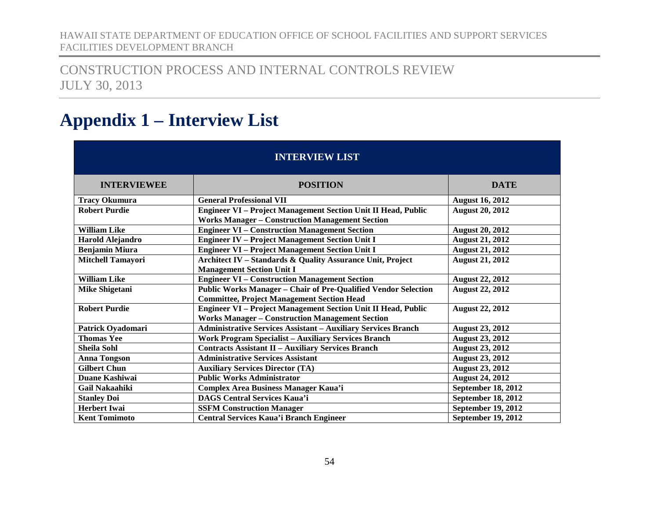## CONSTRUCTION PROCESS AND INTERNAL CONTROLS REVIEW JULY 30, 2013

# **Appendix 1 – Interview List**

| <b>INTERVIEW LIST</b>    |                                                                                                                                |                           |  |  |  |  |
|--------------------------|--------------------------------------------------------------------------------------------------------------------------------|---------------------------|--|--|--|--|
| <b>INTERVIEWEE</b>       | <b>POSITION</b>                                                                                                                | <b>DATE</b>               |  |  |  |  |
| <b>Tracy Okumura</b>     | <b>General Professional VII</b>                                                                                                | <b>August 16, 2012</b>    |  |  |  |  |
| <b>Robert Purdie</b>     | Engineer VI - Project Management Section Unit II Head, Public<br><b>Works Manager - Construction Management Section</b>        | <b>August 20, 2012</b>    |  |  |  |  |
| <b>William Like</b>      | <b>Engineer VI - Construction Management Section</b>                                                                           | <b>August 20, 2012</b>    |  |  |  |  |
| <b>Harold Alejandro</b>  | <b>Engineer IV - Project Management Section Unit I</b>                                                                         | <b>August 21, 2012</b>    |  |  |  |  |
| <b>Benjamin Miura</b>    | <b>Engineer VI - Project Management Section Unit I</b>                                                                         | <b>August 21, 2012</b>    |  |  |  |  |
| <b>Mitchell Tamayori</b> | Architect IV - Standards & Quality Assurance Unit, Project<br><b>Management Section Unit I</b>                                 | <b>August 21, 2012</b>    |  |  |  |  |
| <b>William Like</b>      | <b>Engineer VI - Construction Management Section</b>                                                                           | <b>August 22, 2012</b>    |  |  |  |  |
| <b>Mike Shigetani</b>    | Public Works Manager - Chair of Pre-Qualified Vendor Selection<br><b>Committee, Project Management Section Head</b>            | <b>August 22, 2012</b>    |  |  |  |  |
| <b>Robert Purdie</b>     | <b>Engineer VI - Project Management Section Unit II Head, Public</b><br><b>Works Manager - Construction Management Section</b> | <b>August 22, 2012</b>    |  |  |  |  |
| Patrick Oyadomari        | <b>Administrative Services Assistant - Auxiliary Services Branch</b>                                                           | <b>August 23, 2012</b>    |  |  |  |  |
| <b>Thomas Yee</b>        | <b>Work Program Specialist - Auxiliary Services Branch</b>                                                                     | <b>August 23, 2012</b>    |  |  |  |  |
| <b>Sheila Sohl</b>       | <b>Contracts Assistant II - Auxiliary Services Branch</b>                                                                      | <b>August 23, 2012</b>    |  |  |  |  |
| <b>Anna Tongson</b>      | <b>Administrative Services Assistant</b>                                                                                       | <b>August 23, 2012</b>    |  |  |  |  |
| <b>Gilbert Chun</b>      | <b>Auxiliary Services Director (TA)</b>                                                                                        | <b>August 23, 2012</b>    |  |  |  |  |
| Duane Kashiwai           | <b>Public Works Administrator</b>                                                                                              | <b>August 24, 2012</b>    |  |  |  |  |
| <b>Gail Nakaahiki</b>    | <b>Complex Area Business Manager Kaua'i</b>                                                                                    | September 18, 2012        |  |  |  |  |
| <b>Stanley Doi</b>       | <b>DAGS Central Services Kaua'i</b>                                                                                            | <b>September 18, 2012</b> |  |  |  |  |
| <b>Herbert Iwai</b>      | <b>SSFM Construction Manager</b>                                                                                               | September 19, 2012        |  |  |  |  |
| <b>Kent Tomimoto</b>     | <b>Central Services Kaua'i Branch Engineer</b>                                                                                 | September 19, 2012        |  |  |  |  |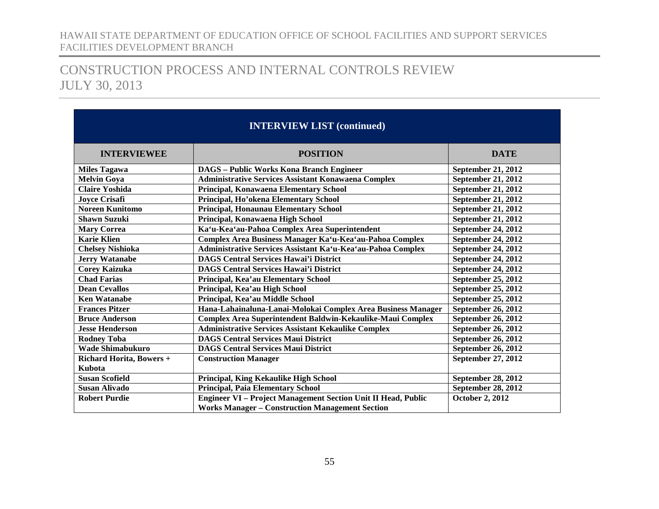| <b>INTERVIEW LIST (continued)</b> |                                                               |                           |  |  |  |
|-----------------------------------|---------------------------------------------------------------|---------------------------|--|--|--|
| <b>INTERVIEWEE</b>                | <b>POSITION</b>                                               | <b>DATE</b>               |  |  |  |
| <b>Miles Tagawa</b>               | <b>DAGS</b> – Public Works Kona Branch Engineer               | <b>September 21, 2012</b> |  |  |  |
| <b>Melvin Goya</b>                | <b>Administrative Services Assistant Konawaena Complex</b>    | September 21, 2012        |  |  |  |
| <b>Claire Yoshida</b>             | Principal, Konawaena Elementary School                        | <b>September 21, 2012</b> |  |  |  |
| <b>Jovce Crisafi</b>              | Principal, Ho'okena Elementary School                         | <b>September 21, 2012</b> |  |  |  |
| <b>Noreen Kunitomo</b>            | Principal, Honaunau Elementary School                         | <b>September 21, 2012</b> |  |  |  |
| <b>Shawn Suzuki</b>               | Principal, Konawaena High School                              | <b>September 21, 2012</b> |  |  |  |
| <b>Mary Correa</b>                | Ka'u-Kea'au-Pahoa Complex Area Superintendent                 | September 24, 2012        |  |  |  |
| <b>Karie Klien</b>                | Complex Area Business Manager Ka'u-Kea'au-Pahoa Complex       | <b>September 24, 2012</b> |  |  |  |
| <b>Chelsey Nishioka</b>           | Administrative Services Assistant Ka'u-Kea'au-Pahoa Complex   | September 24, 2012        |  |  |  |
| <b>Jerry Watanabe</b>             | <b>DAGS Central Services Hawai'i District</b>                 | <b>September 24, 2012</b> |  |  |  |
| <b>Corey Kaizuka</b>              | <b>DAGS Central Services Hawai'i District</b>                 | September 24, 2012        |  |  |  |
| <b>Chad Farias</b>                | Principal, Kea'au Elementary School                           | September 25, 2012        |  |  |  |
| <b>Dean Cevallos</b>              | Principal, Kea'au High School                                 | September 25, 2012        |  |  |  |
| <b>Ken Watanabe</b>               | Principal, Kea'au Middle School                               | September 25, 2012        |  |  |  |
| <b>Frances Pitzer</b>             | Hana-Lahainaluna-Lanai-Molokai Complex Area Business Manager  | <b>September 26, 2012</b> |  |  |  |
| <b>Bruce Anderson</b>             | Complex Area Superintendent Baldwin-Kekaulike-Maui Complex    | <b>September 26, 2012</b> |  |  |  |
| <b>Jesse Henderson</b>            | <b>Administrative Services Assistant Kekaulike Complex</b>    | <b>September 26, 2012</b> |  |  |  |
| <b>Rodney Toba</b>                | <b>DAGS Central Services Maui District</b>                    | <b>September 26, 2012</b> |  |  |  |
| <b>Wade Shimabukuro</b>           | <b>DAGS Central Services Maui District</b>                    | <b>September 26, 2012</b> |  |  |  |
| <b>Richard Horita, Bowers +</b>   | <b>Construction Manager</b>                                   | September 27, 2012        |  |  |  |
| Kubota                            |                                                               |                           |  |  |  |
| <b>Susan Scofield</b>             | Principal, King Kekaulike High School                         | <b>September 28, 2012</b> |  |  |  |
| <b>Susan Alivado</b>              | <b>Principal, Paia Elementary School</b>                      | September 28, 2012        |  |  |  |
| <b>Robert Purdie</b>              | Engineer VI - Project Management Section Unit II Head, Public | <b>October 2, 2012</b>    |  |  |  |
|                                   | <b>Works Manager - Construction Management Section</b>        |                           |  |  |  |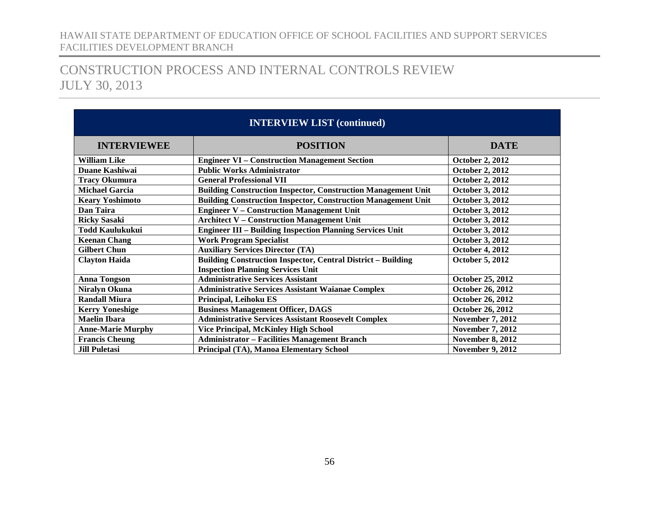| <b>INTERVIEW LIST (continued)</b>                                                          |                                                                                                                 |                         |  |  |  |
|--------------------------------------------------------------------------------------------|-----------------------------------------------------------------------------------------------------------------|-------------------------|--|--|--|
| <b>INTERVIEWEE</b>                                                                         | <b>DATE</b>                                                                                                     |                         |  |  |  |
| <b>William Like</b>                                                                        | <b>Engineer VI - Construction Management Section</b>                                                            | <b>October 2, 2012</b>  |  |  |  |
| Duane Kashiwai                                                                             | <b>Public Works Administrator</b>                                                                               | <b>October 2, 2012</b>  |  |  |  |
| <b>Tracy Okumura</b>                                                                       | <b>General Professional VII</b>                                                                                 | <b>October 2, 2012</b>  |  |  |  |
| <b>Michael Garcia</b>                                                                      | <b>Building Construction Inspector, Construction Management Unit</b>                                            | <b>October 3, 2012</b>  |  |  |  |
| <b>Keary Yoshimoto</b>                                                                     | <b>Building Construction Inspector, Construction Management Unit</b>                                            | <b>October 3, 2012</b>  |  |  |  |
| Dan Taira                                                                                  | <b>Engineer V - Construction Management Unit</b>                                                                | <b>October 3, 2012</b>  |  |  |  |
| <b>Ricky Sasaki</b>                                                                        | <b>Architect V - Construction Management Unit</b>                                                               | <b>October 3, 2012</b>  |  |  |  |
| <b>Todd Kaulukukui</b><br><b>Engineer III - Building Inspection Planning Services Unit</b> |                                                                                                                 | <b>October 3, 2012</b>  |  |  |  |
| <b>Work Program Specialist</b><br><b>Keenan Chang</b>                                      |                                                                                                                 | <b>October 3, 2012</b>  |  |  |  |
| <b>Auxiliary Services Director (TA)</b><br><b>Gilbert Chun</b>                             |                                                                                                                 | <b>October 4, 2012</b>  |  |  |  |
| <b>Clayton Haida</b>                                                                       | <b>Building Construction Inspector, Central District - Building</b><br><b>Inspection Planning Services Unit</b> | <b>October 5, 2012</b>  |  |  |  |
| <b>Anna Tongson</b>                                                                        | <b>Administrative Services Assistant</b>                                                                        | October 25, 2012        |  |  |  |
| <b>Niralyn Okuna</b>                                                                       | <b>Administrative Services Assistant Waianae Complex</b>                                                        | October 26, 2012        |  |  |  |
| <b>Randall Miura</b>                                                                       | Principal, Leihoku ES                                                                                           | October 26, 2012        |  |  |  |
| <b>Kerry Yoneshige</b>                                                                     | <b>Business Management Officer, DAGS</b>                                                                        | <b>October 26, 2012</b> |  |  |  |
| <b>Maelin Ibara</b>                                                                        | <b>Administrative Services Assistant Roosevelt Complex</b>                                                      |                         |  |  |  |
| Vice Principal, McKinley High School<br><b>Anne-Marie Murphy</b>                           |                                                                                                                 | <b>November 7, 2012</b> |  |  |  |
| <b>Administrator - Facilities Management Branch</b><br><b>Francis Cheung</b>               |                                                                                                                 | <b>November 8, 2012</b> |  |  |  |
| <b>Jill Puletasi</b>                                                                       | Principal (TA), Manoa Elementary School                                                                         | <b>November 9, 2012</b> |  |  |  |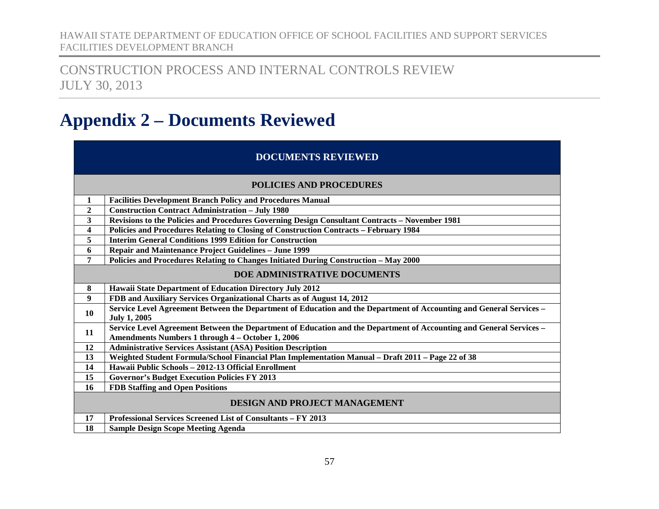CONSTRUCTION PROCESS AND INTERNAL CONTROLS REVIEW JULY 30, 2013

# <span id="page-58-0"></span>**Appendix 2 – Documents Reviewed**

### **DOCUMENTS REVIEWED**

#### **POLICIES AND PROCEDURES**

|                | POLICIES AND PROCEDURES                                                                                                                                                 |  |  |  |  |  |
|----------------|-------------------------------------------------------------------------------------------------------------------------------------------------------------------------|--|--|--|--|--|
| 1              | <b>Facilities Development Branch Policy and Procedures Manual</b>                                                                                                       |  |  |  |  |  |
| $\overline{2}$ | <b>Construction Contract Administration - July 1980</b>                                                                                                                 |  |  |  |  |  |
| 3              | Revisions to the Policies and Procedures Governing Design Consultant Contracts - November 1981                                                                          |  |  |  |  |  |
| 4              | <b>Policies and Procedures Relating to Closing of Construction Contracts - February 1984</b>                                                                            |  |  |  |  |  |
| 5              | <b>Interim General Conditions 1999 Edition for Construction</b>                                                                                                         |  |  |  |  |  |
| 6              | <b>Repair and Maintenance Project Guidelines - June 1999</b>                                                                                                            |  |  |  |  |  |
| $\overline{7}$ | Policies and Procedures Relating to Changes Initiated During Construction - May 2000                                                                                    |  |  |  |  |  |
|                | DOE ADMINISTRATIVE DOCUMENTS                                                                                                                                            |  |  |  |  |  |
| 8              | Hawaii State Department of Education Directory July 2012                                                                                                                |  |  |  |  |  |
| 9              | FDB and Auxiliary Services Organizational Charts as of August 14, 2012                                                                                                  |  |  |  |  |  |
| 10             | Service Level Agreement Between the Department of Education and the Department of Accounting and General Services -<br><b>July 1, 2005</b>                              |  |  |  |  |  |
| 11             | Service Level Agreement Between the Department of Education and the Department of Accounting and General Services –<br>Amendments Numbers 1 through 4 - October 1, 2006 |  |  |  |  |  |
| 12             | <b>Administrative Services Assistant (ASA) Position Description</b>                                                                                                     |  |  |  |  |  |
| 13             | Weighted Student Formula/School Financial Plan Implementation Manual - Draft 2011 - Page 22 of 38                                                                       |  |  |  |  |  |
| 14             | Hawaii Public Schools - 2012-13 Official Enrollment                                                                                                                     |  |  |  |  |  |
| 15             | <b>Governor's Budget Execution Policies FY 2013</b>                                                                                                                     |  |  |  |  |  |
| 16             | <b>FDB Staffing and Open Positions</b>                                                                                                                                  |  |  |  |  |  |
|                | DESIGN AND PROJECT MANAGEMENT                                                                                                                                           |  |  |  |  |  |
| 17             | Professional Services Screened List of Consultants - FY 2013                                                                                                            |  |  |  |  |  |
| 18             | <b>Sample Design Scope Meeting Agenda</b>                                                                                                                               |  |  |  |  |  |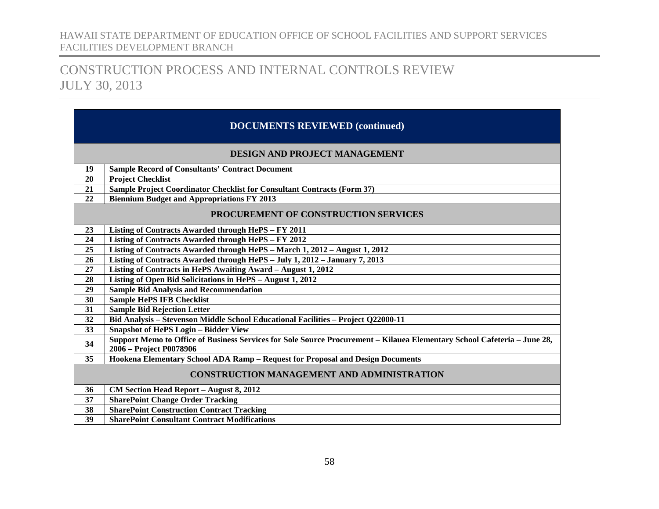## CONSTRUCTION PROCESS AND INTERNAL CONTROLS REVIEW JULY 30, 2013

### **DOCUMENTS REVIEWED (continued)**

#### **DESIGN AND PROJECT MANAGEMENT**

| DESIGN AND PROJECT MANAGEMENT |                                                                                                                                                     |  |  |  |  |
|-------------------------------|-----------------------------------------------------------------------------------------------------------------------------------------------------|--|--|--|--|
| 19                            | <b>Sample Record of Consultants' Contract Document</b>                                                                                              |  |  |  |  |
| 20                            | <b>Project Checklist</b>                                                                                                                            |  |  |  |  |
| 21                            | Sample Project Coordinator Checklist for Consultant Contracts (Form 37)                                                                             |  |  |  |  |
| 22                            | <b>Biennium Budget and Appropriations FY 2013</b>                                                                                                   |  |  |  |  |
|                               | PROCUREMENT OF CONSTRUCTION SERVICES                                                                                                                |  |  |  |  |
| 23                            | Listing of Contracts Awarded through HePS - FY 2011                                                                                                 |  |  |  |  |
| 24                            | Listing of Contracts Awarded through HePS - FY 2012                                                                                                 |  |  |  |  |
| 25                            | Listing of Contracts Awarded through HePS - March 1, 2012 - August 1, 2012                                                                          |  |  |  |  |
| 26                            | Listing of Contracts Awarded through HePS - July 1, 2012 - January 7, 2013                                                                          |  |  |  |  |
| 27                            | Listing of Contracts in HePS Awaiting Award - August 1, 2012                                                                                        |  |  |  |  |
| 28                            | Listing of Open Bid Solicitations in HePS - August 1, 2012                                                                                          |  |  |  |  |
| 29                            | <b>Sample Bid Analysis and Recommendation</b>                                                                                                       |  |  |  |  |
| 30                            | <b>Sample HePS IFB Checklist</b>                                                                                                                    |  |  |  |  |
| 31                            | <b>Sample Bid Rejection Letter</b>                                                                                                                  |  |  |  |  |
| 32                            | Bid Analysis - Stevenson Middle School Educational Facilities - Project Q22000-11                                                                   |  |  |  |  |
| 33                            | <b>Snapshot of HePS Login - Bidder View</b>                                                                                                         |  |  |  |  |
| 34                            | Support Memo to Office of Business Services for Sole Source Procurement - Kilauea Elementary School Cafeteria - June 28,<br>2006 - Project P0078906 |  |  |  |  |
| 35                            | Hookena Elementary School ADA Ramp - Request for Proposal and Design Documents                                                                      |  |  |  |  |
|                               | <b>CONSTRUCTION MANAGEMENT AND ADMINISTRATION</b>                                                                                                   |  |  |  |  |
| 36                            | CM Section Head Report - August 8, 2012                                                                                                             |  |  |  |  |
| 37                            | <b>SharePoint Change Order Tracking</b>                                                                                                             |  |  |  |  |
| 38                            | <b>SharePoint Construction Contract Tracking</b>                                                                                                    |  |  |  |  |

**SharePoint Consultant Contract Modifications**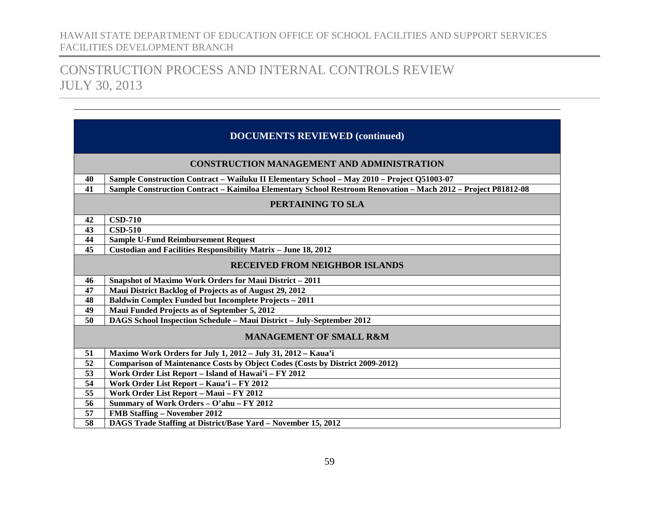|                 | <b>DOCUMENTS REVIEWED (continued)</b>                                                                         |  |  |  |  |  |
|-----------------|---------------------------------------------------------------------------------------------------------------|--|--|--|--|--|
|                 | <b>CONSTRUCTION MANAGEMENT AND ADMINISTRATION</b>                                                             |  |  |  |  |  |
| 40              | Sample Construction Contract – Wailuku II Elementary School – May 2010 – Project Q51003-07                    |  |  |  |  |  |
| 41              | Sample Construction Contract - Kaimiloa Elementary School Restroom Renovation - Mach 2012 - Project P81812-08 |  |  |  |  |  |
|                 | PERTAINING TO SLA                                                                                             |  |  |  |  |  |
| 42              | <b>CSD-710</b>                                                                                                |  |  |  |  |  |
| 43              | <b>CSD-510</b>                                                                                                |  |  |  |  |  |
| 44              | <b>Sample U-Fund Reimbursement Request</b>                                                                    |  |  |  |  |  |
| $\overline{45}$ | Custodian and Facilities Responsibility Matrix - June 18, 2012                                                |  |  |  |  |  |
|                 | <b>RECEIVED FROM NEIGHBOR ISLANDS</b>                                                                         |  |  |  |  |  |
| 46              | <b>Snapshot of Maximo Work Orders for Maui District - 2011</b>                                                |  |  |  |  |  |
| 47              | Maui District Backlog of Projects as of August 29, 2012                                                       |  |  |  |  |  |
| 48              | <b>Baldwin Complex Funded but Incomplete Projects - 2011</b>                                                  |  |  |  |  |  |
| 49              | Maui Funded Projects as of September 5, 2012                                                                  |  |  |  |  |  |
| $\overline{50}$ | DAGS School Inspection Schedule - Maui District - July-September 2012                                         |  |  |  |  |  |
|                 | <b>MANAGEMENT OF SMALL R&amp;M</b>                                                                            |  |  |  |  |  |
| 51              | Maximo Work Orders for July 1, 2012 - July 31, 2012 - Kaua'i                                                  |  |  |  |  |  |
| 52              | Comparison of Maintenance Costs by Object Codes (Costs by District 2009-2012)                                 |  |  |  |  |  |
| 53              | Work Order List Report - Island of Hawai'i - FY 2012                                                          |  |  |  |  |  |
| 54              | Work Order List Report - Kaua'i - FY 2012                                                                     |  |  |  |  |  |
| 55              | Work Order List Report - Maui - FY 2012                                                                       |  |  |  |  |  |
| 56              | Summary of Work Orders - O'ahu - FY 2012                                                                      |  |  |  |  |  |
| 57              | <b>FMB Staffing - November 2012</b>                                                                           |  |  |  |  |  |
| 58              | DAGS Trade Staffing at District/Base Yard - November 15, 2012                                                 |  |  |  |  |  |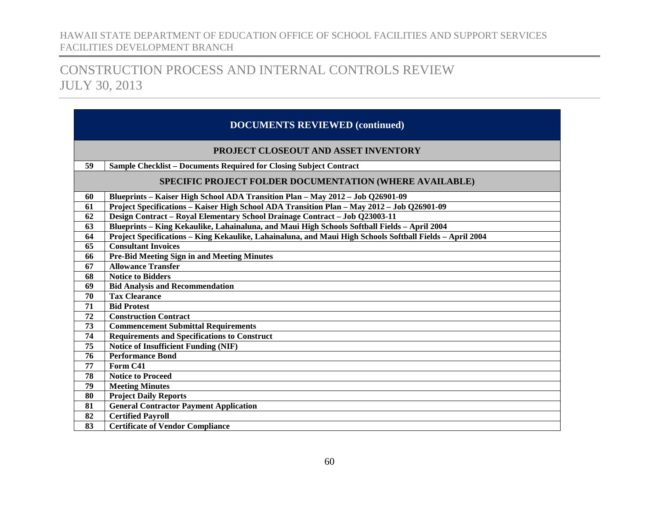| <b>DOCUMENTS REVIEWED (continued)</b> |                                                                                                          |  |  |  |  |  |
|---------------------------------------|----------------------------------------------------------------------------------------------------------|--|--|--|--|--|
|                                       | <b>PROJECT CLOSEOUT AND ASSET INVENTORY</b>                                                              |  |  |  |  |  |
| 59                                    | <b>Sample Checklist - Documents Required for Closing Subject Contract</b>                                |  |  |  |  |  |
|                                       | <b>SPECIFIC PROJECT FOLDER DOCUMENTATION (WHERE AVAILABLE)</b>                                           |  |  |  |  |  |
| 60                                    | Blueprints – Kaiser High School ADA Transition Plan – May 2012 – Job Q26901-09                           |  |  |  |  |  |
| 61                                    | Project Specifications - Kaiser High School ADA Transition Plan - May 2012 - Job Q26901-09               |  |  |  |  |  |
| 62                                    | Design Contract - Royal Elementary School Drainage Contract - Job Q23003-11                              |  |  |  |  |  |
| 63                                    | Blueprints - King Kekaulike, Lahainaluna, and Maui High Schools Softball Fields - April 2004             |  |  |  |  |  |
| 64                                    | Project Specifications - King Kekaulike, Lahainaluna, and Maui High Schools Softball Fields - April 2004 |  |  |  |  |  |
| 65                                    | <b>Consultant Invoices</b>                                                                               |  |  |  |  |  |
| 66                                    | <b>Pre-Bid Meeting Sign in and Meeting Minutes</b>                                                       |  |  |  |  |  |
| 67                                    | <b>Allowance Transfer</b>                                                                                |  |  |  |  |  |
| 68                                    | <b>Notice to Bidders</b>                                                                                 |  |  |  |  |  |
| 69                                    | <b>Bid Analysis and Recommendation</b>                                                                   |  |  |  |  |  |
| 70                                    | <b>Tax Clearance</b>                                                                                     |  |  |  |  |  |
| 71                                    | <b>Bid Protest</b>                                                                                       |  |  |  |  |  |
| 72                                    | <b>Construction Contract</b>                                                                             |  |  |  |  |  |
| 73                                    | <b>Commencement Submittal Requirements</b>                                                               |  |  |  |  |  |
| 74                                    | <b>Requirements and Specifications to Construct</b>                                                      |  |  |  |  |  |
| 75                                    | <b>Notice of Insufficient Funding (NIF)</b>                                                              |  |  |  |  |  |
| 76                                    | <b>Performance Bond</b>                                                                                  |  |  |  |  |  |
| 77                                    | Form C41                                                                                                 |  |  |  |  |  |
| 78                                    | <b>Notice to Proceed</b>                                                                                 |  |  |  |  |  |
| 79                                    | <b>Meeting Minutes</b>                                                                                   |  |  |  |  |  |
| 80                                    | <b>Project Daily Reports</b>                                                                             |  |  |  |  |  |
| 81                                    | <b>General Contractor Payment Application</b>                                                            |  |  |  |  |  |
| 82                                    | <b>Certified Pavroll</b>                                                                                 |  |  |  |  |  |
| 83                                    | <b>Certificate of Vendor Compliance</b>                                                                  |  |  |  |  |  |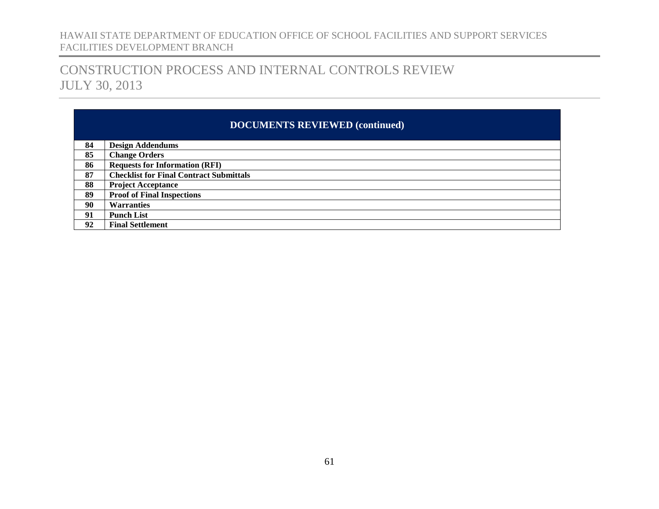## CONSTRUCTION PROCESS AND INTERNAL CONTROLS REVIEW JULY 30, 2013

### **DOCUMENTS REVIEWED (continued)**

| 84 | <b>Design Addendums</b>                        |
|----|------------------------------------------------|
| 85 | <b>Change Orders</b>                           |
| 86 | <b>Requests for Information (RFI)</b>          |
| 87 | <b>Checklist for Final Contract Submittals</b> |
| 88 | <b>Project Acceptance</b>                      |
| 89 | <b>Proof of Final Inspections</b>              |
| 90 | <b>Warranties</b>                              |
| 91 | <b>Punch List</b>                              |
| 92 | <b>Final Settlement</b>                        |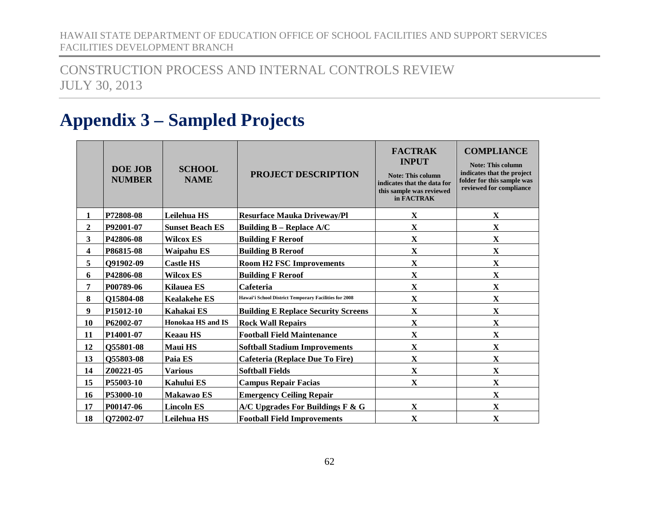## CONSTRUCTION PROCESS AND INTERNAL CONTROLS REVIEW JULY 30, 2013

# <span id="page-63-0"></span>**Appendix 3 – Sampled Projects**

|                         | DOE JOB<br><b>NUMBER</b> | <b>SCHOOL</b><br><b>NAME</b> | <b>PROJECT DESCRIPTION</b>                            | <b>FACTRAK</b><br><b>INPUT</b><br><b>Note: This column</b><br>indicates that the data for<br>this sample was reviewed<br>in FACTRAK | <b>COMPLIANCE</b><br><b>Note: This column</b><br>indicates that the project<br>folder for this sample was<br>reviewed for compliance |
|-------------------------|--------------------------|------------------------------|-------------------------------------------------------|-------------------------------------------------------------------------------------------------------------------------------------|--------------------------------------------------------------------------------------------------------------------------------------|
| 1                       | P72808-08                | Leilehua HS                  | <b>Resurface Mauka Driveway/Pl</b>                    | $\mathbf X$                                                                                                                         | $\mathbf X$                                                                                                                          |
| $\overline{2}$          | P92001-07                | <b>Sunset Beach ES</b>       | <b>Building B - Replace A/C</b>                       | $\mathbf X$                                                                                                                         | $\mathbf X$                                                                                                                          |
| $\overline{\mathbf{3}}$ | P42806-08                | <b>Wilcox ES</b>             | <b>Building F Reroof</b>                              | $\mathbf X$                                                                                                                         | $\mathbf X$                                                                                                                          |
| 4                       | P86815-08                | <b>Waipahu ES</b>            | <b>Building B Reroof</b>                              | $\mathbf X$                                                                                                                         | $\mathbf X$                                                                                                                          |
| 5                       | Q91902-09                | <b>Castle HS</b>             | <b>Room H2 FSC Improvements</b>                       | $\mathbf X$                                                                                                                         | $\mathbf X$                                                                                                                          |
| 6                       | P42806-08                | <b>Wilcox ES</b>             | <b>Building F Reroof</b>                              | $\mathbf X$                                                                                                                         | $\mathbf X$                                                                                                                          |
| 7                       | P00789-06                | <b>Kilauea ES</b>            | Cafeteria                                             | $\mathbf X$                                                                                                                         | $\mathbf X$                                                                                                                          |
| 8                       | O15804-08                | <b>Kealakehe ES</b>          | Hawai'i School District Temporary Facilities for 2008 | $\mathbf X$                                                                                                                         | $\mathbf X$                                                                                                                          |
| 9                       | P15012-10                | Kahakai ES                   | <b>Building E Replace Security Screens</b>            | $\overline{\mathbf{X}}$                                                                                                             | $\mathbf X$                                                                                                                          |
| 10                      | P62002-07                | Honokaa HS and IS            | <b>Rock Wall Repairs</b>                              | $\mathbf X$                                                                                                                         | $\mathbf X$                                                                                                                          |
| 11                      | P14001-07                | <b>Keaau HS</b>              | <b>Football Field Maintenance</b>                     | $\mathbf X$                                                                                                                         | $\mathbf X$                                                                                                                          |
| 12                      | Q55801-08                | <b>Maui HS</b>               | <b>Softball Stadium Improvements</b>                  | $\mathbf X$                                                                                                                         | $\mathbf X$                                                                                                                          |
| 13                      | Q55803-08                | Paia ES                      | <b>Cafeteria (Replace Due To Fire)</b>                | $\mathbf X$                                                                                                                         | $\mathbf X$                                                                                                                          |
| 14                      | Z00221-05                | <b>Various</b>               | <b>Softball Fields</b>                                | $\mathbf X$                                                                                                                         | $\mathbf X$                                                                                                                          |
| 15                      | P55003-10                | <b>Kahului ES</b>            | <b>Campus Repair Facias</b>                           | $\mathbf X$                                                                                                                         | $\mathbf X$                                                                                                                          |
| 16                      | P53000-10                | Makawao ES                   | <b>Emergency Ceiling Repair</b>                       |                                                                                                                                     | $\mathbf X$                                                                                                                          |
| 17                      | P00147-06                | <b>Lincoln ES</b>            | A/C Upgrades For Buildings F & G                      | $\mathbf X$                                                                                                                         | $\mathbf X$                                                                                                                          |
| 18                      | Q72002-07                | Leilehua HS                  | <b>Football Field Improvements</b>                    | $\mathbf X$                                                                                                                         | $\mathbf X$                                                                                                                          |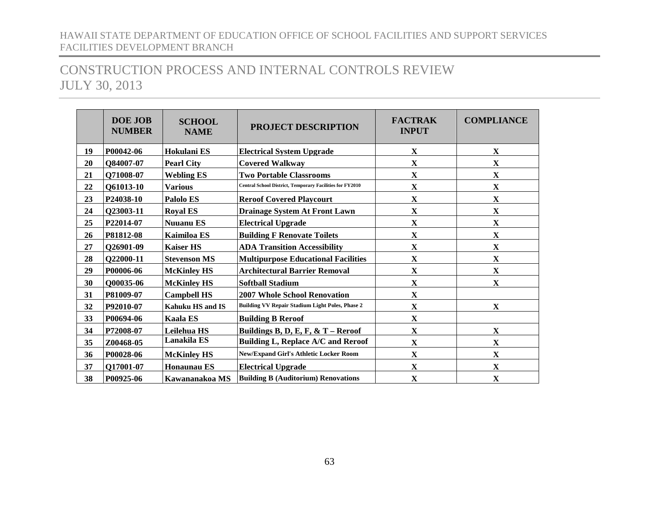|    | <b>DOE JOB</b><br><b>NUMBER</b> | <b>SCHOOL</b><br><b>NAME</b> | <b>PROJECT DESCRIPTION</b>                                      | <b>FACTRAK</b><br><b>INPUT</b> | <b>COMPLIANCE</b> |
|----|---------------------------------|------------------------------|-----------------------------------------------------------------|--------------------------------|-------------------|
| 19 | P00042-06                       | Hokulani ES                  | <b>Electrical System Upgrade</b>                                | X                              | X                 |
| 20 | Q84007-07                       | <b>Pearl City</b>            | <b>Covered Walkway</b>                                          | $\mathbf X$                    | $\mathbf X$       |
| 21 | Q71008-07                       | <b>Webling ES</b>            | <b>Two Portable Classrooms</b>                                  | $\mathbf X$                    | $\mathbf X$       |
| 22 | Q61013-10                       | <b>Various</b>               | <b>Central School District, Temporary Facilities for FY2010</b> | $\mathbf X$                    | $\mathbf X$       |
| 23 | P24038-10                       | Palolo ES                    | <b>Reroof Covered Playcourt</b>                                 | $\mathbf X$                    | $\mathbf X$       |
| 24 | Q23003-11                       | <b>Royal ES</b>              | <b>Drainage System At Front Lawn</b>                            | $\mathbf X$                    | $\mathbf X$       |
| 25 | P22014-07                       | <b>Nuuanu ES</b>             | <b>Electrical Upgrade</b>                                       | $\mathbf X$                    | $\mathbf X$       |
| 26 | P81812-08                       | Kaimiloa ES                  | <b>Building F Renovate Toilets</b>                              | $\mathbf X$                    | $\mathbf X$       |
| 27 | Q26901-09                       | <b>Kaiser HS</b>             | <b>ADA Transition Accessibility</b>                             | $\mathbf X$                    | $\mathbf X$       |
| 28 | Q22000-11                       | <b>Stevenson MS</b>          | <b>Multipurpose Educational Facilities</b>                      | $\mathbf X$                    | $\mathbf X$       |
| 29 | P00006-06                       | <b>McKinley HS</b>           | <b>Architectural Barrier Removal</b>                            | X                              | $\mathbf X$       |
| 30 | Q00035-06                       | <b>McKinley HS</b>           | <b>Softball Stadium</b>                                         | $\mathbf X$                    | $\mathbf X$       |
| 31 | P81009-07                       | <b>Campbell HS</b>           | <b>2007 Whole School Renovation</b>                             | $\mathbf X$                    |                   |
| 32 | P92010-07                       | Kahuku HS and IS             | <b>Building VV Repair Stadium Light Poles, Phase 2</b>          | $\mathbf X$                    | $\mathbf X$       |
| 33 | P00694-06                       | <b>Kaala ES</b>              | <b>Building B Reroof</b>                                        | $\mathbf X$                    |                   |
| 34 | P72008-07                       | Leilehua HS                  | Buildings B, D, E, F, & T - Reroof                              | $\mathbf X$                    | $\mathbf X$       |
| 35 | Z00468-05                       | Lanakila ES                  | Building L, Replace A/C and Reroof                              | $\mathbf X$                    | $\mathbf X$       |
| 36 | P00028-06                       | <b>McKinley HS</b>           | <b>New/Expand Girl's Athletic Locker Room</b>                   | $\mathbf X$                    | $\mathbf X$       |
| 37 | Q17001-07                       | <b>Honaunau ES</b>           | <b>Electrical Upgrade</b>                                       | $\mathbf X$                    | $\mathbf X$       |
| 38 | P00925-06                       | Kawananakoa MS               | <b>Building B (Auditorium) Renovations</b>                      | $\mathbf X$                    | $\mathbf X$       |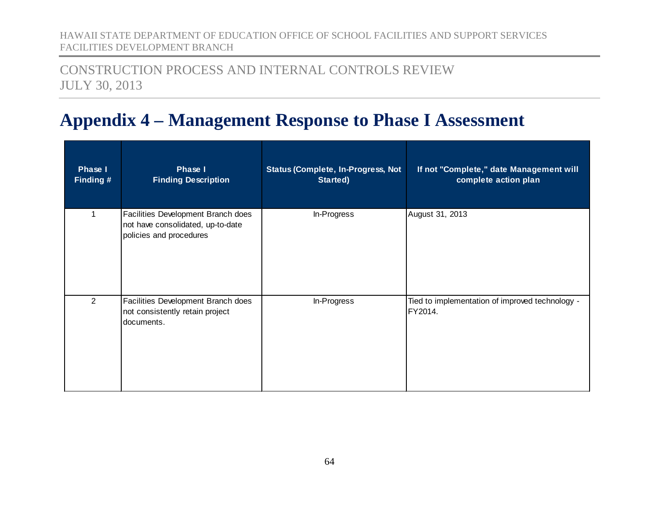## CONSTRUCTION PROCESS AND INTERNAL CONTROLS REVIEW JULY 30, 2013

# <span id="page-65-0"></span>**Appendix 4 – Management Response to Phase I Assessment**

| <b>Phase I</b><br>Finding # | Phase I<br><b>Finding Description</b>                                                              | <b>Status (Complete, In-Progress, Not</b><br>Started) | If not "Complete," date Management will<br>complete action plan |
|-----------------------------|----------------------------------------------------------------------------------------------------|-------------------------------------------------------|-----------------------------------------------------------------|
| 1                           | Facilities Development Branch does<br>not have consolidated, up-to-date<br>policies and procedures | In-Progress                                           | August 31, 2013                                                 |
| $\overline{2}$              | Facilities Development Branch does<br>not consistently retain project<br>documents.                | In-Progress                                           | Tied to implementation of improved technology -<br>FY2014.      |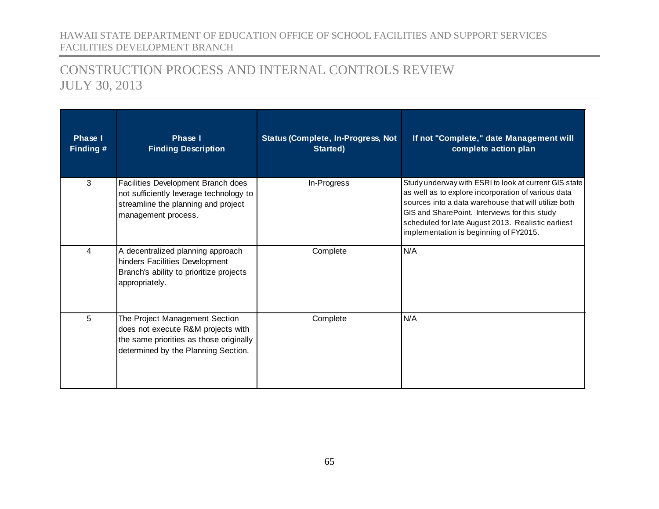| Phase I<br>Finding # | Phase I<br><b>Finding Description</b>                                                                                                                  | <b>Status (Complete, In-Progress, Not</b><br>Started) | If not "Complete," date Management will<br>complete action plan                                                                                                                                                                                                                                                       |
|----------------------|--------------------------------------------------------------------------------------------------------------------------------------------------------|-------------------------------------------------------|-----------------------------------------------------------------------------------------------------------------------------------------------------------------------------------------------------------------------------------------------------------------------------------------------------------------------|
| 3                    | Facilities Development Branch does<br>not sufficiently leverage technology to<br>streamline the planning and project<br>management process.            | In-Progress                                           | Study underway with ESRI to look at current GIS state<br>as well as to explore incorporation of various data<br>sources into a data warehouse that will utilize both<br>GIS and SharePoint. Interviews for this study<br>scheduled for late August 2013. Realistic earliest<br>implementation is beginning of FY2015. |
| 4                    | A decentralized planning approach<br>hinders Facilities Development<br>Branch's ability to prioritize projects<br>appropriately.                       | Complete                                              | N/A                                                                                                                                                                                                                                                                                                                   |
| 5                    | The Project Management Section<br>does not execute R&M projects with<br>the same priorities as those originally<br>determined by the Planning Section. | Complete                                              | N/A                                                                                                                                                                                                                                                                                                                   |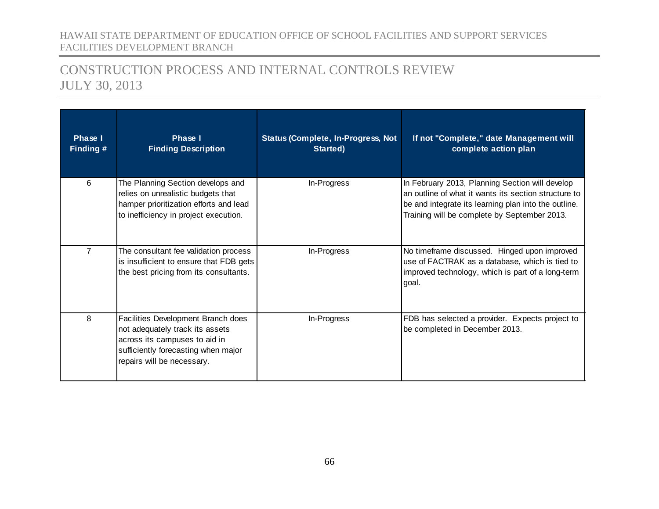| Phase I<br>Finding # | Phase I<br><b>Finding Description</b>                                                                                                                                       | <b>Status (Complete, In-Progress, Not</b><br>Started) | If not "Complete," date Management will<br>complete action plan                                                                                                                                                 |
|----------------------|-----------------------------------------------------------------------------------------------------------------------------------------------------------------------------|-------------------------------------------------------|-----------------------------------------------------------------------------------------------------------------------------------------------------------------------------------------------------------------|
| 6                    | The Planning Section develops and<br>relies on unrealistic budgets that<br>hamper prioritization efforts and lead<br>to inefficiency in project execution.                  | In-Progress                                           | In February 2013, Planning Section will develop<br>an outline of what it wants its section structure to<br>be and integrate its learning plan into the outline.<br>Training will be complete by September 2013. |
| $\overline{7}$       | The consultant fee validation process<br>is insufficient to ensure that FDB gets<br>the best pricing from its consultants.                                                  | In-Progress                                           | No timeframe discussed. Hinged upon improved<br>use of FACTRAK as a database, which is tied to<br>improved technology, which is part of a long-term<br>goal.                                                    |
| 8                    | Facilities Development Branch does<br>not adequately track its assets<br>across its campuses to aid in<br>sufficiently forecasting when major<br>repairs will be necessary. | In-Progress                                           | FDB has selected a provider. Expects project to<br>be completed in December 2013.                                                                                                                               |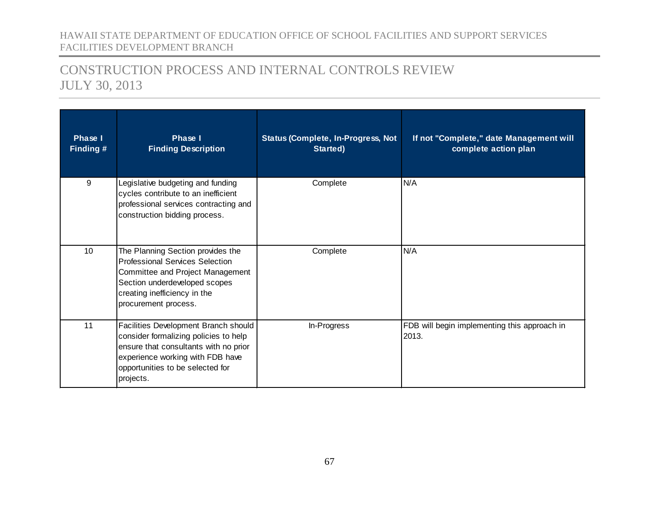| <b>Phase I</b><br>Finding # | Phase I<br><b>Finding Description</b>                                                                                                                                                                       | <b>Status (Complete, In-Progress, Not</b><br>Started) | If not "Complete," date Management will<br>complete action plan |
|-----------------------------|-------------------------------------------------------------------------------------------------------------------------------------------------------------------------------------------------------------|-------------------------------------------------------|-----------------------------------------------------------------|
| 9                           | Legislative budgeting and funding<br>cycles contribute to an inefficient<br>professional services contracting and<br>construction bidding process.                                                          | Complete                                              | N/A                                                             |
| 10                          | The Planning Section provides the<br><b>Professional Services Selection</b><br>Committee and Project Management<br>Section underdeveloped scopes<br>creating inefficiency in the<br>procurement process.    | Complete                                              | N/A                                                             |
| 11                          | Facilities Development Branch should<br>consider formalizing policies to help<br>ensure that consultants with no prior<br>experience working with FDB have<br>opportunities to be selected for<br>projects. | In-Progress                                           | FDB will begin implementing this approach in<br>2013.           |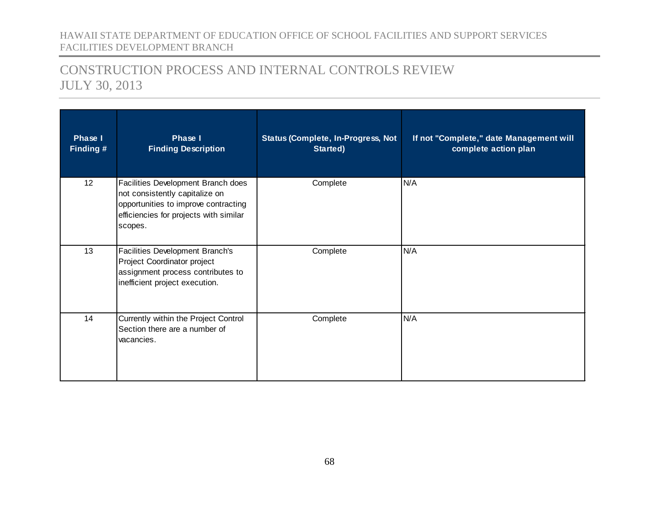| <b>Phase I</b><br>Finding # | Phase I<br><b>Finding Description</b>                                                                                                                             | <b>Status (Complete, In-Progress, Not</b><br>Started) | If not "Complete," date Management will<br>complete action plan |
|-----------------------------|-------------------------------------------------------------------------------------------------------------------------------------------------------------------|-------------------------------------------------------|-----------------------------------------------------------------|
| 12                          | Facilities Development Branch does<br>not consistently capitalize on<br>opportunities to improve contracting<br>efficiencies for projects with similar<br>scopes. | Complete                                              | N/A                                                             |
| 13                          | Facilities Development Branch's<br>Project Coordinator project<br>assignment process contributes to<br>inefficient project execution.                             | Complete                                              | N/A                                                             |
| 14                          | Currently within the Project Control<br>Section there are a number of<br>vacancies.                                                                               | Complete                                              | N/A                                                             |